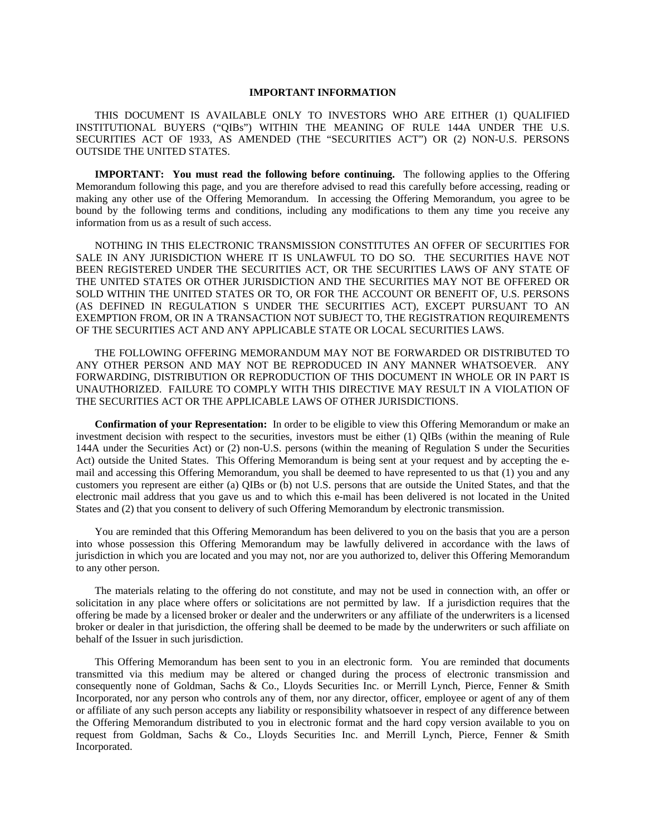## **IMPORTANT INFORMATION**

THIS DOCUMENT IS AVAILABLE ONLY TO INVESTORS WHO ARE EITHER (1) QUALIFIED INSTITUTIONAL BUYERS ("QIBs") WITHIN THE MEANING OF RULE 144A UNDER THE U.S. SECURITIES ACT OF 1933, AS AMENDED (THE "SECURITIES ACT") OR (2) NON-U.S. PERSONS OUTSIDE THE UNITED STATES.

**IMPORTANT: You must read the following before continuing.** The following applies to the Offering Memorandum following this page, and you are therefore advised to read this carefully before accessing, reading or making any other use of the Offering Memorandum. In accessing the Offering Memorandum, you agree to be bound by the following terms and conditions, including any modifications to them any time you receive any information from us as a result of such access.

NOTHING IN THIS ELECTRONIC TRANSMISSION CONSTITUTES AN OFFER OF SECURITIES FOR SALE IN ANY JURISDICTION WHERE IT IS UNLAWFUL TO DO SO. THE SECURITIES HAVE NOT BEEN REGISTERED UNDER THE SECURITIES ACT, OR THE SECURITIES LAWS OF ANY STATE OF THE UNITED STATES OR OTHER JURISDICTION AND THE SECURITIES MAY NOT BE OFFERED OR SOLD WITHIN THE UNITED STATES OR TO, OR FOR THE ACCOUNT OR BENEFIT OF, U.S. PERSONS (AS DEFINED IN REGULATION S UNDER THE SECURITIES ACT), EXCEPT PURSUANT TO AN EXEMPTION FROM, OR IN A TRANSACTION NOT SUBJECT TO, THE REGISTRATION REQUIREMENTS OF THE SECURITIES ACT AND ANY APPLICABLE STATE OR LOCAL SECURITIES LAWS.

THE FOLLOWING OFFERING MEMORANDUM MAY NOT BE FORWARDED OR DISTRIBUTED TO ANY OTHER PERSON AND MAY NOT BE REPRODUCED IN ANY MANNER WHATSOEVER. ANY FORWARDING, DISTRIBUTION OR REPRODUCTION OF THIS DOCUMENT IN WHOLE OR IN PART IS UNAUTHORIZED. FAILURE TO COMPLY WITH THIS DIRECTIVE MAY RESULT IN A VIOLATION OF THE SECURITIES ACT OR THE APPLICABLE LAWS OF OTHER JURISDICTIONS.

**Confirmation of your Representation:** In order to be eligible to view this Offering Memorandum or make an investment decision with respect to the securities, investors must be either (1) QIBs (within the meaning of Rule 144A under the Securities Act) or (2) non-U.S. persons (within the meaning of Regulation S under the Securities Act) outside the United States. This Offering Memorandum is being sent at your request and by accepting the email and accessing this Offering Memorandum, you shall be deemed to have represented to us that (1) you and any customers you represent are either (a) QIBs or (b) not U.S. persons that are outside the United States, and that the electronic mail address that you gave us and to which this e-mail has been delivered is not located in the United States and (2) that you consent to delivery of such Offering Memorandum by electronic transmission.

You are reminded that this Offering Memorandum has been delivered to you on the basis that you are a person into whose possession this Offering Memorandum may be lawfully delivered in accordance with the laws of jurisdiction in which you are located and you may not, nor are you authorized to, deliver this Offering Memorandum to any other person.

The materials relating to the offering do not constitute, and may not be used in connection with, an offer or solicitation in any place where offers or solicitations are not permitted by law. If a jurisdiction requires that the offering be made by a licensed broker or dealer and the underwriters or any affiliate of the underwriters is a licensed broker or dealer in that jurisdiction, the offering shall be deemed to be made by the underwriters or such affiliate on behalf of the Issuer in such jurisdiction.

This Offering Memorandum has been sent to you in an electronic form. You are reminded that documents transmitted via this medium may be altered or changed during the process of electronic transmission and consequently none of Goldman, Sachs & Co., Lloyds Securities Inc. or Merrill Lynch, Pierce, Fenner & Smith Incorporated, nor any person who controls any of them, nor any director, officer, employee or agent of any of them or affiliate of any such person accepts any liability or responsibility whatsoever in respect of any difference between the Offering Memorandum distributed to you in electronic format and the hard copy version available to you on request from Goldman, Sachs & Co., Lloyds Securities Inc. and Merrill Lynch, Pierce, Fenner & Smith Incorporated.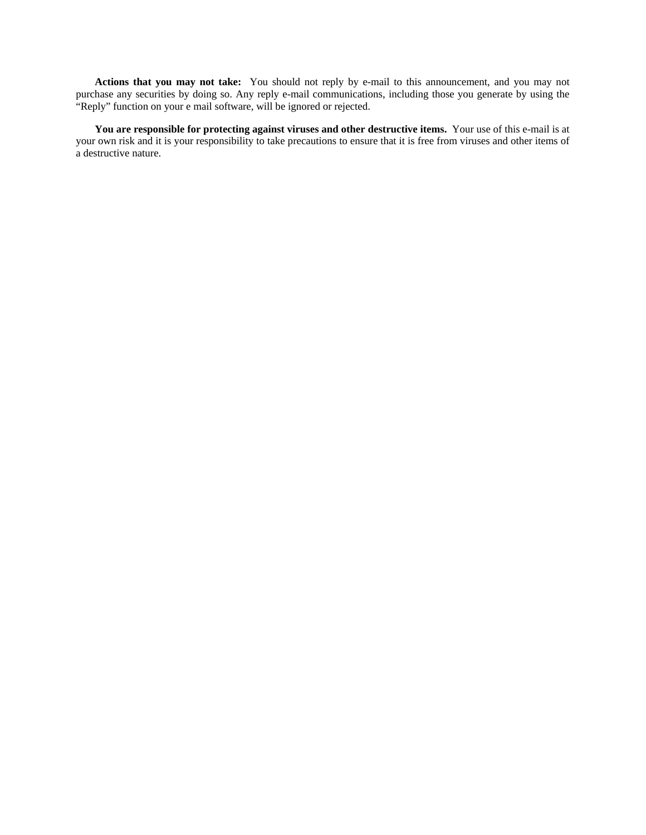**Actions that you may not take:** You should not reply by e-mail to this announcement, and you may not purchase any securities by doing so. Any reply e-mail communications, including those you generate by using the "Reply" function on your e mail software, will be ignored or rejected.

**You are responsible for protecting against viruses and other destructive items.** Your use of this e-mail is at your own risk and it is your responsibility to take precautions to ensure that it is free from viruses and other items of a destructive nature.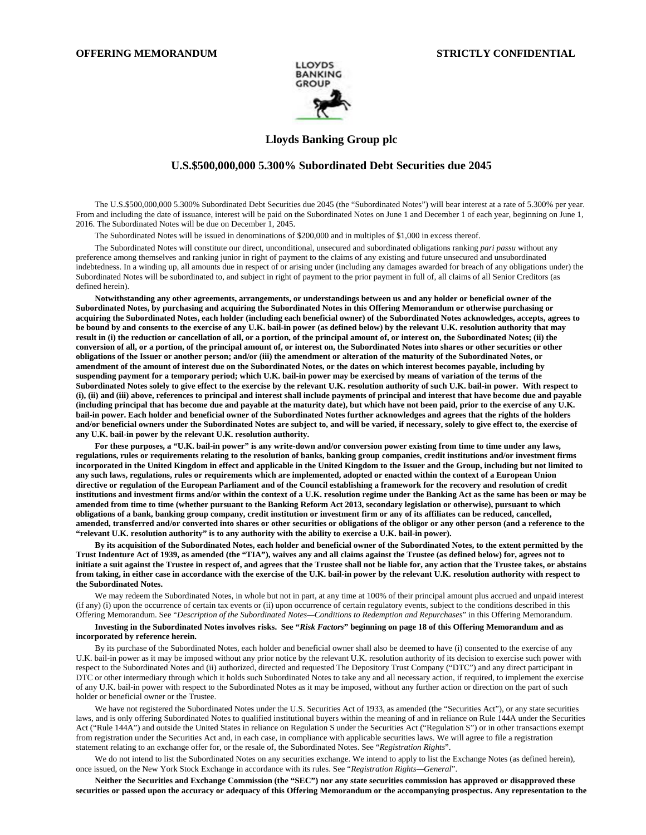

# **Lloyds Banking Group plc**

## **U.S.\$500,000,000 5.300% Subordinated Debt Securities due 2045**

The U.S.\$500,000,000 5.300% Subordinated Debt Securities due 2045 (the "Subordinated Notes") will bear interest at a rate of 5.300% per year. From and including the date of issuance, interest will be paid on the Subordinated Notes on June 1 and December 1 of each year, beginning on June 1, 2016. The Subordinated Notes will be due on December 1, 2045.

The Subordinated Notes will be issued in denominations of \$200,000 and in multiples of \$1,000 in excess thereof.

The Subordinated Notes will constitute our direct, unconditional, unsecured and subordinated obligations ranking *pari passu* without any preference among themselves and ranking junior in right of payment to the claims of any existing and future unsecured and unsubordinated indebtedness. In a winding up, all amounts due in respect of or arising under (including any damages awarded for breach of any obligations under) the Subordinated Notes will be subordinated to, and subject in right of payment to the prior payment in full of, all claims of all Senior Creditors (as defined herein).

**Notwithstanding any other agreements, arrangements, or understandings between us and any holder or beneficial owner of the Subordinated Notes, by purchasing and acquiring the Subordinated Notes in this Offering Memorandum or otherwise purchasing or acquiring the Subordinated Notes, each holder (including each beneficial owner) of the Subordinated Notes acknowledges, accepts, agrees to be bound by and consents to the exercise of any U.K. bail-in power (as defined below) by the relevant U.K. resolution authority that may result in (i) the reduction or cancellation of all, or a portion, of the principal amount of, or interest on, the Subordinated Notes; (ii) the conversion of all, or a portion, of the principal amount of, or interest on, the Subordinated Notes into shares or other securities or other obligations of the Issuer or another person; and/or (iii) the amendment or alteration of the maturity of the Subordinated Notes, or amendment of the amount of interest due on the Subordinated Notes, or the dates on which interest becomes payable, including by suspending payment for a temporary period; which U.K. bail-in power may be exercised by means of variation of the terms of the Subordinated Notes solely to give effect to the exercise by the relevant U.K. resolution authority of such U.K. bail-in power. With respect to (i), (ii) and (iii) above, references to principal and interest shall include payments of principal and interest that have become due and payable (including principal that has become due and payable at the maturity date), but which have not been paid, prior to the exercise of any U.K. bail-in power. Each holder and beneficial owner of the Subordinated Notes further acknowledges and agrees that the rights of the holders and/or beneficial owners under the Subordinated Notes are subject to, and will be varied, if necessary, solely to give effect to, the exercise of any U.K. bail-in power by the relevant U.K. resolution authority.** 

**For these purposes, a "U.K. bail-in power" is any write-down and/or conversion power existing from time to time under any laws, regulations, rules or requirements relating to the resolution of banks, banking group companies, credit institutions and/or investment firms incorporated in the United Kingdom in effect and applicable in the United Kingdom to the Issuer and the Group, including but not limited to any such laws, regulations, rules or requirements which are implemented, adopted or enacted within the context of a European Union directive or regulation of the European Parliament and of the Council establishing a framework for the recovery and resolution of credit institutions and investment firms and/or within the context of a U.K. resolution regime under the Banking Act as the same has been or may be amended from time to time (whether pursuant to the Banking Reform Act 2013, secondary legislation or otherwise), pursuant to which obligations of a bank, banking group company, credit institution or investment firm or any of its affiliates can be reduced, cancelled, amended, transferred and/or converted into shares or other securities or obligations of the obligor or any other person (and a reference to the "relevant U.K. resolution authority" is to any authority with the ability to exercise a U.K. bail-in power).** 

**By its acquisition of the Subordinated Notes, each holder and beneficial owner of the Subordinated Notes, to the extent permitted by the Trust Indenture Act of 1939, as amended (the "TIA"), waives any and all claims against the Trustee (as defined below) for, agrees not to initiate a suit against the Trustee in respect of, and agrees that the Trustee shall not be liable for, any action that the Trustee takes, or abstains from taking, in either case in accordance with the exercise of the U.K. bail-in power by the relevant U.K. resolution authority with respect to the Subordinated Notes.** 

We may redeem the Subordinated Notes, in whole but not in part, at any time at 100% of their principal amount plus accrued and unpaid interest (if any) (i) upon the occurrence of certain tax events or (ii) upon occurrence of certain regulatory events, subject to the conditions described in this Offering Memorandum. See "*Description of the Subordinated Notes—Conditions to Redemption and Repurchases*" in this Offering Memorandum.

#### **Investing in the Subordinated Notes involves risks. See "***Risk Factors***" beginning on page 18 of this Offering Memorandum and as incorporated by reference herein.**

By its purchase of the Subordinated Notes, each holder and beneficial owner shall also be deemed to have (i) consented to the exercise of any U.K. bail-in power as it may be imposed without any prior notice by the relevant U.K. resolution authority of its decision to exercise such power with respect to the Subordinated Notes and (ii) authorized, directed and requested The Depository Trust Company ("DTC") and any direct participant in DTC or other intermediary through which it holds such Subordinated Notes to take any and all necessary action, if required, to implement the exercise of any U.K. bail-in power with respect to the Subordinated Notes as it may be imposed, without any further action or direction on the part of such holder or beneficial owner or the Trustee.

We have not registered the Subordinated Notes under the U.S. Securities Act of 1933, as amended (the "Securities Act"), or any state securities laws, and is only offering Subordinated Notes to qualified institutional buyers within the meaning of and in reliance on Rule 144A under the Securities Act ("Rule 144A") and outside the United States in reliance on Regulation S under the Securities Act ("Regulation S") or in other transactions exempt from registration under the Securities Act and, in each case, in compliance with applicable securities laws. We will agree to file a registration statement relating to an exchange offer for, or the resale of, the Subordinated Notes. See "*Registration Rights*".

We do not intend to list the Subordinated Notes on any securities exchange. We intend to apply to list the Exchange Notes (as defined herein), once issued, on the New York Stock Exchange in accordance with its rules. See "*Registration Rights—General*".

**Neither the Securities and Exchange Commission (the "SEC") nor any state securities commission has approved or disapproved these securities or passed upon the accuracy or adequacy of this Offering Memorandum or the accompanying prospectus. Any representation to the**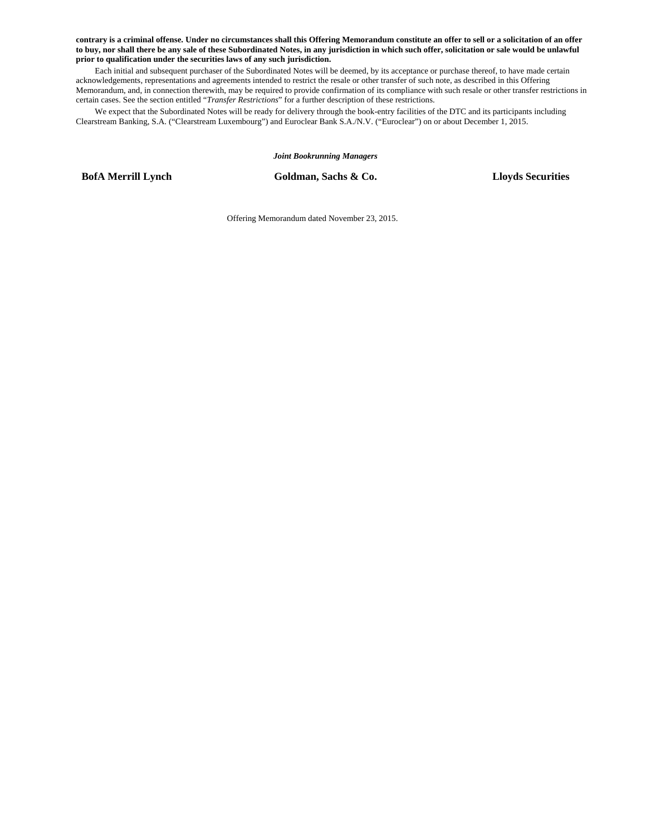**contrary is a criminal offense. Under no circumstances shall this Offering Memorandum constitute an offer to sell or a solicitation of an offer to buy, nor shall there be any sale of these Subordinated Notes, in any jurisdiction in which such offer, solicitation or sale would be unlawful prior to qualification under the securities laws of any such jurisdiction.** 

Each initial and subsequent purchaser of the Subordinated Notes will be deemed, by its acceptance or purchase thereof, to have made certain acknowledgements, representations and agreements intended to restrict the resale or other transfer of such note, as described in this Offering Memorandum, and, in connection therewith, may be required to provide confirmation of its compliance with such resale or other transfer restrictions in certain cases. See the section entitled "*Transfer Restrictions*" for a further description of these restrictions.

We expect that the Subordinated Notes will be ready for delivery through the book-entry facilities of the DTC and its participants including Clearstream Banking, S.A. ("Clearstream Luxembourg") and Euroclear Bank S.A./N.V. ("Euroclear") on or about December 1, 2015.

*Joint Bookrunning Managers* 

**BofA Merrill Lynch Goldman, Sachs & Co. Lloyds Securities**

Offering Memorandum dated November 23, 2015.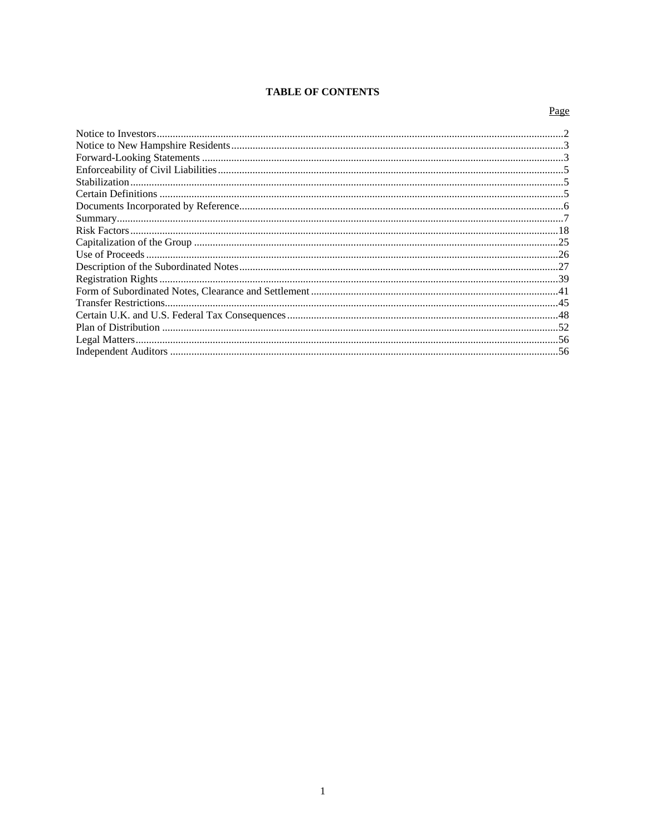# **TABLE OF CONTENTS**

# Page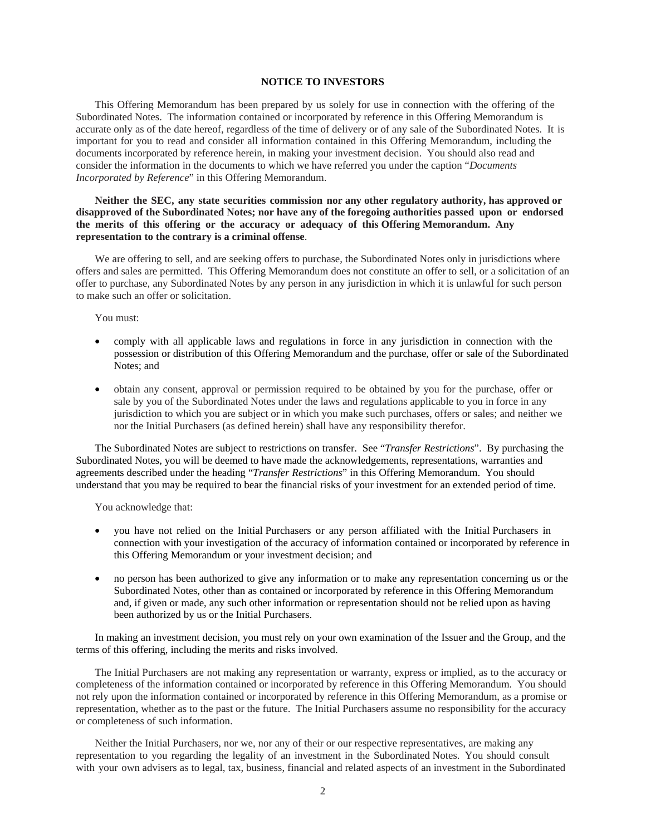# **NOTICE TO INVESTORS**

This Offering Memorandum has been prepared by us solely for use in connection with the offering of the Subordinated Notes. The information contained or incorporated by reference in this Offering Memorandum is accurate only as of the date hereof, regardless of the time of delivery or of any sale of the Subordinated Notes. It is important for you to read and consider all information contained in this Offering Memorandum, including the documents incorporated by reference herein, in making your investment decision. You should also read and consider the information in the documents to which we have referred you under the caption "*Documents Incorporated by Reference*" in this Offering Memorandum.

# **Neither the SEC, any state securities commission nor any other regulatory authority, has approved or disapproved of the Subordinated Notes; nor have any of the foregoing authorities passed upon or endorsed the merits of this offering or the accuracy or adequacy of this Offering Memorandum. Any representation to the contrary is a criminal offense**.

We are offering to sell, and are seeking offers to purchase, the Subordinated Notes only in jurisdictions where offers and sales are permitted. This Offering Memorandum does not constitute an offer to sell, or a solicitation of an offer to purchase, any Subordinated Notes by any person in any jurisdiction in which it is unlawful for such person to make such an offer or solicitation.

You must:

- comply with all applicable laws and regulations in force in any jurisdiction in connection with the possession or distribution of this Offering Memorandum and the purchase, offer or sale of the Subordinated Notes; and
- obtain any consent, approval or permission required to be obtained by you for the purchase, offer or sale by you of the Subordinated Notes under the laws and regulations applicable to you in force in any jurisdiction to which you are subject or in which you make such purchases, offers or sales; and neither we nor the Initial Purchasers (as defined herein) shall have any responsibility therefor.

The Subordinated Notes are subject to restrictions on transfer. See "*Transfer Restrictions*". By purchasing the Subordinated Notes, you will be deemed to have made the acknowledgements, representations, warranties and agreements described under the heading "*Transfer Restrictions*" in this Offering Memorandum. You should understand that you may be required to bear the financial risks of your investment for an extended period of time.

You acknowledge that:

- you have not relied on the Initial Purchasers or any person affiliated with the Initial Purchasers in connection with your investigation of the accuracy of information contained or incorporated by reference in this Offering Memorandum or your investment decision; and
- no person has been authorized to give any information or to make any representation concerning us or the Subordinated Notes, other than as contained or incorporated by reference in this Offering Memorandum and, if given or made, any such other information or representation should not be relied upon as having been authorized by us or the Initial Purchasers.

In making an investment decision, you must rely on your own examination of the Issuer and the Group, and the terms of this offering, including the merits and risks involved.

The Initial Purchasers are not making any representation or warranty, express or implied, as to the accuracy or completeness of the information contained or incorporated by reference in this Offering Memorandum. You should not rely upon the information contained or incorporated by reference in this Offering Memorandum, as a promise or representation, whether as to the past or the future. The Initial Purchasers assume no responsibility for the accuracy or completeness of such information.

Neither the Initial Purchasers, nor we, nor any of their or our respective representatives, are making any representation to you regarding the legality of an investment in the Subordinated Notes. You should consult with your own advisers as to legal, tax, business, financial and related aspects of an investment in the Subordinated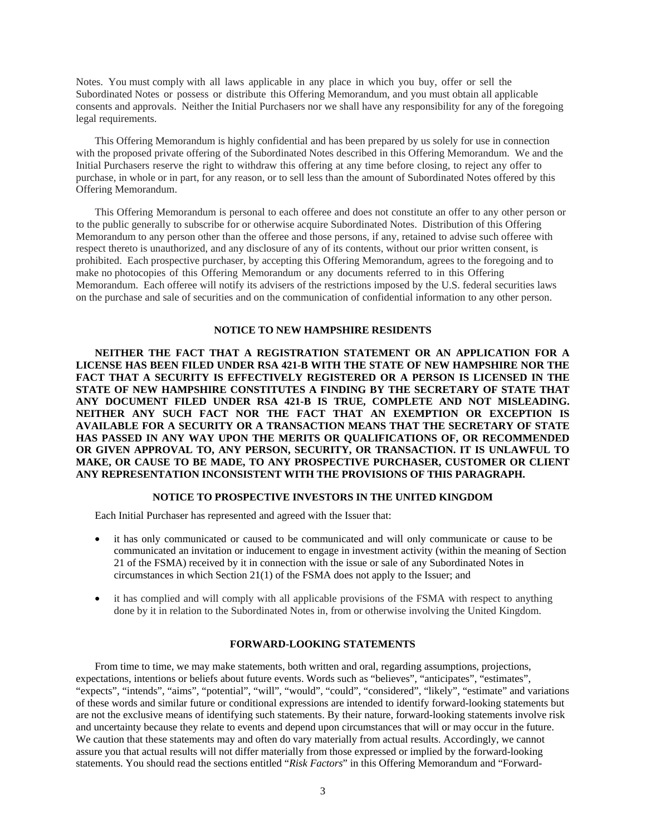Notes. You must comply with all laws applicable in any place in which you buy, offer or sell the Subordinated Notes or possess or distribute this Offering Memorandum, and you must obtain all applicable consents and approvals. Neither the Initial Purchasers nor we shall have any responsibility for any of the foregoing legal requirements.

This Offering Memorandum is highly confidential and has been prepared by us solely for use in connection with the proposed private offering of the Subordinated Notes described in this Offering Memorandum. We and the Initial Purchasers reserve the right to withdraw this offering at any time before closing, to reject any offer to purchase, in whole or in part, for any reason, or to sell less than the amount of Subordinated Notes offered by this Offering Memorandum.

This Offering Memorandum is personal to each offeree and does not constitute an offer to any other person or to the public generally to subscribe for or otherwise acquire Subordinated Notes. Distribution of this Offering Memorandum to any person other than the offeree and those persons, if any, retained to advise such offeree with respect thereto is unauthorized, and any disclosure of any of its contents, without our prior written consent, is prohibited. Each prospective purchaser, by accepting this Offering Memorandum, agrees to the foregoing and to make no photocopies of this Offering Memorandum or any documents referred to in this Offering Memorandum. Each offeree will notify its advisers of the restrictions imposed by the U.S. federal securities laws on the purchase and sale of securities and on the communication of confidential information to any other person.

## **NOTICE TO NEW HAMPSHIRE RESIDENTS**

**NEITHER THE FACT THAT A REGISTRATION STATEMENT OR AN APPLICATION FOR A LICENSE HAS BEEN FILED UNDER RSA 421-B WITH THE STATE OF NEW HAMPSHIRE NOR THE FACT THAT A SECURITY IS EFFECTIVELY REGISTERED OR A PERSON IS LICENSED IN THE STATE OF NEW HAMPSHIRE CONSTITUTES A FINDING BY THE SECRETARY OF STATE THAT ANY DOCUMENT FILED UNDER RSA 421-B IS TRUE, COMPLETE AND NOT MISLEADING. NEITHER ANY SUCH FACT NOR THE FACT THAT AN EXEMPTION OR EXCEPTION IS AVAILABLE FOR A SECURITY OR A TRANSACTION MEANS THAT THE SECRETARY OF STATE HAS PASSED IN ANY WAY UPON THE MERITS OR QUALIFICATIONS OF, OR RECOMMENDED OR GIVEN APPROVAL TO, ANY PERSON, SECURITY, OR TRANSACTION. IT IS UNLAWFUL TO MAKE, OR CAUSE TO BE MADE, TO ANY PROSPECTIVE PURCHASER, CUSTOMER OR CLIENT ANY REPRESENTATION INCONSISTENT WITH THE PROVISIONS OF THIS PARAGRAPH.** 

## **NOTICE TO PROSPECTIVE INVESTORS IN THE UNITED KINGDOM**

Each Initial Purchaser has represented and agreed with the Issuer that:

- it has only communicated or caused to be communicated and will only communicate or cause to be communicated an invitation or inducement to engage in investment activity (within the meaning of Section 21 of the FSMA) received by it in connection with the issue or sale of any Subordinated Notes in circumstances in which Section 21(1) of the FSMA does not apply to the Issuer; and
- it has complied and will comply with all applicable provisions of the FSMA with respect to anything done by it in relation to the Subordinated Notes in, from or otherwise involving the United Kingdom.

# **FORWARD-LOOKING STATEMENTS**

From time to time, we may make statements, both written and oral, regarding assumptions, projections, expectations, intentions or beliefs about future events. Words such as "believes", "anticipates", "estimates", "expects", "intends", "aims", "potential", "will", "would", "could", "considered", "likely", "estimate" and variations of these words and similar future or conditional expressions are intended to identify forward-looking statements but are not the exclusive means of identifying such statements. By their nature, forward-looking statements involve risk and uncertainty because they relate to events and depend upon circumstances that will or may occur in the future. We caution that these statements may and often do vary materially from actual results. Accordingly, we cannot assure you that actual results will not differ materially from those expressed or implied by the forward-looking statements. You should read the sections entitled "*Risk Factors*" in this Offering Memorandum and "Forward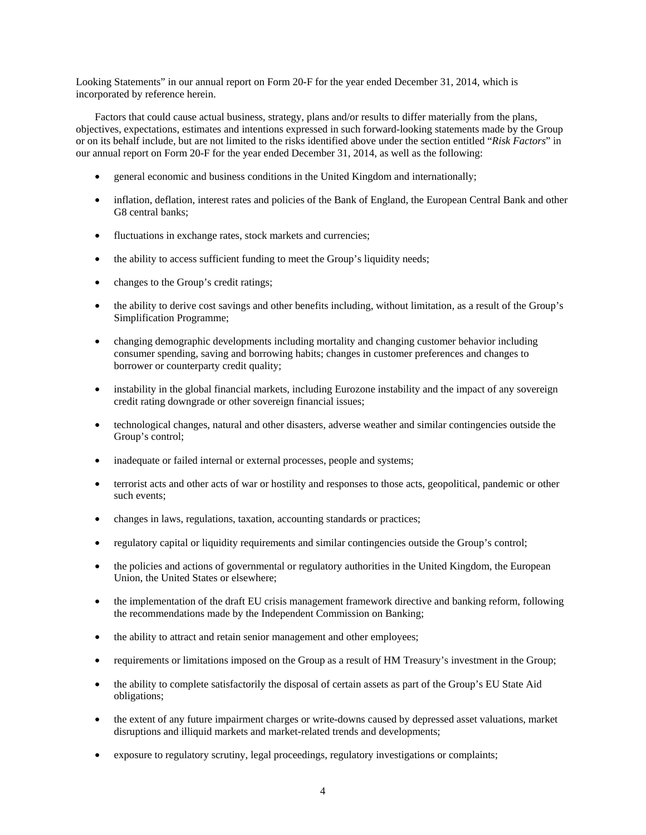Looking Statements" in our annual report on Form 20-F for the year ended December 31, 2014, which is incorporated by reference herein.

Factors that could cause actual business, strategy, plans and/or results to differ materially from the plans, objectives, expectations, estimates and intentions expressed in such forward-looking statements made by the Group or on its behalf include, but are not limited to the risks identified above under the section entitled "*Risk Factors*" in our annual report on Form 20-F for the year ended December 31, 2014, as well as the following:

- general economic and business conditions in the United Kingdom and internationally;
- inflation, deflation, interest rates and policies of the Bank of England, the European Central Bank and other G8 central banks;
- fluctuations in exchange rates, stock markets and currencies;
- the ability to access sufficient funding to meet the Group's liquidity needs;
- changes to the Group's credit ratings;
- the ability to derive cost savings and other benefits including, without limitation, as a result of the Group's Simplification Programme;
- changing demographic developments including mortality and changing customer behavior including consumer spending, saving and borrowing habits; changes in customer preferences and changes to borrower or counterparty credit quality;
- instability in the global financial markets, including Eurozone instability and the impact of any sovereign credit rating downgrade or other sovereign financial issues;
- technological changes, natural and other disasters, adverse weather and similar contingencies outside the Group's control;
- inadequate or failed internal or external processes, people and systems;
- terrorist acts and other acts of war or hostility and responses to those acts, geopolitical, pandemic or other such events;
- changes in laws, regulations, taxation, accounting standards or practices;
- regulatory capital or liquidity requirements and similar contingencies outside the Group's control;
- the policies and actions of governmental or regulatory authorities in the United Kingdom, the European Union, the United States or elsewhere;
- the implementation of the draft EU crisis management framework directive and banking reform, following the recommendations made by the Independent Commission on Banking;
- the ability to attract and retain senior management and other employees;
- requirements or limitations imposed on the Group as a result of HM Treasury's investment in the Group;
- the ability to complete satisfactorily the disposal of certain assets as part of the Group's EU State Aid obligations;
- the extent of any future impairment charges or write-downs caused by depressed asset valuations, market disruptions and illiquid markets and market-related trends and developments;
- exposure to regulatory scrutiny, legal proceedings, regulatory investigations or complaints;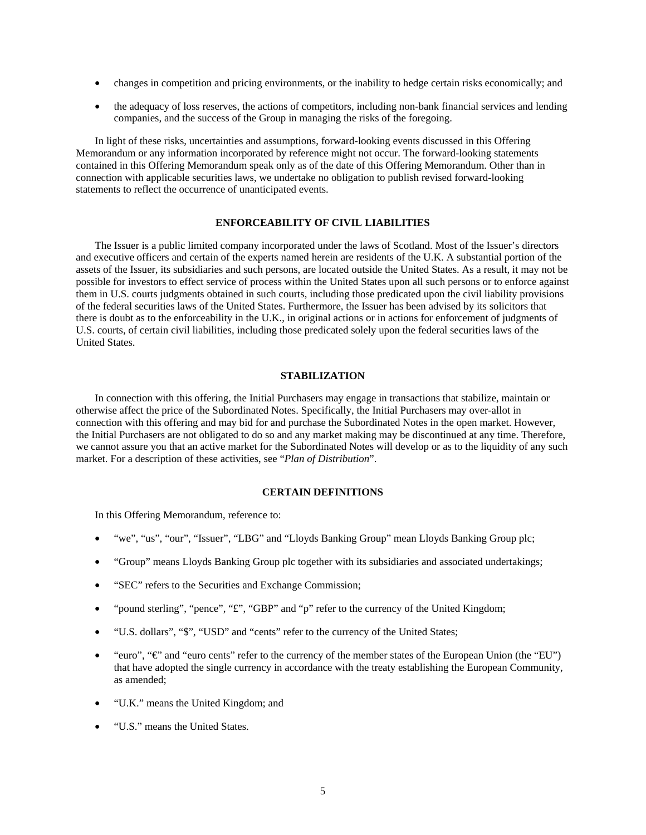- changes in competition and pricing environments, or the inability to hedge certain risks economically; and
- the adequacy of loss reserves, the actions of competitors, including non-bank financial services and lending companies, and the success of the Group in managing the risks of the foregoing.

In light of these risks, uncertainties and assumptions, forward-looking events discussed in this Offering Memorandum or any information incorporated by reference might not occur. The forward-looking statements contained in this Offering Memorandum speak only as of the date of this Offering Memorandum. Other than in connection with applicable securities laws, we undertake no obligation to publish revised forward-looking statements to reflect the occurrence of unanticipated events.

## **ENFORCEABILITY OF CIVIL LIABILITIES**

The Issuer is a public limited company incorporated under the laws of Scotland. Most of the Issuer's directors and executive officers and certain of the experts named herein are residents of the U.K. A substantial portion of the assets of the Issuer, its subsidiaries and such persons, are located outside the United States. As a result, it may not be possible for investors to effect service of process within the United States upon all such persons or to enforce against them in U.S. courts judgments obtained in such courts, including those predicated upon the civil liability provisions of the federal securities laws of the United States. Furthermore, the Issuer has been advised by its solicitors that there is doubt as to the enforceability in the U.K., in original actions or in actions for enforcement of judgments of U.S. courts, of certain civil liabilities, including those predicated solely upon the federal securities laws of the United States.

# **STABILIZATION**

In connection with this offering, the Initial Purchasers may engage in transactions that stabilize, maintain or otherwise affect the price of the Subordinated Notes. Specifically, the Initial Purchasers may over-allot in connection with this offering and may bid for and purchase the Subordinated Notes in the open market. However, the Initial Purchasers are not obligated to do so and any market making may be discontinued at any time. Therefore, we cannot assure you that an active market for the Subordinated Notes will develop or as to the liquidity of any such market. For a description of these activities, see "*Plan of Distribution*".

# **CERTAIN DEFINITIONS**

In this Offering Memorandum, reference to:

- "we", "us", "our", "Issuer", "LBG" and "Lloyds Banking Group" mean Lloyds Banking Group plc;
- "Group" means Lloyds Banking Group plc together with its subsidiaries and associated undertakings;
- "SEC" refers to the Securities and Exchange Commission;
- "pound sterling", "pence", "£", "GBP" and "p" refer to the currency of the United Kingdom;
- "U.S. dollars", "\$", "USD" and "cents" refer to the currency of the United States;
- "euro", "€" and "euro cents" refer to the currency of the member states of the European Union (the "EU") that have adopted the single currency in accordance with the treaty establishing the European Community, as amended;
- "U.K." means the United Kingdom; and
- "U.S." means the United States.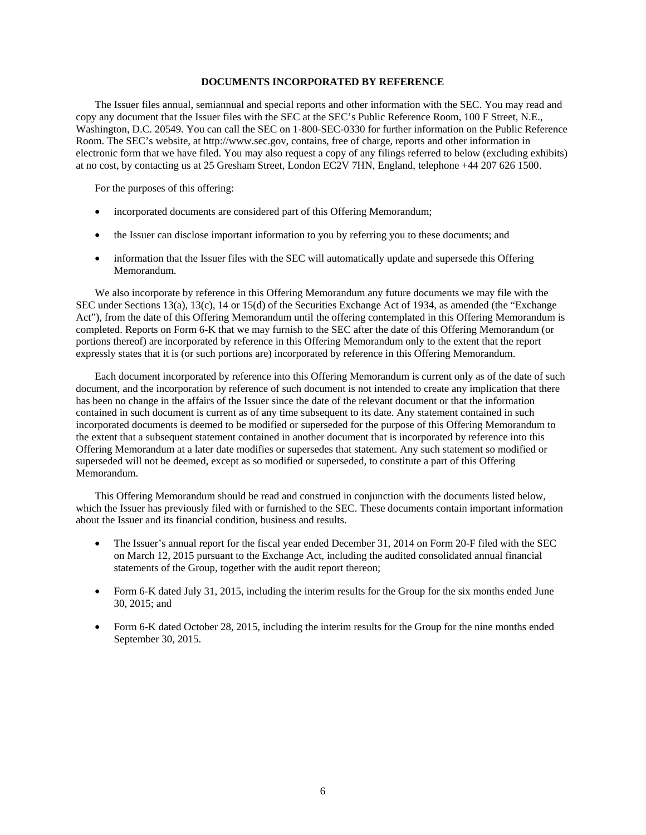# **DOCUMENTS INCORPORATED BY REFERENCE**

The Issuer files annual, semiannual and special reports and other information with the SEC. You may read and copy any document that the Issuer files with the SEC at the SEC's Public Reference Room, 100 F Street, N.E., Washington, D.C. 20549. You can call the SEC on 1-800-SEC-0330 for further information on the Public Reference Room. The SEC's website, at http://www.sec.gov, contains, free of charge, reports and other information in electronic form that we have filed. You may also request a copy of any filings referred to below (excluding exhibits) at no cost, by contacting us at 25 Gresham Street, London EC2V 7HN, England, telephone +44 207 626 1500.

For the purposes of this offering:

- incorporated documents are considered part of this Offering Memorandum;
- the Issuer can disclose important information to you by referring you to these documents; and
- information that the Issuer files with the SEC will automatically update and supersede this Offering Memorandum.

We also incorporate by reference in this Offering Memorandum any future documents we may file with the SEC under Sections 13(a), 13(c), 14 or 15(d) of the Securities Exchange Act of 1934, as amended (the "Exchange Act"), from the date of this Offering Memorandum until the offering contemplated in this Offering Memorandum is completed. Reports on Form 6-K that we may furnish to the SEC after the date of this Offering Memorandum (or portions thereof) are incorporated by reference in this Offering Memorandum only to the extent that the report expressly states that it is (or such portions are) incorporated by reference in this Offering Memorandum.

Each document incorporated by reference into this Offering Memorandum is current only as of the date of such document, and the incorporation by reference of such document is not intended to create any implication that there has been no change in the affairs of the Issuer since the date of the relevant document or that the information contained in such document is current as of any time subsequent to its date. Any statement contained in such incorporated documents is deemed to be modified or superseded for the purpose of this Offering Memorandum to the extent that a subsequent statement contained in another document that is incorporated by reference into this Offering Memorandum at a later date modifies or supersedes that statement. Any such statement so modified or superseded will not be deemed, except as so modified or superseded, to constitute a part of this Offering Memorandum.

This Offering Memorandum should be read and construed in conjunction with the documents listed below, which the Issuer has previously filed with or furnished to the SEC. These documents contain important information about the Issuer and its financial condition, business and results.

- The Issuer's annual report for the fiscal year ended December 31, 2014 on Form 20-F filed with the SEC on March 12, 2015 pursuant to the Exchange Act, including the audited consolidated annual financial statements of the Group, together with the audit report thereon;
- Form 6-K dated July 31, 2015, including the interim results for the Group for the six months ended June 30, 2015; and
- Form 6-K dated October 28, 2015, including the interim results for the Group for the nine months ended September 30, 2015.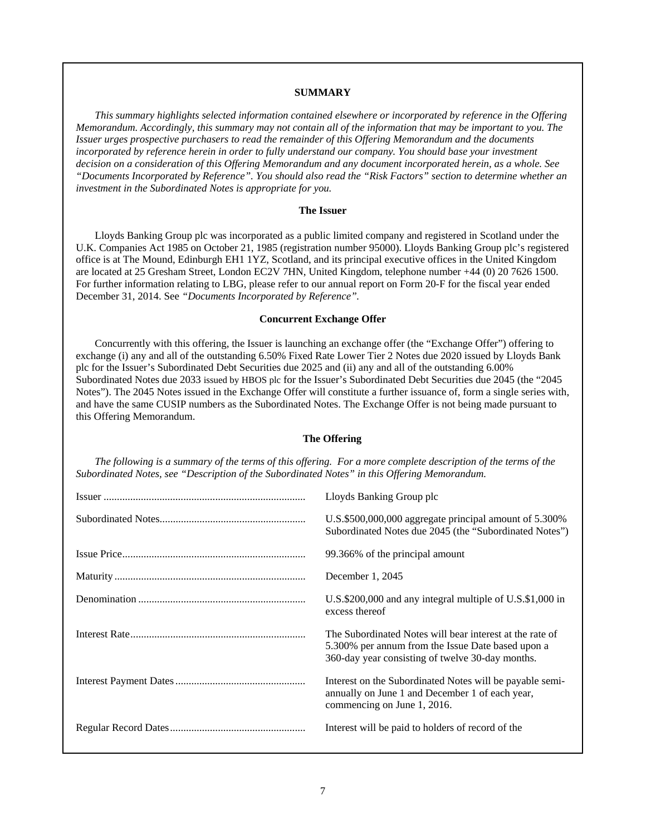## **SUMMARY**

*This summary highlights selected information contained elsewhere or incorporated by reference in the Offering Memorandum. Accordingly, this summary may not contain all of the information that may be important to you. The Issuer urges prospective purchasers to read the remainder of this Offering Memorandum and the documents incorporated by reference herein in order to fully understand our company. You should base your investment decision on a consideration of this Offering Memorandum and any document incorporated herein, as a whole. See "Documents Incorporated by Reference". You should also read the "Risk Factors" section to determine whether an investment in the Subordinated Notes is appropriate for you.* 

### **The Issuer**

Lloyds Banking Group plc was incorporated as a public limited company and registered in Scotland under the U.K. Companies Act 1985 on October 21, 1985 (registration number 95000). Lloyds Banking Group plc's registered office is at The Mound, Edinburgh EH1 1YZ, Scotland, and its principal executive offices in the United Kingdom are located at 25 Gresham Street, London EC2V 7HN, United Kingdom, telephone number +44 (0) 20 7626 1500. For further information relating to LBG, please refer to our annual report on Form 20-F for the fiscal year ended December 31, 2014. See *"Documents Incorporated by Reference".*

### **Concurrent Exchange Offer**

Concurrently with this offering, the Issuer is launching an exchange offer (the "Exchange Offer") offering to exchange (i) any and all of the outstanding 6.50% Fixed Rate Lower Tier 2 Notes due 2020 issued by Lloyds Bank plc for the Issuer's Subordinated Debt Securities due 2025 and (ii) any and all of the outstanding 6.00% Subordinated Notes due 2033 issued by HBOS plc for the Issuer's Subordinated Debt Securities due 2045 (the "2045 Notes"). The 2045 Notes issued in the Exchange Offer will constitute a further issuance of, form a single series with, and have the same CUSIP numbers as the Subordinated Notes. The Exchange Offer is not being made pursuant to this Offering Memorandum.

### **The Offering**

*The following is a summary of the terms of this offering. For a more complete description of the terms of the Subordinated Notes, see "Description of the Subordinated Notes" in this Offering Memorandum.*

| Lloyds Banking Group plc                                                                                                                                          |
|-------------------------------------------------------------------------------------------------------------------------------------------------------------------|
| U.S.\$500,000,000 aggregate principal amount of 5.300%<br>Subordinated Notes due 2045 (the "Subordinated Notes")                                                  |
| 99.366% of the principal amount                                                                                                                                   |
| December $1, 2045$                                                                                                                                                |
| U.S.\$200,000 and any integral multiple of U.S.\$1,000 in<br>excess thereof                                                                                       |
| The Subordinated Notes will bear interest at the rate of<br>5.300% per annum from the Issue Date based upon a<br>360-day year consisting of twelve 30-day months. |
| Interest on the Subordinated Notes will be payable semi-<br>annually on June 1 and December 1 of each year,<br>commencing on June 1, 2016.                        |
| Interest will be paid to holders of record of the                                                                                                                 |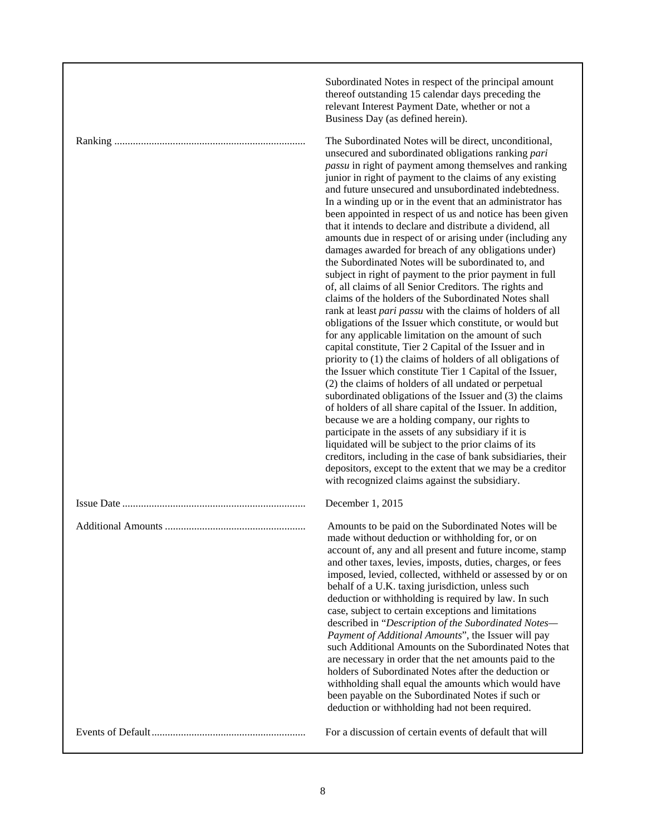| Subordinated Notes in respect of the principal amount<br>thereof outstanding 15 calendar days preceding the<br>relevant Interest Payment Date, whether or not a<br>Business Day (as defined herein).                                                                                                                                                                                                                                                                                                                                                                                                                                                                                                                                                                                                                                                                                                                                                                                                                                                                                                                                                                                                                                                                                                                                                                                                                                                                                                                                                                                                                                                                                                                                                           |
|----------------------------------------------------------------------------------------------------------------------------------------------------------------------------------------------------------------------------------------------------------------------------------------------------------------------------------------------------------------------------------------------------------------------------------------------------------------------------------------------------------------------------------------------------------------------------------------------------------------------------------------------------------------------------------------------------------------------------------------------------------------------------------------------------------------------------------------------------------------------------------------------------------------------------------------------------------------------------------------------------------------------------------------------------------------------------------------------------------------------------------------------------------------------------------------------------------------------------------------------------------------------------------------------------------------------------------------------------------------------------------------------------------------------------------------------------------------------------------------------------------------------------------------------------------------------------------------------------------------------------------------------------------------------------------------------------------------------------------------------------------------|
| The Subordinated Notes will be direct, unconditional,<br>unsecured and subordinated obligations ranking pari<br>passu in right of payment among themselves and ranking<br>junior in right of payment to the claims of any existing<br>and future unsecured and unsubordinated indebtedness.<br>In a winding up or in the event that an administrator has<br>been appointed in respect of us and notice has been given<br>that it intends to declare and distribute a dividend, all<br>amounts due in respect of or arising under (including any<br>damages awarded for breach of any obligations under)<br>the Subordinated Notes will be subordinated to, and<br>subject in right of payment to the prior payment in full<br>of, all claims of all Senior Creditors. The rights and<br>claims of the holders of the Subordinated Notes shall<br>rank at least pari passu with the claims of holders of all<br>obligations of the Issuer which constitute, or would but<br>for any applicable limitation on the amount of such<br>capital constitute, Tier 2 Capital of the Issuer and in<br>priority to (1) the claims of holders of all obligations of<br>the Issuer which constitute Tier 1 Capital of the Issuer,<br>(2) the claims of holders of all undated or perpetual<br>subordinated obligations of the Issuer and (3) the claims<br>of holders of all share capital of the Issuer. In addition,<br>because we are a holding company, our rights to<br>participate in the assets of any subsidiary if it is<br>liquidated will be subject to the prior claims of its<br>creditors, including in the case of bank subsidiaries, their<br>depositors, except to the extent that we may be a creditor<br>with recognized claims against the subsidiary. |
| December 1, 2015                                                                                                                                                                                                                                                                                                                                                                                                                                                                                                                                                                                                                                                                                                                                                                                                                                                                                                                                                                                                                                                                                                                                                                                                                                                                                                                                                                                                                                                                                                                                                                                                                                                                                                                                               |
| Amounts to be paid on the Subordinated Notes will be<br>made without deduction or withholding for, or on<br>account of, any and all present and future income, stamp<br>and other taxes, levies, imposts, duties, charges, or fees<br>imposed, levied, collected, withheld or assessed by or on<br>behalf of a U.K. taxing jurisdiction, unless such<br>deduction or withholding is required by law. In such<br>case, subject to certain exceptions and limitations<br>described in "Description of the Subordinated Notes-<br>Payment of Additional Amounts", the Issuer will pay<br>such Additional Amounts on the Subordinated Notes that<br>are necessary in order that the net amounts paid to the<br>holders of Subordinated Notes after the deduction or<br>withholding shall equal the amounts which would have<br>been payable on the Subordinated Notes if such or<br>deduction or withholding had not been required.                                                                                                                                                                                                                                                                                                                                                                                                                                                                                                                                                                                                                                                                                                                                                                                                                                |
| For a discussion of certain events of default that will                                                                                                                                                                                                                                                                                                                                                                                                                                                                                                                                                                                                                                                                                                                                                                                                                                                                                                                                                                                                                                                                                                                                                                                                                                                                                                                                                                                                                                                                                                                                                                                                                                                                                                        |

г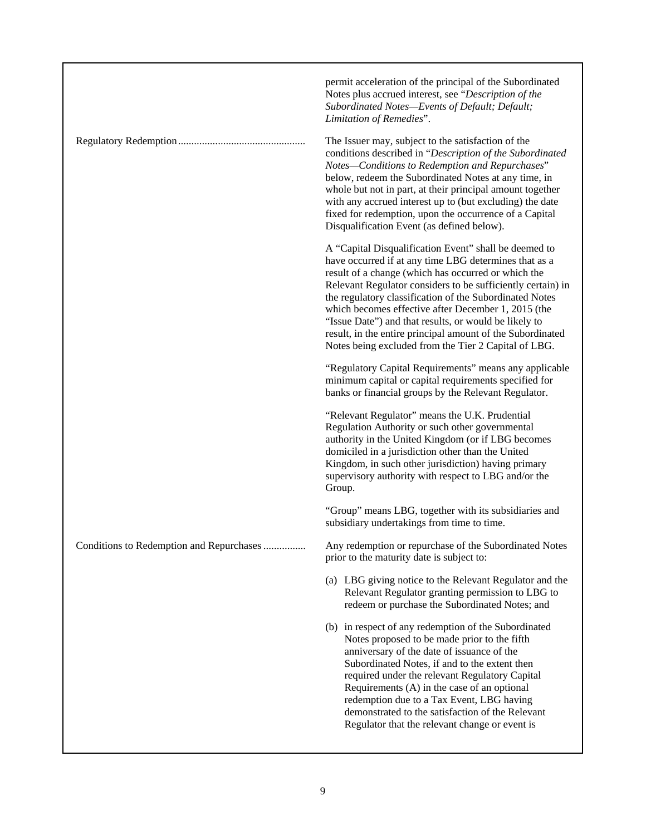|                                          | permit acceleration of the principal of the Subordinated<br>Notes plus accrued interest, see "Description of the<br>Subordinated Notes-Events of Default; Default;<br>Limitation of Remedies".                                                                                                                                                                                                                                                                                                                                        |
|------------------------------------------|---------------------------------------------------------------------------------------------------------------------------------------------------------------------------------------------------------------------------------------------------------------------------------------------------------------------------------------------------------------------------------------------------------------------------------------------------------------------------------------------------------------------------------------|
|                                          | The Issuer may, subject to the satisfaction of the<br>conditions described in "Description of the Subordinated<br>Notes-Conditions to Redemption and Repurchases"<br>below, redeem the Subordinated Notes at any time, in<br>whole but not in part, at their principal amount together<br>with any accrued interest up to (but excluding) the date<br>fixed for redemption, upon the occurrence of a Capital<br>Disqualification Event (as defined below).                                                                            |
|                                          | A "Capital Disqualification Event" shall be deemed to<br>have occurred if at any time LBG determines that as a<br>result of a change (which has occurred or which the<br>Relevant Regulator considers to be sufficiently certain) in<br>the regulatory classification of the Subordinated Notes<br>which becomes effective after December 1, 2015 (the<br>"Issue Date") and that results, or would be likely to<br>result, in the entire principal amount of the Subordinated<br>Notes being excluded from the Tier 2 Capital of LBG. |
|                                          | "Regulatory Capital Requirements" means any applicable<br>minimum capital or capital requirements specified for<br>banks or financial groups by the Relevant Regulator.                                                                                                                                                                                                                                                                                                                                                               |
|                                          | "Relevant Regulator" means the U.K. Prudential<br>Regulation Authority or such other governmental<br>authority in the United Kingdom (or if LBG becomes<br>domiciled in a jurisdiction other than the United<br>Kingdom, in such other jurisdiction) having primary<br>supervisory authority with respect to LBG and/or the<br>Group.                                                                                                                                                                                                 |
|                                          | "Group" means LBG, together with its subsidiaries and<br>subsidiary undertakings from time to time.                                                                                                                                                                                                                                                                                                                                                                                                                                   |
| Conditions to Redemption and Repurchases | Any redemption or repurchase of the Subordinated Notes<br>prior to the maturity date is subject to:                                                                                                                                                                                                                                                                                                                                                                                                                                   |
|                                          | (a) LBG giving notice to the Relevant Regulator and the<br>Relevant Regulator granting permission to LBG to<br>redeem or purchase the Subordinated Notes; and                                                                                                                                                                                                                                                                                                                                                                         |
|                                          | (b) in respect of any redemption of the Subordinated<br>Notes proposed to be made prior to the fifth<br>anniversary of the date of issuance of the<br>Subordinated Notes, if and to the extent then<br>required under the relevant Regulatory Capital<br>Requirements (A) in the case of an optional<br>redemption due to a Tax Event, LBG having<br>demonstrated to the satisfaction of the Relevant<br>Regulator that the relevant change or event is                                                                               |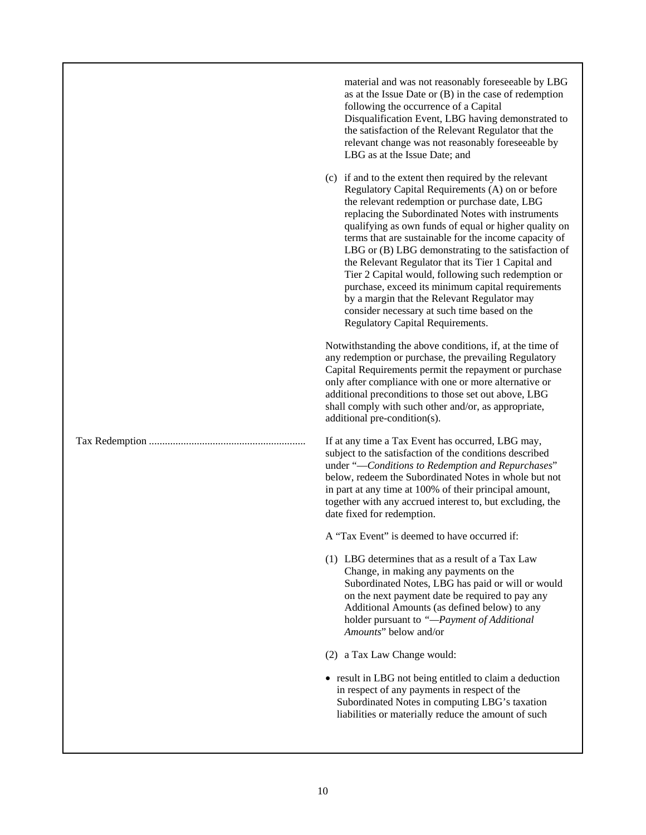| material and was not reasonably foreseeable by LBG<br>as at the Issue Date or $(B)$ in the case of redemption<br>following the occurrence of a Capital<br>Disqualification Event, LBG having demonstrated to<br>the satisfaction of the Relevant Regulator that the<br>relevant change was not reasonably foreseeable by<br>LBG as at the Issue Date; and                                                                                                                                                                                                                                                                                                                                            |
|------------------------------------------------------------------------------------------------------------------------------------------------------------------------------------------------------------------------------------------------------------------------------------------------------------------------------------------------------------------------------------------------------------------------------------------------------------------------------------------------------------------------------------------------------------------------------------------------------------------------------------------------------------------------------------------------------|
| (c) if and to the extent then required by the relevant<br>Regulatory Capital Requirements (A) on or before<br>the relevant redemption or purchase date, LBG<br>replacing the Subordinated Notes with instruments<br>qualifying as own funds of equal or higher quality on<br>terms that are sustainable for the income capacity of<br>LBG or (B) LBG demonstrating to the satisfaction of<br>the Relevant Regulator that its Tier 1 Capital and<br>Tier 2 Capital would, following such redemption or<br>purchase, exceed its minimum capital requirements<br>by a margin that the Relevant Regulator may<br>consider necessary at such time based on the<br><b>Regulatory Capital Requirements.</b> |
| Notwithstanding the above conditions, if, at the time of<br>any redemption or purchase, the prevailing Regulatory<br>Capital Requirements permit the repayment or purchase<br>only after compliance with one or more alternative or<br>additional preconditions to those set out above, LBG<br>shall comply with such other and/or, as appropriate,<br>additional pre-condition(s).                                                                                                                                                                                                                                                                                                                  |
| If at any time a Tax Event has occurred, LBG may,<br>subject to the satisfaction of the conditions described<br>under "-Conditions to Redemption and Repurchases"<br>below, redeem the Subordinated Notes in whole but not<br>in part at any time at 100% of their principal amount,<br>together with any accrued interest to, but excluding, the<br>date fixed for redemption.                                                                                                                                                                                                                                                                                                                      |
| A "Tax Event" is deemed to have occurred if:                                                                                                                                                                                                                                                                                                                                                                                                                                                                                                                                                                                                                                                         |
| (1) LBG determines that as a result of a Tax Law<br>Change, in making any payments on the<br>Subordinated Notes, LBG has paid or will or would<br>on the next payment date be required to pay any<br>Additional Amounts (as defined below) to any<br>holder pursuant to "-Payment of Additional<br>Amounts" below and/or                                                                                                                                                                                                                                                                                                                                                                             |
| (2) a Tax Law Change would:                                                                                                                                                                                                                                                                                                                                                                                                                                                                                                                                                                                                                                                                          |
| • result in LBG not being entitled to claim a deduction<br>in respect of any payments in respect of the<br>Subordinated Notes in computing LBG's taxation<br>liabilities or materially reduce the amount of such                                                                                                                                                                                                                                                                                                                                                                                                                                                                                     |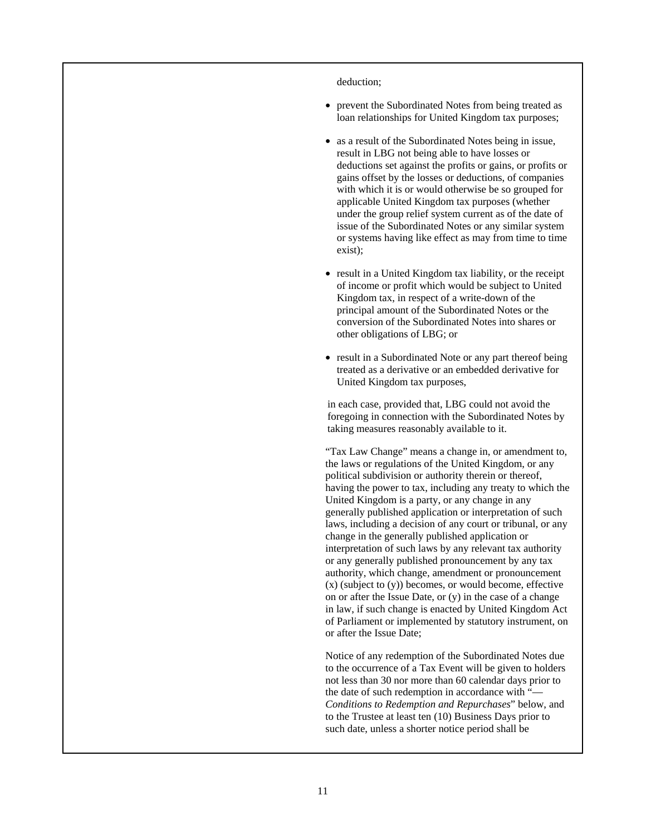deduction;

- prevent the Subordinated Notes from being treated as loan relationships for United Kingdom tax purposes;
- as a result of the Subordinated Notes being in issue, result in LBG not being able to have losses or deductions set against the profits or gains, or profits or gains offset by the losses or deductions, of companies with which it is or would otherwise be so grouped for applicable United Kingdom tax purposes (whether under the group relief system current as of the date of issue of the Subordinated Notes or any similar system or systems having like effect as may from time to time exist);
- result in a United Kingdom tax liability, or the receipt of income or profit which would be subject to United Kingdom tax, in respect of a write-down of the principal amount of the Subordinated Notes or the conversion of the Subordinated Notes into shares or other obligations of LBG; or
- result in a Subordinated Note or any part thereof being treated as a derivative or an embedded derivative for United Kingdom tax purposes,

 in each case, provided that, LBG could not avoid the foregoing in connection with the Subordinated Notes by taking measures reasonably available to it.

 "Tax Law Change" means a change in, or amendment to, the laws or regulations of the United Kingdom, or any political subdivision or authority therein or thereof, having the power to tax, including any treaty to which the United Kingdom is a party, or any change in any generally published application or interpretation of such laws, including a decision of any court or tribunal, or any change in the generally published application or interpretation of such laws by any relevant tax authority or any generally published pronouncement by any tax authority, which change, amendment or pronouncement  $(x)$  (subject to  $(y)$ ) becomes, or would become, effective on or after the Issue Date, or (y) in the case of a change in law, if such change is enacted by United Kingdom Act of Parliament or implemented by statutory instrument, on or after the Issue Date;

 Notice of any redemption of the Subordinated Notes due to the occurrence of a Tax Event will be given to holders not less than 30 nor more than 60 calendar days prior to the date of such redemption in accordance with "— *Conditions to Redemption and Repurchases*" below, and to the Trustee at least ten (10) Business Days prior to such date, unless a shorter notice period shall be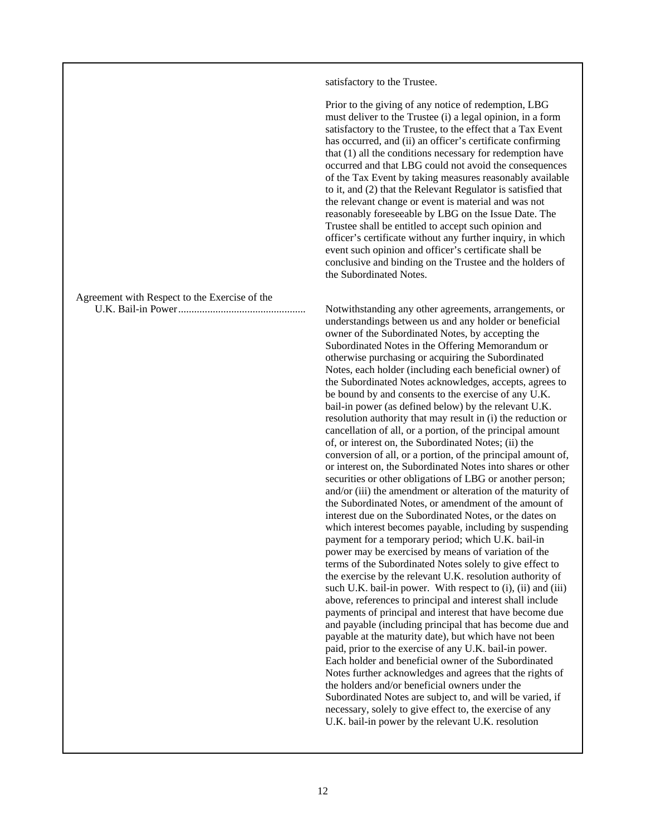satisfactory to the Trustee.

 Prior to the giving of any notice of redemption, LBG must deliver to the Trustee (i) a legal opinion, in a form satisfactory to the Trustee, to the effect that a Tax Event has occurred, and (ii) an officer's certificate confirming that (1) all the conditions necessary for redemption have occurred and that LBG could not avoid the consequences of the Tax Event by taking measures reasonably available to it, and (2) that the Relevant Regulator is satisfied that the relevant change or event is material and was not reasonably foreseeable by LBG on the Issue Date. The Trustee shall be entitled to accept such opinion and officer's certificate without any further inquiry, in which event such opinion and officer's certificate shall be conclusive and binding on the Trustee and the holders of the Subordinated Notes.

U.K. Bail-in Power ................................................ Notwithstanding any other agreements, arrangements, or understandings between us and any holder or beneficial owner of the Subordinated Notes, by accepting the Subordinated Notes in the Offering Memorandum or otherwise purchasing or acquiring the Subordinated Notes, each holder (including each beneficial owner) of the Subordinated Notes acknowledges, accepts, agrees to be bound by and consents to the exercise of any U.K. bail-in power (as defined below) by the relevant U.K. resolution authority that may result in (i) the reduction or cancellation of all, or a portion, of the principal amount of, or interest on, the Subordinated Notes; (ii) the conversion of all, or a portion, of the principal amount of, or interest on, the Subordinated Notes into shares or other securities or other obligations of LBG or another person; and/or (iii) the amendment or alteration of the maturity of the Subordinated Notes, or amendment of the amount of interest due on the Subordinated Notes, or the dates on which interest becomes payable, including by suspending payment for a temporary period; which U.K. bail-in power may be exercised by means of variation of the terms of the Subordinated Notes solely to give effect to the exercise by the relevant U.K. resolution authority of such U.K. bail-in power. With respect to (i), (ii) and (iii) above, references to principal and interest shall include payments of principal and interest that have become due and payable (including principal that has become due and payable at the maturity date), but which have not been paid, prior to the exercise of any U.K. bail-in power. Each holder and beneficial owner of the Subordinated Notes further acknowledges and agrees that the rights of the holders and/or beneficial owners under the Subordinated Notes are subject to, and will be varied, if necessary, solely to give effect to, the exercise of any U.K. bail-in power by the relevant U.K. resolution

Agreement with Respect to the Exercise of the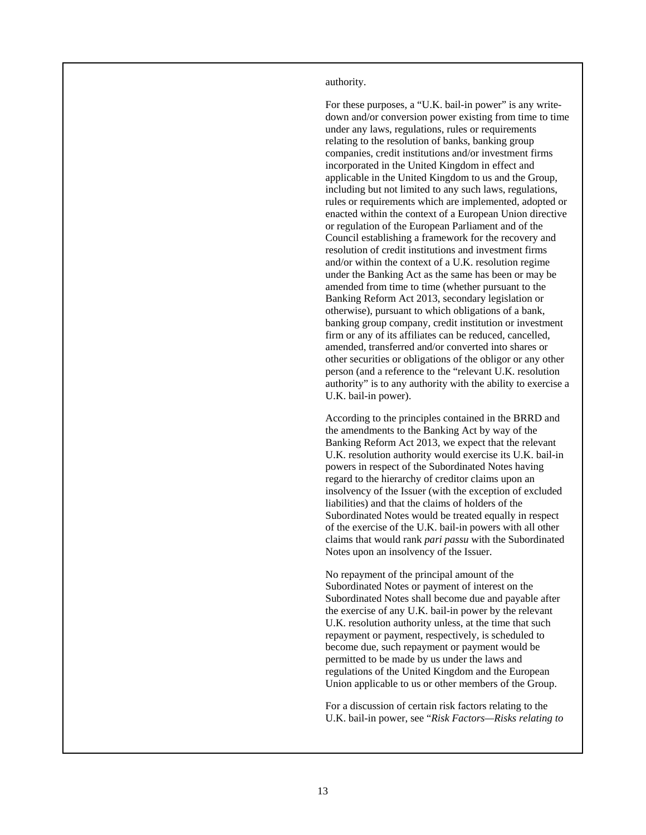authority.

 For these purposes, a "U.K. bail-in power" is any writedown and/or conversion power existing from time to time under any laws, regulations, rules or requirements relating to the resolution of banks, banking group companies, credit institutions and/or investment firms incorporated in the United Kingdom in effect and applicable in the United Kingdom to us and the Group, including but not limited to any such laws, regulations, rules or requirements which are implemented, adopted or enacted within the context of a European Union directive or regulation of the European Parliament and of the Council establishing a framework for the recovery and resolution of credit institutions and investment firms and/or within the context of a U.K. resolution regime under the Banking Act as the same has been or may be amended from time to time (whether pursuant to the Banking Reform Act 2013, secondary legislation or otherwise), pursuant to which obligations of a bank, banking group company, credit institution or investment firm or any of its affiliates can be reduced, cancelled, amended, transferred and/or converted into shares or other securities or obligations of the obligor or any other person (and a reference to the "relevant U.K. resolution authority" is to any authority with the ability to exercise a U.K. bail-in power).

 According to the principles contained in the BRRD and the amendments to the Banking Act by way of the Banking Reform Act 2013, we expect that the relevant U.K. resolution authority would exercise its U.K. bail-in powers in respect of the Subordinated Notes having regard to the hierarchy of creditor claims upon an insolvency of the Issuer (with the exception of excluded liabilities) and that the claims of holders of the Subordinated Notes would be treated equally in respect of the exercise of the U.K. bail-in powers with all other claims that would rank *pari passu* with the Subordinated Notes upon an insolvency of the Issuer.

 No repayment of the principal amount of the Subordinated Notes or payment of interest on the Subordinated Notes shall become due and payable after the exercise of any U.K. bail-in power by the relevant U.K. resolution authority unless, at the time that such repayment or payment, respectively, is scheduled to become due, such repayment or payment would be permitted to be made by us under the laws and regulations of the United Kingdom and the European Union applicable to us or other members of the Group.

 For a discussion of certain risk factors relating to the U.K. bail-in power, see "*Risk Factors—Risks relating to*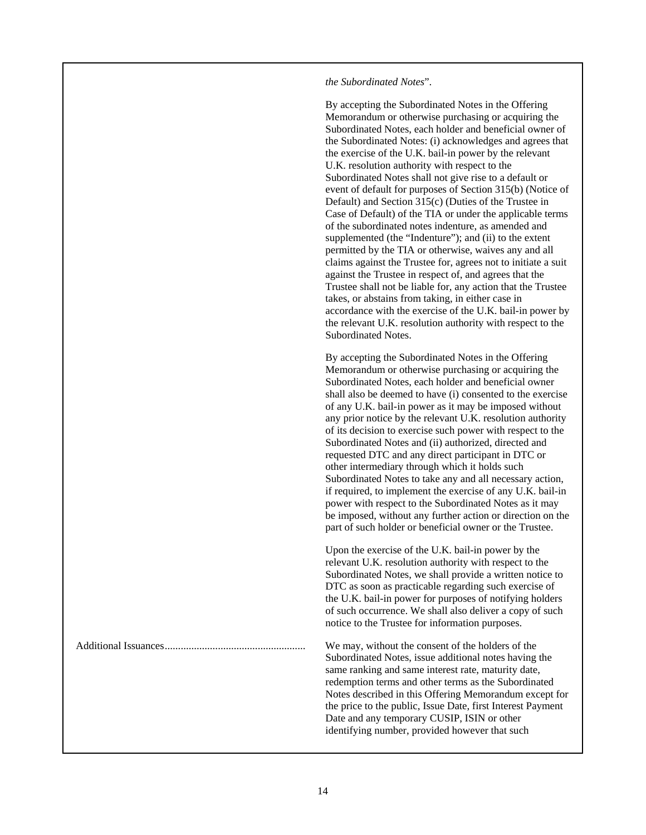# *the Subordinated Notes*".

 By accepting the Subordinated Notes in the Offering Memorandum or otherwise purchasing or acquiring the Subordinated Notes, each holder and beneficial owner of the Subordinated Notes: (i) acknowledges and agrees that the exercise of the U.K. bail-in power by the relevant U.K. resolution authority with respect to the Subordinated Notes shall not give rise to a default or event of default for purposes of Section 315(b) (Notice of Default) and Section 315(c) (Duties of the Trustee in Case of Default) of the TIA or under the applicable terms of the subordinated notes indenture, as amended and supplemented (the "Indenture"); and (ii) to the extent permitted by the TIA or otherwise, waives any and all claims against the Trustee for, agrees not to initiate a suit against the Trustee in respect of, and agrees that the Trustee shall not be liable for, any action that the Trustee takes, or abstains from taking, in either case in accordance with the exercise of the U.K. bail-in power by the relevant U.K. resolution authority with respect to the Subordinated Notes.

 By accepting the Subordinated Notes in the Offering Memorandum or otherwise purchasing or acquiring the Subordinated Notes, each holder and beneficial owner shall also be deemed to have (i) consented to the exercise of any U.K. bail-in power as it may be imposed without any prior notice by the relevant U.K. resolution authority of its decision to exercise such power with respect to the Subordinated Notes and (ii) authorized, directed and requested DTC and any direct participant in DTC or other intermediary through which it holds such Subordinated Notes to take any and all necessary action, if required, to implement the exercise of any U.K. bail-in power with respect to the Subordinated Notes as it may be imposed, without any further action or direction on the part of such holder or beneficial owner or the Trustee.

 Upon the exercise of the U.K. bail-in power by the relevant U.K. resolution authority with respect to the Subordinated Notes, we shall provide a written notice to DTC as soon as practicable regarding such exercise of the U.K. bail-in power for purposes of notifying holders of such occurrence. We shall also deliver a copy of such notice to the Trustee for information purposes.

Additional Issuances ..................................................... We may, without the consent of the holders of the Subordinated Notes, issue additional notes having the same ranking and same interest rate, maturity date, redemption terms and other terms as the Subordinated Notes described in this Offering Memorandum except for the price to the public, Issue Date, first Interest Payment Date and any temporary CUSIP, ISIN or other identifying number, provided however that such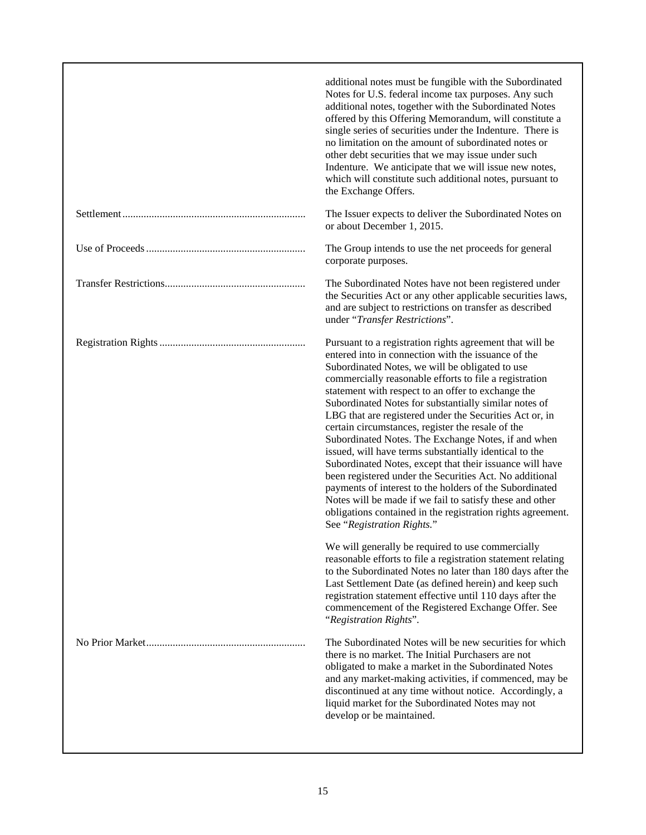| additional notes must be fungible with the Subordinated<br>Notes for U.S. federal income tax purposes. Any such<br>additional notes, together with the Subordinated Notes<br>offered by this Offering Memorandum, will constitute a<br>single series of securities under the Indenture. There is<br>no limitation on the amount of subordinated notes or<br>other debt securities that we may issue under such<br>Indenture. We anticipate that we will issue new notes,<br>which will constitute such additional notes, pursuant to<br>the Exchange Offers.                                                                                                                                                                                                                                                                                                                                                            |
|-------------------------------------------------------------------------------------------------------------------------------------------------------------------------------------------------------------------------------------------------------------------------------------------------------------------------------------------------------------------------------------------------------------------------------------------------------------------------------------------------------------------------------------------------------------------------------------------------------------------------------------------------------------------------------------------------------------------------------------------------------------------------------------------------------------------------------------------------------------------------------------------------------------------------|
| The Issuer expects to deliver the Subordinated Notes on<br>or about December 1, 2015.                                                                                                                                                                                                                                                                                                                                                                                                                                                                                                                                                                                                                                                                                                                                                                                                                                   |
| The Group intends to use the net proceeds for general<br>corporate purposes.                                                                                                                                                                                                                                                                                                                                                                                                                                                                                                                                                                                                                                                                                                                                                                                                                                            |
| The Subordinated Notes have not been registered under<br>the Securities Act or any other applicable securities laws,<br>and are subject to restrictions on transfer as described<br>under "Transfer Restrictions".                                                                                                                                                                                                                                                                                                                                                                                                                                                                                                                                                                                                                                                                                                      |
| Pursuant to a registration rights agreement that will be<br>entered into in connection with the issuance of the<br>Subordinated Notes, we will be obligated to use<br>commercially reasonable efforts to file a registration<br>statement with respect to an offer to exchange the<br>Subordinated Notes for substantially similar notes of<br>LBG that are registered under the Securities Act or, in<br>certain circumstances, register the resale of the<br>Subordinated Notes. The Exchange Notes, if and when<br>issued, will have terms substantially identical to the<br>Subordinated Notes, except that their issuance will have<br>been registered under the Securities Act. No additional<br>payments of interest to the holders of the Subordinated<br>Notes will be made if we fail to satisfy these and other<br>obligations contained in the registration rights agreement.<br>See "Registration Rights." |
| We will generally be required to use commercially<br>reasonable efforts to file a registration statement relating<br>to the Subordinated Notes no later than 180 days after the<br>Last Settlement Date (as defined herein) and keep such<br>registration statement effective until 110 days after the<br>commencement of the Registered Exchange Offer. See<br>"Registration Rights".                                                                                                                                                                                                                                                                                                                                                                                                                                                                                                                                  |
| The Subordinated Notes will be new securities for which<br>there is no market. The Initial Purchasers are not<br>obligated to make a market in the Subordinated Notes<br>and any market-making activities, if commenced, may be<br>discontinued at any time without notice. Accordingly, a<br>liquid market for the Subordinated Notes may not<br>develop or be maintained.                                                                                                                                                                                                                                                                                                                                                                                                                                                                                                                                             |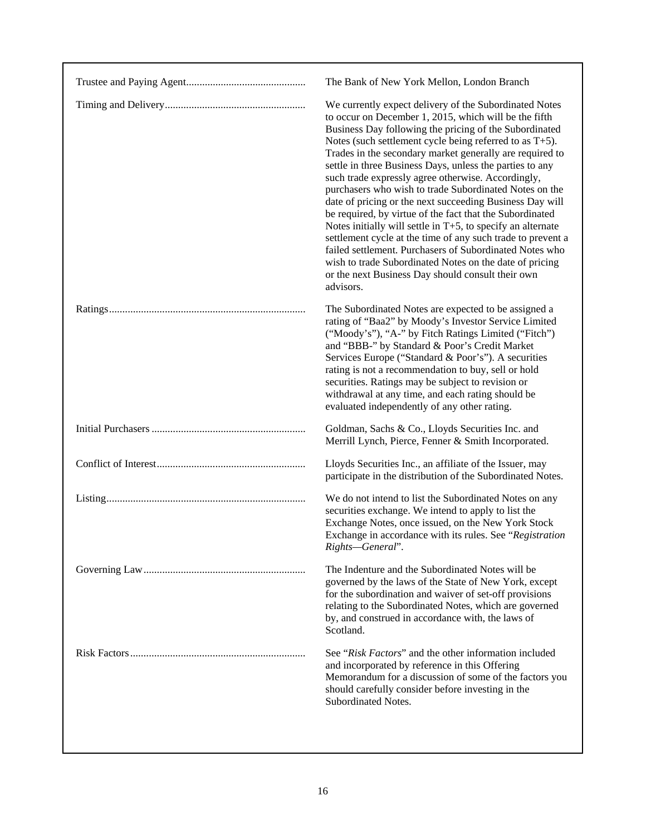| The Bank of New York Mellon, London Branch                                                                                                                                                                                                                                                                                                                                                                                                                                                                                                                                                                                                                                                                                                                                                                                                                                                                                       |
|----------------------------------------------------------------------------------------------------------------------------------------------------------------------------------------------------------------------------------------------------------------------------------------------------------------------------------------------------------------------------------------------------------------------------------------------------------------------------------------------------------------------------------------------------------------------------------------------------------------------------------------------------------------------------------------------------------------------------------------------------------------------------------------------------------------------------------------------------------------------------------------------------------------------------------|
| We currently expect delivery of the Subordinated Notes<br>to occur on December 1, 2015, which will be the fifth<br>Business Day following the pricing of the Subordinated<br>Notes (such settlement cycle being referred to as $T+5$ ).<br>Trades in the secondary market generally are required to<br>settle in three Business Days, unless the parties to any<br>such trade expressly agree otherwise. Accordingly,<br>purchasers who wish to trade Subordinated Notes on the<br>date of pricing or the next succeeding Business Day will<br>be required, by virtue of the fact that the Subordinated<br>Notes initially will settle in $T+5$ , to specify an alternate<br>settlement cycle at the time of any such trade to prevent a<br>failed settlement. Purchasers of Subordinated Notes who<br>wish to trade Subordinated Notes on the date of pricing<br>or the next Business Day should consult their own<br>advisors. |
| The Subordinated Notes are expected to be assigned a<br>rating of "Baa2" by Moody's Investor Service Limited<br>("Moody's"), "A-" by Fitch Ratings Limited ("Fitch")<br>and "BBB-" by Standard & Poor's Credit Market<br>Services Europe ("Standard & Poor's"). A securities<br>rating is not a recommendation to buy, sell or hold<br>securities. Ratings may be subject to revision or<br>withdrawal at any time, and each rating should be<br>evaluated independently of any other rating.                                                                                                                                                                                                                                                                                                                                                                                                                                    |
| Goldman, Sachs & Co., Lloyds Securities Inc. and<br>Merrill Lynch, Pierce, Fenner & Smith Incorporated.                                                                                                                                                                                                                                                                                                                                                                                                                                                                                                                                                                                                                                                                                                                                                                                                                          |
| Lloyds Securities Inc., an affiliate of the Issuer, may<br>participate in the distribution of the Subordinated Notes.                                                                                                                                                                                                                                                                                                                                                                                                                                                                                                                                                                                                                                                                                                                                                                                                            |
| We do not intend to list the Subordinated Notes on any<br>securities exchange. We intend to apply to list the<br>Exchange Notes, once issued, on the New York Stock<br>Exchange in accordance with its rules. See "Registration<br>Rights-General".                                                                                                                                                                                                                                                                                                                                                                                                                                                                                                                                                                                                                                                                              |
| The Indenture and the Subordinated Notes will be<br>governed by the laws of the State of New York, except<br>for the subordination and waiver of set-off provisions<br>relating to the Subordinated Notes, which are governed<br>by, and construed in accordance with, the laws of<br>Scotland.                                                                                                                                                                                                                                                                                                                                                                                                                                                                                                                                                                                                                                  |
| See "Risk Factors" and the other information included<br>and incorporated by reference in this Offering<br>Memorandum for a discussion of some of the factors you<br>should carefully consider before investing in the<br>Subordinated Notes.                                                                                                                                                                                                                                                                                                                                                                                                                                                                                                                                                                                                                                                                                    |
|                                                                                                                                                                                                                                                                                                                                                                                                                                                                                                                                                                                                                                                                                                                                                                                                                                                                                                                                  |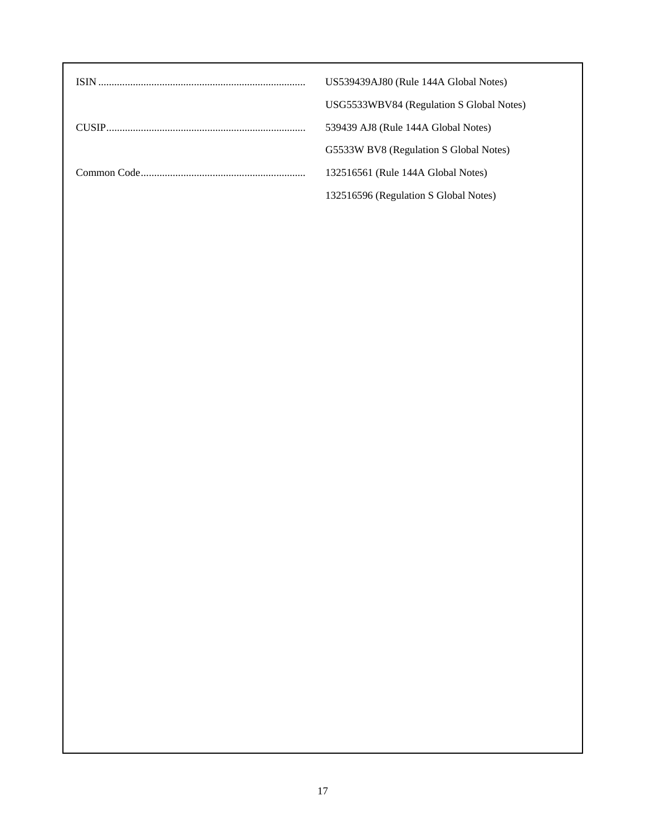| US539439AJ80 (Rule 144A Global Notes)    |
|------------------------------------------|
| USG5533WBV84 (Regulation S Global Notes) |
| 539439 AJ8 (Rule 144A Global Notes)      |
| G5533W BV8 (Regulation S Global Notes)   |
| 132516561 (Rule 144A Global Notes)       |
| 132516596 (Regulation S Global Notes)    |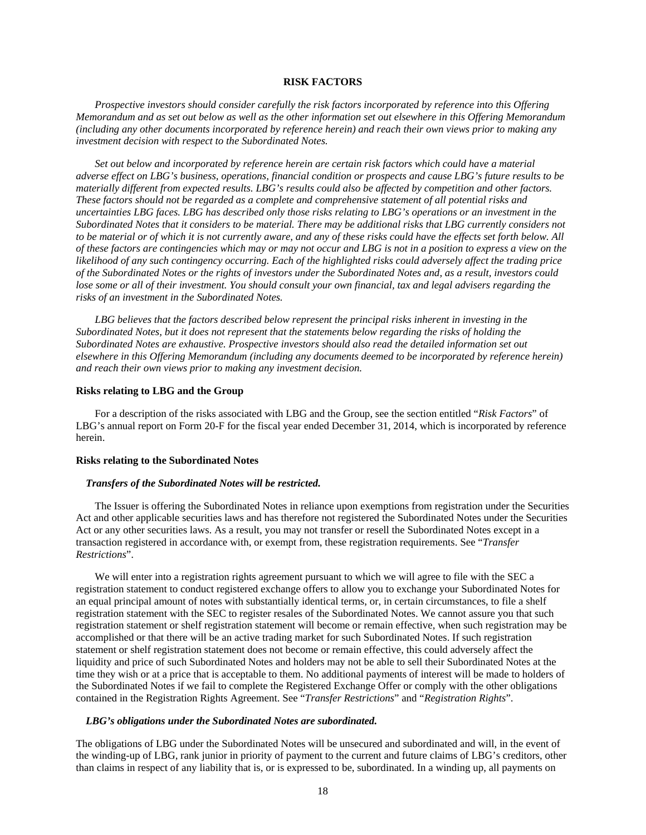# **RISK FACTORS**

*Prospective investors should consider carefully the risk factors incorporated by reference into this Offering Memorandum and as set out below as well as the other information set out elsewhere in this Offering Memorandum (including any other documents incorporated by reference herein) and reach their own views prior to making any investment decision with respect to the Subordinated Notes.* 

*Set out below and incorporated by reference herein are certain risk factors which could have a material adverse effect on LBG's business, operations, financial condition or prospects and cause LBG's future results to be materially different from expected results. LBG's results could also be affected by competition and other factors. These factors should not be regarded as a complete and comprehensive statement of all potential risks and uncertainties LBG faces. LBG has described only those risks relating to LBG's operations or an investment in the Subordinated Notes that it considers to be material. There may be additional risks that LBG currently considers not to be material or of which it is not currently aware, and any of these risks could have the effects set forth below. All of these factors are contingencies which may or may not occur and LBG is not in a position to express a view on the likelihood of any such contingency occurring. Each of the highlighted risks could adversely affect the trading price of the Subordinated Notes or the rights of investors under the Subordinated Notes and, as a result, investors could lose some or all of their investment. You should consult your own financial, tax and legal advisers regarding the risks of an investment in the Subordinated Notes.* 

*LBG believes that the factors described below represent the principal risks inherent in investing in the Subordinated Notes, but it does not represent that the statements below regarding the risks of holding the Subordinated Notes are exhaustive. Prospective investors should also read the detailed information set out elsewhere in this Offering Memorandum (including any documents deemed to be incorporated by reference herein) and reach their own views prior to making any investment decision.* 

### **Risks relating to LBG and the Group**

For a description of the risks associated with LBG and the Group, see the section entitled "*Risk Factors*" of LBG's annual report on Form 20-F for the fiscal year ended December 31, 2014, which is incorporated by reference herein.

#### **Risks relating to the Subordinated Notes**

#### *Transfers of the Subordinated Notes will be restricted.*

The Issuer is offering the Subordinated Notes in reliance upon exemptions from registration under the Securities Act and other applicable securities laws and has therefore not registered the Subordinated Notes under the Securities Act or any other securities laws. As a result, you may not transfer or resell the Subordinated Notes except in a transaction registered in accordance with, or exempt from, these registration requirements. See "*Transfer Restrictions*".

We will enter into a registration rights agreement pursuant to which we will agree to file with the SEC a registration statement to conduct registered exchange offers to allow you to exchange your Subordinated Notes for an equal principal amount of notes with substantially identical terms, or, in certain circumstances, to file a shelf registration statement with the SEC to register resales of the Subordinated Notes. We cannot assure you that such registration statement or shelf registration statement will become or remain effective, when such registration may be accomplished or that there will be an active trading market for such Subordinated Notes. If such registration statement or shelf registration statement does not become or remain effective, this could adversely affect the liquidity and price of such Subordinated Notes and holders may not be able to sell their Subordinated Notes at the time they wish or at a price that is acceptable to them. No additional payments of interest will be made to holders of the Subordinated Notes if we fail to complete the Registered Exchange Offer or comply with the other obligations contained in the Registration Rights Agreement. See "*Transfer Restrictions*" and "*Registration Rights*".

#### *LBG's obligations under the Subordinated Notes are subordinated.*

The obligations of LBG under the Subordinated Notes will be unsecured and subordinated and will, in the event of the winding-up of LBG, rank junior in priority of payment to the current and future claims of LBG's creditors, other than claims in respect of any liability that is, or is expressed to be, subordinated. In a winding up, all payments on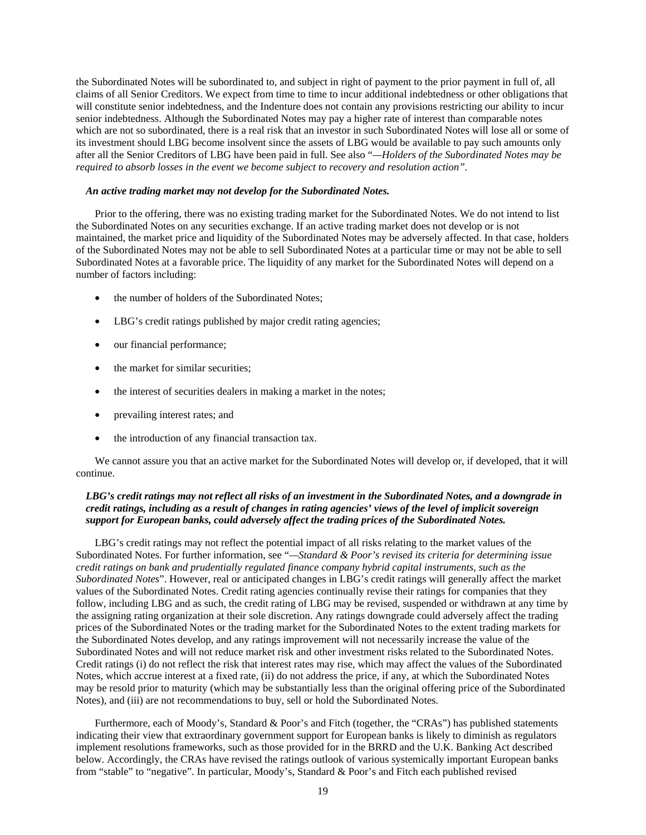the Subordinated Notes will be subordinated to, and subject in right of payment to the prior payment in full of, all claims of all Senior Creditors. We expect from time to time to incur additional indebtedness or other obligations that will constitute senior indebtedness, and the Indenture does not contain any provisions restricting our ability to incur senior indebtedness. Although the Subordinated Notes may pay a higher rate of interest than comparable notes which are not so subordinated, there is a real risk that an investor in such Subordinated Notes will lose all or some of its investment should LBG become insolvent since the assets of LBG would be available to pay such amounts only after all the Senior Creditors of LBG have been paid in full. See also "*—Holders of the Subordinated Notes may be required to absorb losses in the event we become subject to recovery and resolution action".* 

## *An active trading market may not develop for the Subordinated Notes.*

Prior to the offering, there was no existing trading market for the Subordinated Notes. We do not intend to list the Subordinated Notes on any securities exchange. If an active trading market does not develop or is not maintained, the market price and liquidity of the Subordinated Notes may be adversely affected. In that case, holders of the Subordinated Notes may not be able to sell Subordinated Notes at a particular time or may not be able to sell Subordinated Notes at a favorable price. The liquidity of any market for the Subordinated Notes will depend on a number of factors including:

- the number of holders of the Subordinated Notes:
- LBG's credit ratings published by major credit rating agencies;
- our financial performance;
- the market for similar securities:
- the interest of securities dealers in making a market in the notes;
- prevailing interest rates; and
- the introduction of any financial transaction tax.

We cannot assure you that an active market for the Subordinated Notes will develop or, if developed, that it will continue.

# *LBG's credit ratings may not reflect all risks of an investment in the Subordinated Notes, and a downgrade in credit ratings, including as a result of changes in rating agencies' views of the level of implicit sovereign support for European banks, could adversely affect the trading prices of the Subordinated Notes.*

LBG's credit ratings may not reflect the potential impact of all risks relating to the market values of the Subordinated Notes. For further information, see "*—Standard & Poor's revised its criteria for determining issue credit ratings on bank and prudentially regulated finance company hybrid capital instruments, such as the Subordinated Notes*". However, real or anticipated changes in LBG's credit ratings will generally affect the market values of the Subordinated Notes. Credit rating agencies continually revise their ratings for companies that they follow, including LBG and as such, the credit rating of LBG may be revised, suspended or withdrawn at any time by the assigning rating organization at their sole discretion. Any ratings downgrade could adversely affect the trading prices of the Subordinated Notes or the trading market for the Subordinated Notes to the extent trading markets for the Subordinated Notes develop, and any ratings improvement will not necessarily increase the value of the Subordinated Notes and will not reduce market risk and other investment risks related to the Subordinated Notes. Credit ratings (i) do not reflect the risk that interest rates may rise, which may affect the values of the Subordinated Notes, which accrue interest at a fixed rate, (ii) do not address the price, if any, at which the Subordinated Notes may be resold prior to maturity (which may be substantially less than the original offering price of the Subordinated Notes), and (iii) are not recommendations to buy, sell or hold the Subordinated Notes.

Furthermore, each of Moody's, Standard & Poor's and Fitch (together, the "CRAs") has published statements indicating their view that extraordinary government support for European banks is likely to diminish as regulators implement resolutions frameworks, such as those provided for in the BRRD and the U.K. Banking Act described below. Accordingly, the CRAs have revised the ratings outlook of various systemically important European banks from "stable" to "negative". In particular, Moody's, Standard & Poor's and Fitch each published revised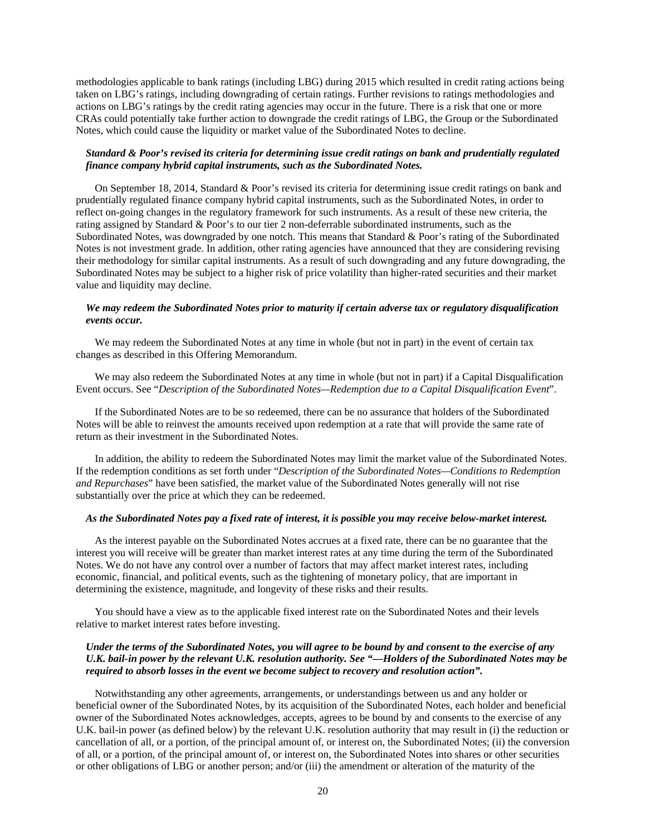methodologies applicable to bank ratings (including LBG) during 2015 which resulted in credit rating actions being taken on LBG's ratings, including downgrading of certain ratings. Further revisions to ratings methodologies and actions on LBG's ratings by the credit rating agencies may occur in the future. There is a risk that one or more CRAs could potentially take further action to downgrade the credit ratings of LBG, the Group or the Subordinated Notes, which could cause the liquidity or market value of the Subordinated Notes to decline.

# *Standard & Poor's revised its criteria for determining issue credit ratings on bank and prudentially regulated finance company hybrid capital instruments, such as the Subordinated Notes.*

On September 18, 2014, Standard & Poor's revised its criteria for determining issue credit ratings on bank and prudentially regulated finance company hybrid capital instruments, such as the Subordinated Notes, in order to reflect on-going changes in the regulatory framework for such instruments. As a result of these new criteria, the rating assigned by Standard & Poor's to our tier 2 non-deferrable subordinated instruments, such as the Subordinated Notes, was downgraded by one notch. This means that Standard & Poor's rating of the Subordinated Notes is not investment grade. In addition, other rating agencies have announced that they are considering revising their methodology for similar capital instruments. As a result of such downgrading and any future downgrading, the Subordinated Notes may be subject to a higher risk of price volatility than higher-rated securities and their market value and liquidity may decline.

# *We may redeem the Subordinated Notes prior to maturity if certain adverse tax or regulatory disqualification events occur.*

We may redeem the Subordinated Notes at any time in whole (but not in part) in the event of certain tax changes as described in this Offering Memorandum.

We may also redeem the Subordinated Notes at any time in whole (but not in part) if a Capital Disqualification Event occurs. See "*Description of the Subordinated Notes—Redemption due to a Capital Disqualification Event*".

If the Subordinated Notes are to be so redeemed, there can be no assurance that holders of the Subordinated Notes will be able to reinvest the amounts received upon redemption at a rate that will provide the same rate of return as their investment in the Subordinated Notes.

In addition, the ability to redeem the Subordinated Notes may limit the market value of the Subordinated Notes. If the redemption conditions as set forth under "*Description of the Subordinated Notes—Conditions to Redemption and Repurchases*" have been satisfied, the market value of the Subordinated Notes generally will not rise substantially over the price at which they can be redeemed.

# *As the Subordinated Notes pay a fixed rate of interest, it is possible you may receive below-market interest.*

As the interest payable on the Subordinated Notes accrues at a fixed rate, there can be no guarantee that the interest you will receive will be greater than market interest rates at any time during the term of the Subordinated Notes. We do not have any control over a number of factors that may affect market interest rates, including economic, financial, and political events, such as the tightening of monetary policy, that are important in determining the existence, magnitude, and longevity of these risks and their results.

You should have a view as to the applicable fixed interest rate on the Subordinated Notes and their levels relative to market interest rates before investing.

# *Under the terms of the Subordinated Notes, you will agree to be bound by and consent to the exercise of any U.K. bail-in power by the relevant U.K. resolution authority. See "—Holders of the Subordinated Notes may be required to absorb losses in the event we become subject to recovery and resolution action".*

Notwithstanding any other agreements, arrangements, or understandings between us and any holder or beneficial owner of the Subordinated Notes, by its acquisition of the Subordinated Notes, each holder and beneficial owner of the Subordinated Notes acknowledges, accepts, agrees to be bound by and consents to the exercise of any U.K. bail-in power (as defined below) by the relevant U.K. resolution authority that may result in (i) the reduction or cancellation of all, or a portion, of the principal amount of, or interest on, the Subordinated Notes; (ii) the conversion of all, or a portion, of the principal amount of, or interest on, the Subordinated Notes into shares or other securities or other obligations of LBG or another person; and/or (iii) the amendment or alteration of the maturity of the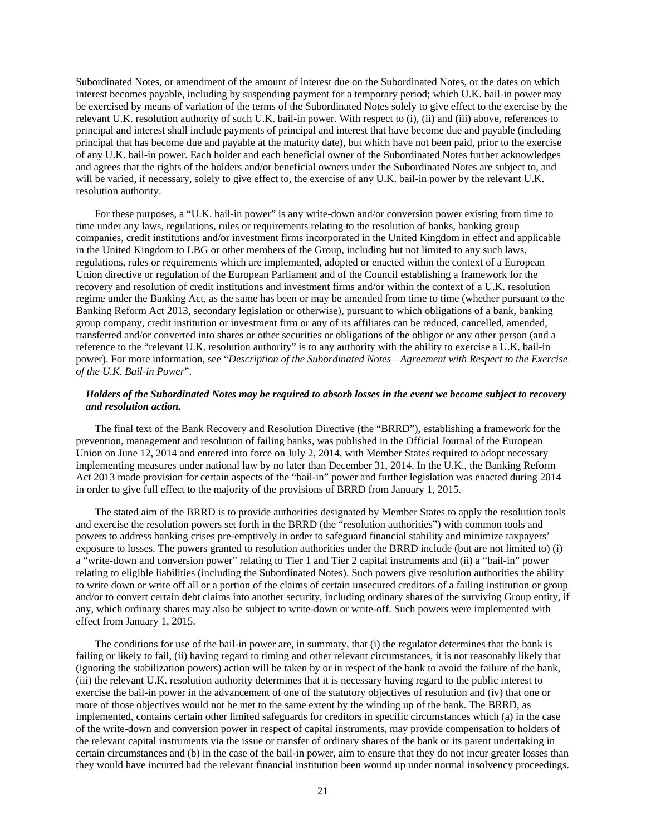Subordinated Notes, or amendment of the amount of interest due on the Subordinated Notes, or the dates on which interest becomes payable, including by suspending payment for a temporary period; which U.K. bail-in power may be exercised by means of variation of the terms of the Subordinated Notes solely to give effect to the exercise by the relevant U.K. resolution authority of such U.K. bail-in power. With respect to (i), (ii) and (iii) above, references to principal and interest shall include payments of principal and interest that have become due and payable (including principal that has become due and payable at the maturity date), but which have not been paid, prior to the exercise of any U.K. bail-in power. Each holder and each beneficial owner of the Subordinated Notes further acknowledges and agrees that the rights of the holders and/or beneficial owners under the Subordinated Notes are subject to, and will be varied, if necessary, solely to give effect to, the exercise of any U.K. bail-in power by the relevant U.K. resolution authority.

For these purposes, a "U.K. bail-in power" is any write-down and/or conversion power existing from time to time under any laws, regulations, rules or requirements relating to the resolution of banks, banking group companies, credit institutions and/or investment firms incorporated in the United Kingdom in effect and applicable in the United Kingdom to LBG or other members of the Group, including but not limited to any such laws, regulations, rules or requirements which are implemented, adopted or enacted within the context of a European Union directive or regulation of the European Parliament and of the Council establishing a framework for the recovery and resolution of credit institutions and investment firms and/or within the context of a U.K. resolution regime under the Banking Act, as the same has been or may be amended from time to time (whether pursuant to the Banking Reform Act 2013, secondary legislation or otherwise), pursuant to which obligations of a bank, banking group company, credit institution or investment firm or any of its affiliates can be reduced, cancelled, amended, transferred and/or converted into shares or other securities or obligations of the obligor or any other person (and a reference to the "relevant U.K. resolution authority" is to any authority with the ability to exercise a U.K. bail-in power). For more information, see "*Description of the Subordinated Notes—Agreement with Respect to the Exercise of the U.K. Bail-in Power*".

# *Holders of the Subordinated Notes may be required to absorb losses in the event we become subject to recovery and resolution action.*

The final text of the Bank Recovery and Resolution Directive (the "BRRD"), establishing a framework for the prevention, management and resolution of failing banks, was published in the Official Journal of the European Union on June 12, 2014 and entered into force on July 2, 2014, with Member States required to adopt necessary implementing measures under national law by no later than December 31, 2014. In the U.K., the Banking Reform Act 2013 made provision for certain aspects of the "bail-in" power and further legislation was enacted during 2014 in order to give full effect to the majority of the provisions of BRRD from January 1, 2015.

The stated aim of the BRRD is to provide authorities designated by Member States to apply the resolution tools and exercise the resolution powers set forth in the BRRD (the "resolution authorities") with common tools and powers to address banking crises pre-emptively in order to safeguard financial stability and minimize taxpayers' exposure to losses. The powers granted to resolution authorities under the BRRD include (but are not limited to) (i) a "write-down and conversion power" relating to Tier 1 and Tier 2 capital instruments and (ii) a "bail-in" power relating to eligible liabilities (including the Subordinated Notes). Such powers give resolution authorities the ability to write down or write off all or a portion of the claims of certain unsecured creditors of a failing institution or group and/or to convert certain debt claims into another security, including ordinary shares of the surviving Group entity, if any, which ordinary shares may also be subject to write-down or write-off. Such powers were implemented with effect from January 1, 2015.

The conditions for use of the bail-in power are, in summary, that (i) the regulator determines that the bank is failing or likely to fail, (ii) having regard to timing and other relevant circumstances, it is not reasonably likely that (ignoring the stabilization powers) action will be taken by or in respect of the bank to avoid the failure of the bank, (iii) the relevant U.K. resolution authority determines that it is necessary having regard to the public interest to exercise the bail-in power in the advancement of one of the statutory objectives of resolution and (iv) that one or more of those objectives would not be met to the same extent by the winding up of the bank. The BRRD, as implemented, contains certain other limited safeguards for creditors in specific circumstances which (a) in the case of the write-down and conversion power in respect of capital instruments, may provide compensation to holders of the relevant capital instruments via the issue or transfer of ordinary shares of the bank or its parent undertaking in certain circumstances and (b) in the case of the bail-in power, aim to ensure that they do not incur greater losses than they would have incurred had the relevant financial institution been wound up under normal insolvency proceedings.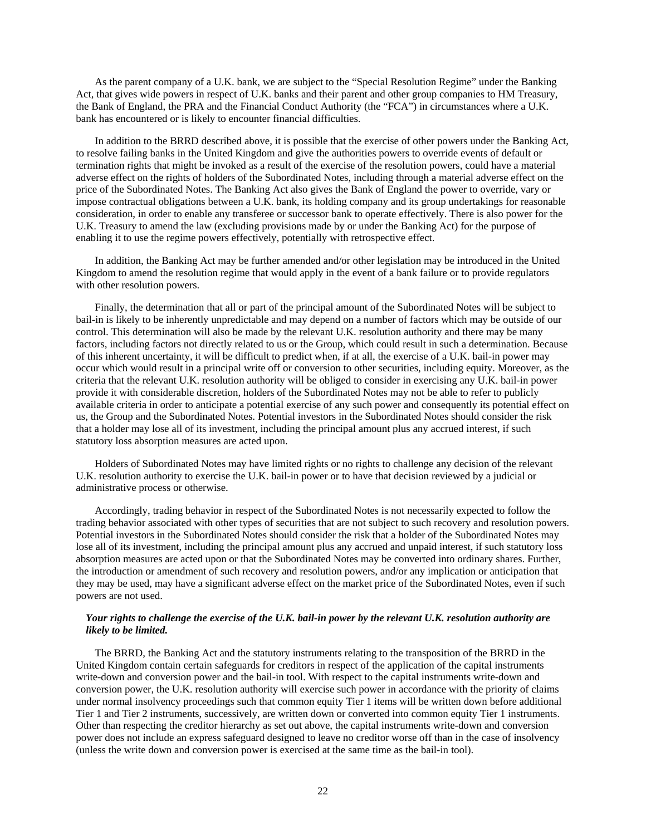As the parent company of a U.K. bank, we are subject to the "Special Resolution Regime" under the Banking Act, that gives wide powers in respect of U.K. banks and their parent and other group companies to HM Treasury, the Bank of England, the PRA and the Financial Conduct Authority (the "FCA") in circumstances where a U.K. bank has encountered or is likely to encounter financial difficulties.

In addition to the BRRD described above, it is possible that the exercise of other powers under the Banking Act, to resolve failing banks in the United Kingdom and give the authorities powers to override events of default or termination rights that might be invoked as a result of the exercise of the resolution powers, could have a material adverse effect on the rights of holders of the Subordinated Notes, including through a material adverse effect on the price of the Subordinated Notes. The Banking Act also gives the Bank of England the power to override, vary or impose contractual obligations between a U.K. bank, its holding company and its group undertakings for reasonable consideration, in order to enable any transferee or successor bank to operate effectively. There is also power for the U.K. Treasury to amend the law (excluding provisions made by or under the Banking Act) for the purpose of enabling it to use the regime powers effectively, potentially with retrospective effect.

In addition, the Banking Act may be further amended and/or other legislation may be introduced in the United Kingdom to amend the resolution regime that would apply in the event of a bank failure or to provide regulators with other resolution powers.

Finally, the determination that all or part of the principal amount of the Subordinated Notes will be subject to bail-in is likely to be inherently unpredictable and may depend on a number of factors which may be outside of our control. This determination will also be made by the relevant U.K. resolution authority and there may be many factors, including factors not directly related to us or the Group, which could result in such a determination. Because of this inherent uncertainty, it will be difficult to predict when, if at all, the exercise of a U.K. bail-in power may occur which would result in a principal write off or conversion to other securities, including equity. Moreover, as the criteria that the relevant U.K. resolution authority will be obliged to consider in exercising any U.K. bail-in power provide it with considerable discretion, holders of the Subordinated Notes may not be able to refer to publicly available criteria in order to anticipate a potential exercise of any such power and consequently its potential effect on us, the Group and the Subordinated Notes. Potential investors in the Subordinated Notes should consider the risk that a holder may lose all of its investment, including the principal amount plus any accrued interest, if such statutory loss absorption measures are acted upon.

Holders of Subordinated Notes may have limited rights or no rights to challenge any decision of the relevant U.K. resolution authority to exercise the U.K. bail-in power or to have that decision reviewed by a judicial or administrative process or otherwise.

Accordingly, trading behavior in respect of the Subordinated Notes is not necessarily expected to follow the trading behavior associated with other types of securities that are not subject to such recovery and resolution powers. Potential investors in the Subordinated Notes should consider the risk that a holder of the Subordinated Notes may lose all of its investment, including the principal amount plus any accrued and unpaid interest, if such statutory loss absorption measures are acted upon or that the Subordinated Notes may be converted into ordinary shares. Further, the introduction or amendment of such recovery and resolution powers, and/or any implication or anticipation that they may be used, may have a significant adverse effect on the market price of the Subordinated Notes, even if such powers are not used.

## *Your rights to challenge the exercise of the U.K. bail-in power by the relevant U.K. resolution authority are likely to be limited.*

The BRRD, the Banking Act and the statutory instruments relating to the transposition of the BRRD in the United Kingdom contain certain safeguards for creditors in respect of the application of the capital instruments write-down and conversion power and the bail-in tool. With respect to the capital instruments write-down and conversion power, the U.K. resolution authority will exercise such power in accordance with the priority of claims under normal insolvency proceedings such that common equity Tier 1 items will be written down before additional Tier 1 and Tier 2 instruments, successively, are written down or converted into common equity Tier 1 instruments. Other than respecting the creditor hierarchy as set out above, the capital instruments write-down and conversion power does not include an express safeguard designed to leave no creditor worse off than in the case of insolvency (unless the write down and conversion power is exercised at the same time as the bail-in tool).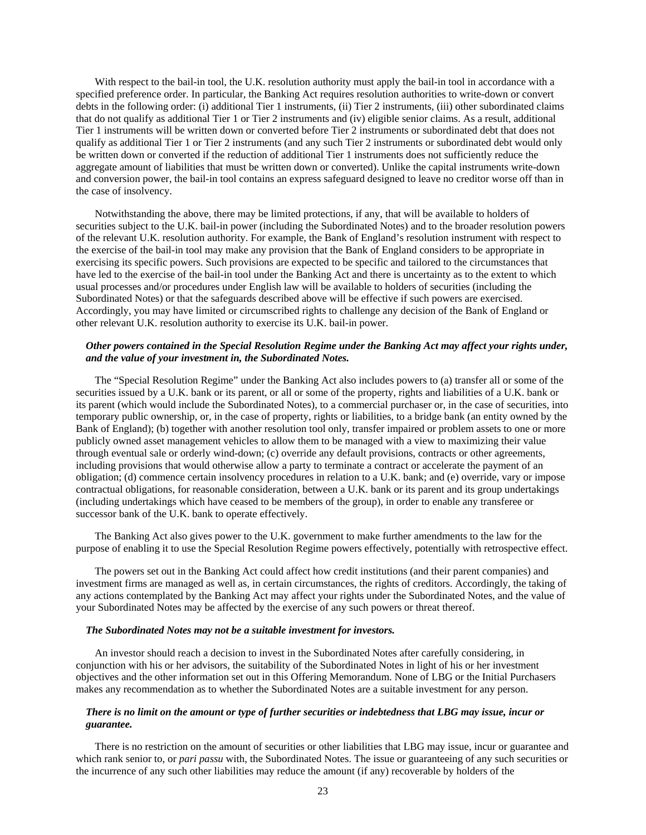With respect to the bail-in tool, the U.K. resolution authority must apply the bail-in tool in accordance with a specified preference order. In particular, the Banking Act requires resolution authorities to write-down or convert debts in the following order: (i) additional Tier 1 instruments, (ii) Tier 2 instruments, (iii) other subordinated claims that do not qualify as additional Tier 1 or Tier 2 instruments and (iv) eligible senior claims. As a result, additional Tier 1 instruments will be written down or converted before Tier 2 instruments or subordinated debt that does not qualify as additional Tier 1 or Tier 2 instruments (and any such Tier 2 instruments or subordinated debt would only be written down or converted if the reduction of additional Tier 1 instruments does not sufficiently reduce the aggregate amount of liabilities that must be written down or converted). Unlike the capital instruments write-down and conversion power, the bail-in tool contains an express safeguard designed to leave no creditor worse off than in the case of insolvency.

Notwithstanding the above, there may be limited protections, if any, that will be available to holders of securities subject to the U.K. bail-in power (including the Subordinated Notes) and to the broader resolution powers of the relevant U.K. resolution authority. For example, the Bank of England's resolution instrument with respect to the exercise of the bail-in tool may make any provision that the Bank of England considers to be appropriate in exercising its specific powers. Such provisions are expected to be specific and tailored to the circumstances that have led to the exercise of the bail-in tool under the Banking Act and there is uncertainty as to the extent to which usual processes and/or procedures under English law will be available to holders of securities (including the Subordinated Notes) or that the safeguards described above will be effective if such powers are exercised. Accordingly, you may have limited or circumscribed rights to challenge any decision of the Bank of England or other relevant U.K. resolution authority to exercise its U.K. bail-in power.

# *Other powers contained in the Special Resolution Regime under the Banking Act may affect your rights under, and the value of your investment in, the Subordinated Notes.*

The "Special Resolution Regime" under the Banking Act also includes powers to (a) transfer all or some of the securities issued by a U.K. bank or its parent, or all or some of the property, rights and liabilities of a U.K. bank or its parent (which would include the Subordinated Notes), to a commercial purchaser or, in the case of securities, into temporary public ownership, or, in the case of property, rights or liabilities, to a bridge bank (an entity owned by the Bank of England); (b) together with another resolution tool only, transfer impaired or problem assets to one or more publicly owned asset management vehicles to allow them to be managed with a view to maximizing their value through eventual sale or orderly wind-down; (c) override any default provisions, contracts or other agreements, including provisions that would otherwise allow a party to terminate a contract or accelerate the payment of an obligation; (d) commence certain insolvency procedures in relation to a U.K. bank; and (e) override, vary or impose contractual obligations, for reasonable consideration, between a U.K. bank or its parent and its group undertakings (including undertakings which have ceased to be members of the group), in order to enable any transferee or successor bank of the U.K. bank to operate effectively.

The Banking Act also gives power to the U.K. government to make further amendments to the law for the purpose of enabling it to use the Special Resolution Regime powers effectively, potentially with retrospective effect.

The powers set out in the Banking Act could affect how credit institutions (and their parent companies) and investment firms are managed as well as, in certain circumstances, the rights of creditors. Accordingly, the taking of any actions contemplated by the Banking Act may affect your rights under the Subordinated Notes, and the value of your Subordinated Notes may be affected by the exercise of any such powers or threat thereof.

#### *The Subordinated Notes may not be a suitable investment for investors.*

An investor should reach a decision to invest in the Subordinated Notes after carefully considering, in conjunction with his or her advisors, the suitability of the Subordinated Notes in light of his or her investment objectives and the other information set out in this Offering Memorandum. None of LBG or the Initial Purchasers makes any recommendation as to whether the Subordinated Notes are a suitable investment for any person.

# *There is no limit on the amount or type of further securities or indebtedness that LBG may issue, incur or guarantee.*

There is no restriction on the amount of securities or other liabilities that LBG may issue, incur or guarantee and which rank senior to, or *pari passu* with, the Subordinated Notes. The issue or guaranteeing of any such securities or the incurrence of any such other liabilities may reduce the amount (if any) recoverable by holders of the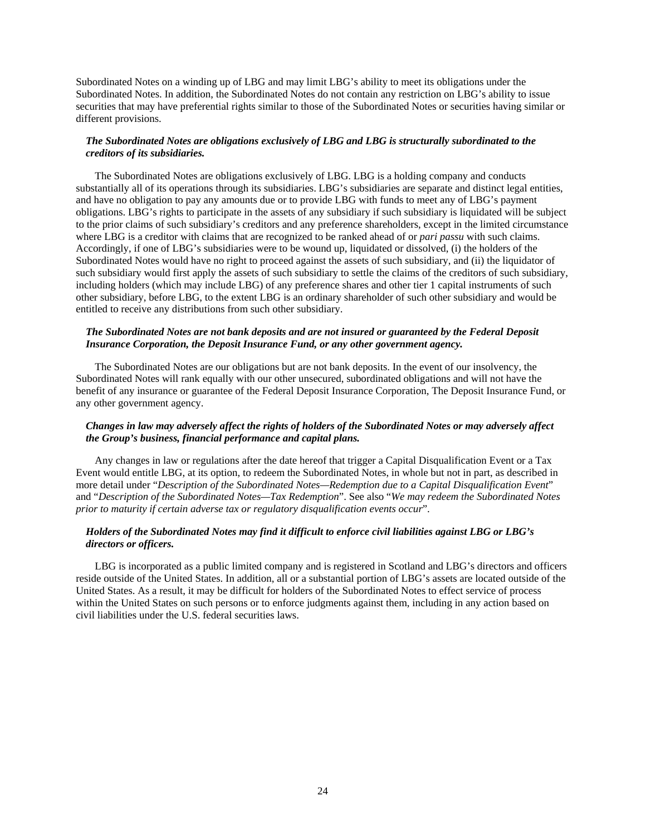Subordinated Notes on a winding up of LBG and may limit LBG's ability to meet its obligations under the Subordinated Notes. In addition, the Subordinated Notes do not contain any restriction on LBG's ability to issue securities that may have preferential rights similar to those of the Subordinated Notes or securities having similar or different provisions.

# *The Subordinated Notes are obligations exclusively of LBG and LBG is structurally subordinated to the creditors of its subsidiaries.*

The Subordinated Notes are obligations exclusively of LBG. LBG is a holding company and conducts substantially all of its operations through its subsidiaries. LBG's subsidiaries are separate and distinct legal entities, and have no obligation to pay any amounts due or to provide LBG with funds to meet any of LBG's payment obligations. LBG's rights to participate in the assets of any subsidiary if such subsidiary is liquidated will be subject to the prior claims of such subsidiary's creditors and any preference shareholders, except in the limited circumstance where LBG is a creditor with claims that are recognized to be ranked ahead of or *pari passu* with such claims. Accordingly, if one of LBG's subsidiaries were to be wound up, liquidated or dissolved, (i) the holders of the Subordinated Notes would have no right to proceed against the assets of such subsidiary, and (ii) the liquidator of such subsidiary would first apply the assets of such subsidiary to settle the claims of the creditors of such subsidiary, including holders (which may include LBG) of any preference shares and other tier 1 capital instruments of such other subsidiary, before LBG, to the extent LBG is an ordinary shareholder of such other subsidiary and would be entitled to receive any distributions from such other subsidiary.

# *The Subordinated Notes are not bank deposits and are not insured or guaranteed by the Federal Deposit Insurance Corporation, the Deposit Insurance Fund, or any other government agency.*

The Subordinated Notes are our obligations but are not bank deposits. In the event of our insolvency, the Subordinated Notes will rank equally with our other unsecured, subordinated obligations and will not have the benefit of any insurance or guarantee of the Federal Deposit Insurance Corporation, The Deposit Insurance Fund, or any other government agency.

# *Changes in law may adversely affect the rights of holders of the Subordinated Notes or may adversely affect the Group's business, financial performance and capital plans.*

Any changes in law or regulations after the date hereof that trigger a Capital Disqualification Event or a Tax Event would entitle LBG, at its option, to redeem the Subordinated Notes, in whole but not in part, as described in more detail under "*Description of the Subordinated Notes—Redemption due to a Capital Disqualification Event*" and "*Description of the Subordinated Notes—Tax Redemption*". See also "*We may redeem the Subordinated Notes prior to maturity if certain adverse tax or regulatory disqualification events occur*".

# *Holders of the Subordinated Notes may find it difficult to enforce civil liabilities against LBG or LBG's directors or officers.*

LBG is incorporated as a public limited company and is registered in Scotland and LBG's directors and officers reside outside of the United States. In addition, all or a substantial portion of LBG's assets are located outside of the United States. As a result, it may be difficult for holders of the Subordinated Notes to effect service of process within the United States on such persons or to enforce judgments against them, including in any action based on civil liabilities under the U.S. federal securities laws.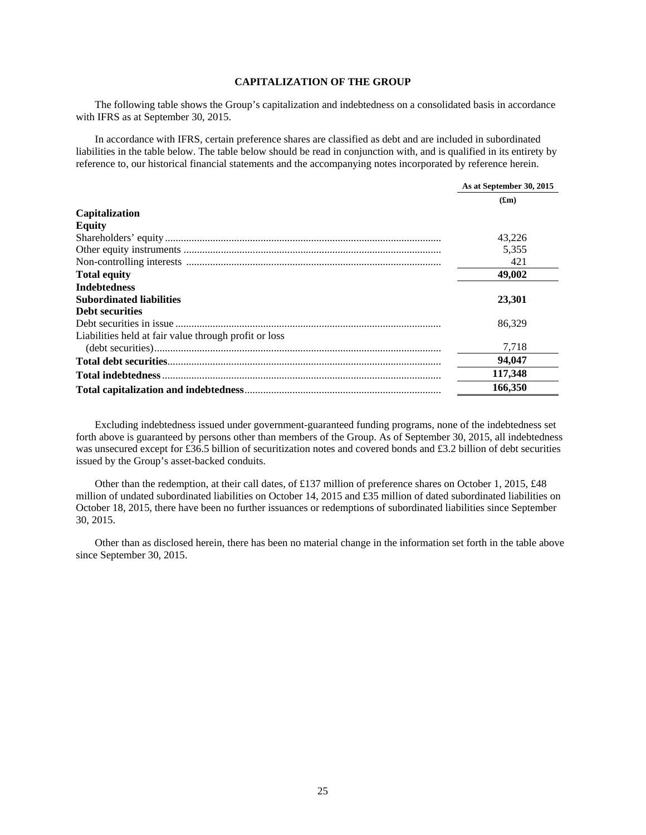# **CAPITALIZATION OF THE GROUP**

The following table shows the Group's capitalization and indebtedness on a consolidated basis in accordance with IFRS as at September 30, 2015.

In accordance with IFRS, certain preference shares are classified as debt and are included in subordinated liabilities in the table below. The table below should be read in conjunction with, and is qualified in its entirety by reference to, our historical financial statements and the accompanying notes incorporated by reference herein.

|                                                       | As at September 30, 2015 |
|-------------------------------------------------------|--------------------------|
|                                                       | (f <sub>rm</sub> )       |
| Capitalization                                        |                          |
| <b>Equity</b>                                         |                          |
|                                                       | 43.226                   |
|                                                       | 5,355                    |
|                                                       | 421                      |
| <b>Total equity</b>                                   | 49,002                   |
| <b>Indebtedness</b>                                   |                          |
| <b>Subordinated liabilities</b>                       | 23,301                   |
| <b>Debt securities</b>                                |                          |
|                                                       | 86.329                   |
| Liabilities held at fair value through profit or loss |                          |
|                                                       | 7,718                    |
|                                                       | 94,047                   |
|                                                       | 117,348                  |
|                                                       | 166,350                  |

Excluding indebtedness issued under government-guaranteed funding programs, none of the indebtedness set forth above is guaranteed by persons other than members of the Group. As of September 30, 2015, all indebtedness was unsecured except for £36.5 billion of securitization notes and covered bonds and £3.2 billion of debt securities issued by the Group's asset-backed conduits.

Other than the redemption, at their call dates, of £137 million of preference shares on October 1, 2015, £48 million of undated subordinated liabilities on October 14, 2015 and £35 million of dated subordinated liabilities on October 18, 2015, there have been no further issuances or redemptions of subordinated liabilities since September 30, 2015.

Other than as disclosed herein, there has been no material change in the information set forth in the table above since September 30, 2015.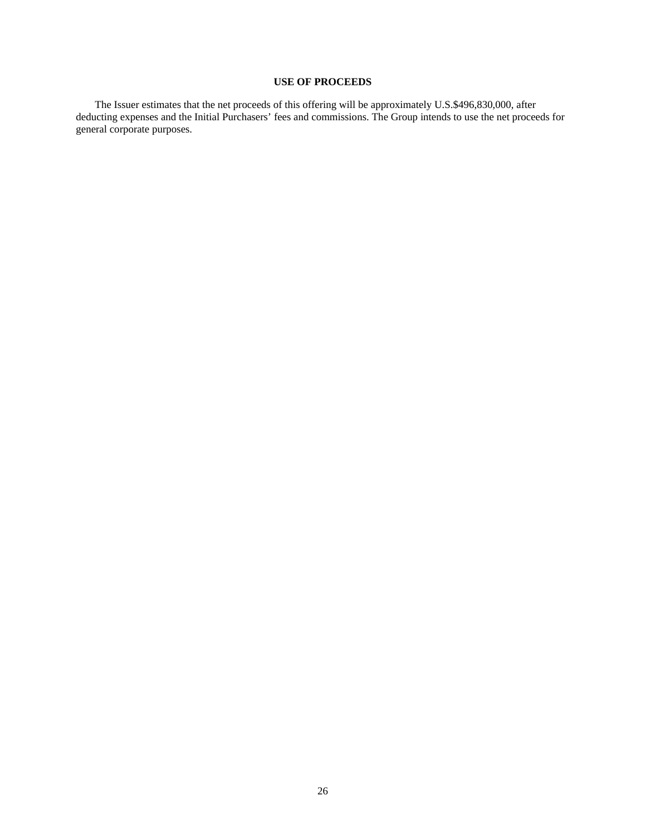# **USE OF PROCEEDS**

The Issuer estimates that the net proceeds of this offering will be approximately U.S.\$496,830,000, after deducting expenses and the Initial Purchasers' fees and commissions. The Group intends to use the net proceeds for general corporate purposes.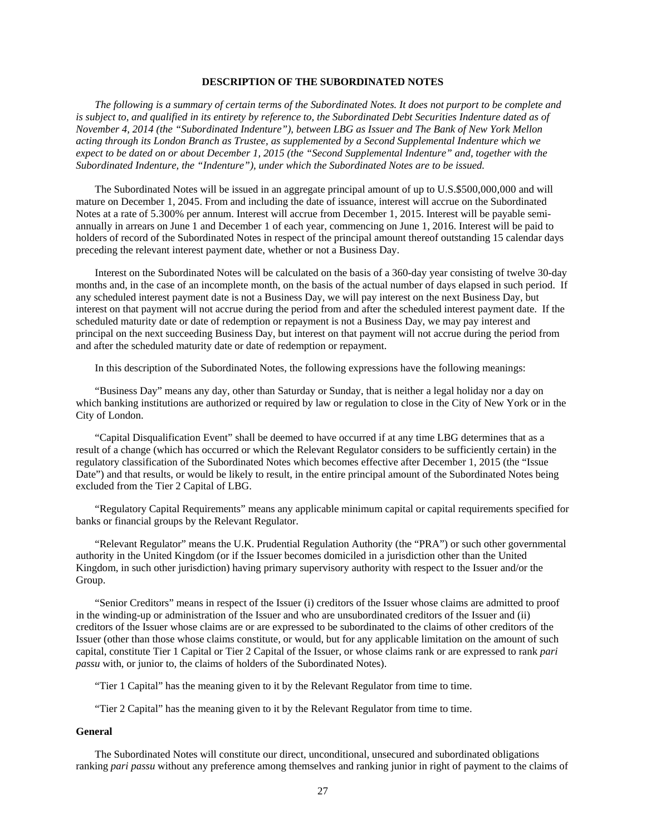## **DESCRIPTION OF THE SUBORDINATED NOTES**

 *The following is a summary of certain terms of the Subordinated Notes. It does not purport to be complete and is subject to, and qualified in its entirety by reference to, the Subordinated Debt Securities Indenture dated as of November 4, 2014 (the "Subordinated Indenture"), between LBG as Issuer and The Bank of New York Mellon acting through its London Branch as Trustee, as supplemented by a Second Supplemental Indenture which we expect to be dated on or about December 1, 2015 (the "Second Supplemental Indenture" and, together with the Subordinated Indenture, the "Indenture"), under which the Subordinated Notes are to be issued.* 

The Subordinated Notes will be issued in an aggregate principal amount of up to U.S.\$500,000,000 and will mature on December 1, 2045. From and including the date of issuance, interest will accrue on the Subordinated Notes at a rate of 5.300% per annum. Interest will accrue from December 1, 2015. Interest will be payable semiannually in arrears on June 1 and December 1 of each year, commencing on June 1, 2016. Interest will be paid to holders of record of the Subordinated Notes in respect of the principal amount thereof outstanding 15 calendar days preceding the relevant interest payment date, whether or not a Business Day.

Interest on the Subordinated Notes will be calculated on the basis of a 360-day year consisting of twelve 30-day months and, in the case of an incomplete month, on the basis of the actual number of days elapsed in such period. If any scheduled interest payment date is not a Business Day, we will pay interest on the next Business Day, but interest on that payment will not accrue during the period from and after the scheduled interest payment date. If the scheduled maturity date or date of redemption or repayment is not a Business Day, we may pay interest and principal on the next succeeding Business Day, but interest on that payment will not accrue during the period from and after the scheduled maturity date or date of redemption or repayment.

In this description of the Subordinated Notes, the following expressions have the following meanings:

"Business Day" means any day, other than Saturday or Sunday, that is neither a legal holiday nor a day on which banking institutions are authorized or required by law or regulation to close in the City of New York or in the City of London.

"Capital Disqualification Event" shall be deemed to have occurred if at any time LBG determines that as a result of a change (which has occurred or which the Relevant Regulator considers to be sufficiently certain) in the regulatory classification of the Subordinated Notes which becomes effective after December 1, 2015 (the "Issue Date") and that results, or would be likely to result, in the entire principal amount of the Subordinated Notes being excluded from the Tier 2 Capital of LBG.

"Regulatory Capital Requirements" means any applicable minimum capital or capital requirements specified for banks or financial groups by the Relevant Regulator.

"Relevant Regulator" means the U.K. Prudential Regulation Authority (the "PRA") or such other governmental authority in the United Kingdom (or if the Issuer becomes domiciled in a jurisdiction other than the United Kingdom, in such other jurisdiction) having primary supervisory authority with respect to the Issuer and/or the Group.

"Senior Creditors" means in respect of the Issuer (i) creditors of the Issuer whose claims are admitted to proof in the winding-up or administration of the Issuer and who are unsubordinated creditors of the Issuer and (ii) creditors of the Issuer whose claims are or are expressed to be subordinated to the claims of other creditors of the Issuer (other than those whose claims constitute, or would, but for any applicable limitation on the amount of such capital, constitute Tier 1 Capital or Tier 2 Capital of the Issuer, or whose claims rank or are expressed to rank *pari passu* with, or junior to, the claims of holders of the Subordinated Notes).

"Tier 1 Capital" has the meaning given to it by the Relevant Regulator from time to time.

"Tier 2 Capital" has the meaning given to it by the Relevant Regulator from time to time.

## **General**

The Subordinated Notes will constitute our direct, unconditional, unsecured and subordinated obligations ranking *pari passu* without any preference among themselves and ranking junior in right of payment to the claims of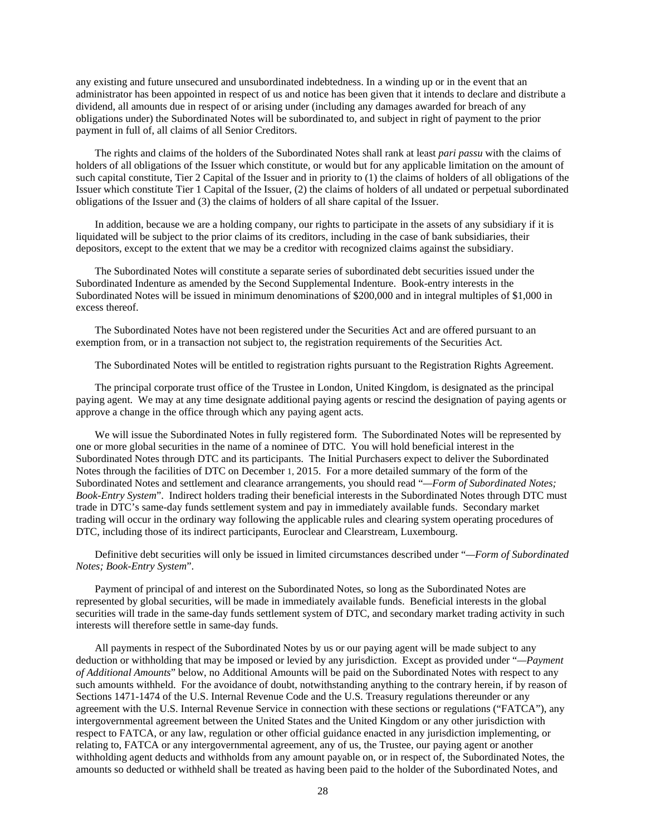any existing and future unsecured and unsubordinated indebtedness. In a winding up or in the event that an administrator has been appointed in respect of us and notice has been given that it intends to declare and distribute a dividend, all amounts due in respect of or arising under (including any damages awarded for breach of any obligations under) the Subordinated Notes will be subordinated to, and subject in right of payment to the prior payment in full of, all claims of all Senior Creditors.

The rights and claims of the holders of the Subordinated Notes shall rank at least *pari passu* with the claims of holders of all obligations of the Issuer which constitute, or would but for any applicable limitation on the amount of such capital constitute, Tier 2 Capital of the Issuer and in priority to (1) the claims of holders of all obligations of the Issuer which constitute Tier 1 Capital of the Issuer, (2) the claims of holders of all undated or perpetual subordinated obligations of the Issuer and (3) the claims of holders of all share capital of the Issuer.

In addition, because we are a holding company, our rights to participate in the assets of any subsidiary if it is liquidated will be subject to the prior claims of its creditors, including in the case of bank subsidiaries, their depositors, except to the extent that we may be a creditor with recognized claims against the subsidiary.

The Subordinated Notes will constitute a separate series of subordinated debt securities issued under the Subordinated Indenture as amended by the Second Supplemental Indenture. Book-entry interests in the Subordinated Notes will be issued in minimum denominations of \$200,000 and in integral multiples of \$1,000 in excess thereof.

The Subordinated Notes have not been registered under the Securities Act and are offered pursuant to an exemption from, or in a transaction not subject to, the registration requirements of the Securities Act.

The Subordinated Notes will be entitled to registration rights pursuant to the Registration Rights Agreement.

The principal corporate trust office of the Trustee in London, United Kingdom, is designated as the principal paying agent. We may at any time designate additional paying agents or rescind the designation of paying agents or approve a change in the office through which any paying agent acts.

We will issue the Subordinated Notes in fully registered form. The Subordinated Notes will be represented by one or more global securities in the name of a nominee of DTC. You will hold beneficial interest in the Subordinated Notes through DTC and its participants. The Initial Purchasers expect to deliver the Subordinated Notes through the facilities of DTC on December 1, 2015. For a more detailed summary of the form of the Subordinated Notes and settlement and clearance arrangements, you should read "*—Form of Subordinated Notes; Book-Entry System*". Indirect holders trading their beneficial interests in the Subordinated Notes through DTC must trade in DTC's same-day funds settlement system and pay in immediately available funds. Secondary market trading will occur in the ordinary way following the applicable rules and clearing system operating procedures of DTC, including those of its indirect participants, Euroclear and Clearstream, Luxembourg.

Definitive debt securities will only be issued in limited circumstances described under "*—Form of Subordinated Notes; Book-Entry System*".

Payment of principal of and interest on the Subordinated Notes, so long as the Subordinated Notes are represented by global securities, will be made in immediately available funds. Beneficial interests in the global securities will trade in the same-day funds settlement system of DTC, and secondary market trading activity in such interests will therefore settle in same-day funds.

All payments in respect of the Subordinated Notes by us or our paying agent will be made subject to any deduction or withholding that may be imposed or levied by any jurisdiction. Except as provided under "*—Payment of Additional Amounts*" below, no Additional Amounts will be paid on the Subordinated Notes with respect to any such amounts withheld. For the avoidance of doubt, notwithstanding anything to the contrary herein, if by reason of Sections 1471-1474 of the U.S. Internal Revenue Code and the U.S. Treasury regulations thereunder or any agreement with the U.S. Internal Revenue Service in connection with these sections or regulations ("FATCA"), any intergovernmental agreement between the United States and the United Kingdom or any other jurisdiction with respect to FATCA, or any law, regulation or other official guidance enacted in any jurisdiction implementing, or relating to, FATCA or any intergovernmental agreement, any of us, the Trustee, our paying agent or another withholding agent deducts and withholds from any amount payable on, or in respect of, the Subordinated Notes, the amounts so deducted or withheld shall be treated as having been paid to the holder of the Subordinated Notes, and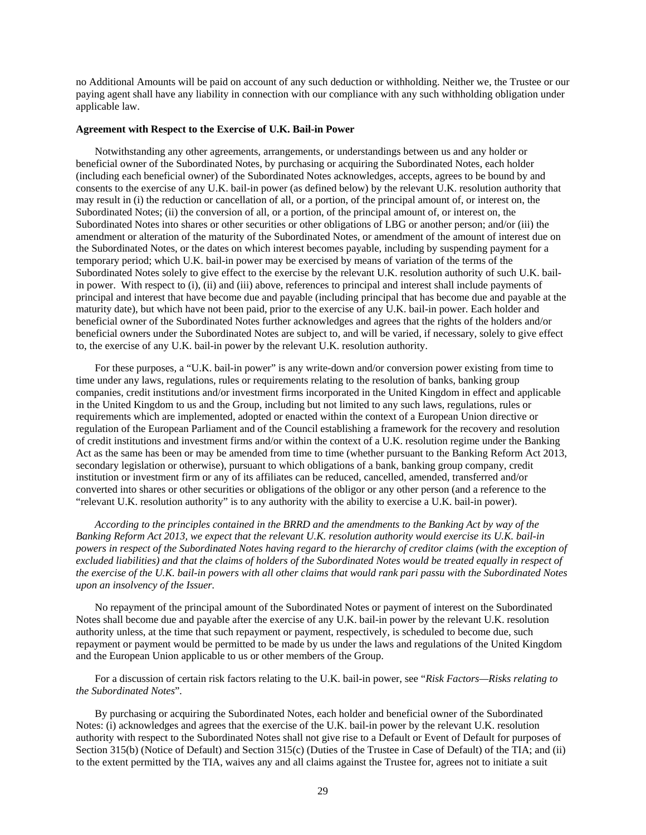no Additional Amounts will be paid on account of any such deduction or withholding. Neither we, the Trustee or our paying agent shall have any liability in connection with our compliance with any such withholding obligation under applicable law.

## **Agreement with Respect to the Exercise of U.K. Bail-in Power**

Notwithstanding any other agreements, arrangements, or understandings between us and any holder or beneficial owner of the Subordinated Notes, by purchasing or acquiring the Subordinated Notes, each holder (including each beneficial owner) of the Subordinated Notes acknowledges, accepts, agrees to be bound by and consents to the exercise of any U.K. bail-in power (as defined below) by the relevant U.K. resolution authority that may result in (i) the reduction or cancellation of all, or a portion, of the principal amount of, or interest on, the Subordinated Notes; (ii) the conversion of all, or a portion, of the principal amount of, or interest on, the Subordinated Notes into shares or other securities or other obligations of LBG or another person; and/or (iii) the amendment or alteration of the maturity of the Subordinated Notes, or amendment of the amount of interest due on the Subordinated Notes, or the dates on which interest becomes payable, including by suspending payment for a temporary period; which U.K. bail-in power may be exercised by means of variation of the terms of the Subordinated Notes solely to give effect to the exercise by the relevant U.K. resolution authority of such U.K. bailin power. With respect to (i), (ii) and (iii) above, references to principal and interest shall include payments of principal and interest that have become due and payable (including principal that has become due and payable at the maturity date), but which have not been paid, prior to the exercise of any U.K. bail-in power. Each holder and beneficial owner of the Subordinated Notes further acknowledges and agrees that the rights of the holders and/or beneficial owners under the Subordinated Notes are subject to, and will be varied, if necessary, solely to give effect to, the exercise of any U.K. bail-in power by the relevant U.K. resolution authority.

For these purposes, a "U.K. bail-in power" is any write-down and/or conversion power existing from time to time under any laws, regulations, rules or requirements relating to the resolution of banks, banking group companies, credit institutions and/or investment firms incorporated in the United Kingdom in effect and applicable in the United Kingdom to us and the Group, including but not limited to any such laws, regulations, rules or requirements which are implemented, adopted or enacted within the context of a European Union directive or regulation of the European Parliament and of the Council establishing a framework for the recovery and resolution of credit institutions and investment firms and/or within the context of a U.K. resolution regime under the Banking Act as the same has been or may be amended from time to time (whether pursuant to the Banking Reform Act 2013, secondary legislation or otherwise), pursuant to which obligations of a bank, banking group company, credit institution or investment firm or any of its affiliates can be reduced, cancelled, amended, transferred and/or converted into shares or other securities or obligations of the obligor or any other person (and a reference to the "relevant U.K. resolution authority" is to any authority with the ability to exercise a U.K. bail-in power).

*According to the principles contained in the BRRD and the amendments to the Banking Act by way of the Banking Reform Act 2013, we expect that the relevant U.K. resolution authority would exercise its U.K. bail-in powers in respect of the Subordinated Notes having regard to the hierarchy of creditor claims (with the exception of excluded liabilities) and that the claims of holders of the Subordinated Notes would be treated equally in respect of the exercise of the U.K. bail-in powers with all other claims that would rank pari passu with the Subordinated Notes upon an insolvency of the Issuer.* 

No repayment of the principal amount of the Subordinated Notes or payment of interest on the Subordinated Notes shall become due and payable after the exercise of any U.K. bail-in power by the relevant U.K. resolution authority unless, at the time that such repayment or payment, respectively, is scheduled to become due, such repayment or payment would be permitted to be made by us under the laws and regulations of the United Kingdom and the European Union applicable to us or other members of the Group.

For a discussion of certain risk factors relating to the U.K. bail-in power, see "*Risk Factors—Risks relating to the Subordinated Notes*"*.* 

By purchasing or acquiring the Subordinated Notes, each holder and beneficial owner of the Subordinated Notes: (i) acknowledges and agrees that the exercise of the U.K. bail-in power by the relevant U.K. resolution authority with respect to the Subordinated Notes shall not give rise to a Default or Event of Default for purposes of Section 315(b) (Notice of Default) and Section 315(c) (Duties of the Trustee in Case of Default) of the TIA; and (ii) to the extent permitted by the TIA, waives any and all claims against the Trustee for, agrees not to initiate a suit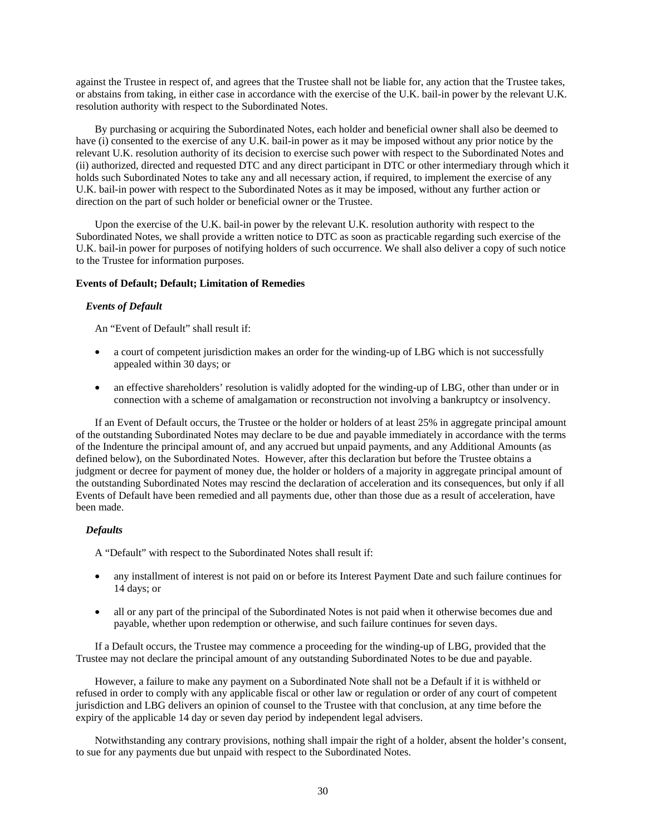against the Trustee in respect of, and agrees that the Trustee shall not be liable for, any action that the Trustee takes, or abstains from taking, in either case in accordance with the exercise of the U.K. bail-in power by the relevant U.K. resolution authority with respect to the Subordinated Notes.

By purchasing or acquiring the Subordinated Notes, each holder and beneficial owner shall also be deemed to have (i) consented to the exercise of any U.K. bail-in power as it may be imposed without any prior notice by the relevant U.K. resolution authority of its decision to exercise such power with respect to the Subordinated Notes and (ii) authorized, directed and requested DTC and any direct participant in DTC or other intermediary through which it holds such Subordinated Notes to take any and all necessary action, if required, to implement the exercise of any U.K. bail-in power with respect to the Subordinated Notes as it may be imposed, without any further action or direction on the part of such holder or beneficial owner or the Trustee.

Upon the exercise of the U.K. bail-in power by the relevant U.K. resolution authority with respect to the Subordinated Notes, we shall provide a written notice to DTC as soon as practicable regarding such exercise of the U.K. bail-in power for purposes of notifying holders of such occurrence. We shall also deliver a copy of such notice to the Trustee for information purposes.

## **Events of Default; Default; Limitation of Remedies**

## *Events of Default*

An "Event of Default" shall result if:

- a court of competent jurisdiction makes an order for the winding-up of LBG which is not successfully appealed within 30 days; or
- an effective shareholders' resolution is validly adopted for the winding-up of LBG, other than under or in connection with a scheme of amalgamation or reconstruction not involving a bankruptcy or insolvency.

If an Event of Default occurs, the Trustee or the holder or holders of at least 25% in aggregate principal amount of the outstanding Subordinated Notes may declare to be due and payable immediately in accordance with the terms of the Indenture the principal amount of, and any accrued but unpaid payments, and any Additional Amounts (as defined below), on the Subordinated Notes. However, after this declaration but before the Trustee obtains a judgment or decree for payment of money due, the holder or holders of a majority in aggregate principal amount of the outstanding Subordinated Notes may rescind the declaration of acceleration and its consequences, but only if all Events of Default have been remedied and all payments due, other than those due as a result of acceleration, have been made.

## *Defaults*

A "Default" with respect to the Subordinated Notes shall result if:

- any installment of interest is not paid on or before its Interest Payment Date and such failure continues for 14 days; or
- all or any part of the principal of the Subordinated Notes is not paid when it otherwise becomes due and payable, whether upon redemption or otherwise, and such failure continues for seven days.

If a Default occurs, the Trustee may commence a proceeding for the winding-up of LBG, provided that the Trustee may not declare the principal amount of any outstanding Subordinated Notes to be due and payable.

However, a failure to make any payment on a Subordinated Note shall not be a Default if it is withheld or refused in order to comply with any applicable fiscal or other law or regulation or order of any court of competent jurisdiction and LBG delivers an opinion of counsel to the Trustee with that conclusion, at any time before the expiry of the applicable 14 day or seven day period by independent legal advisers.

Notwithstanding any contrary provisions, nothing shall impair the right of a holder, absent the holder's consent, to sue for any payments due but unpaid with respect to the Subordinated Notes.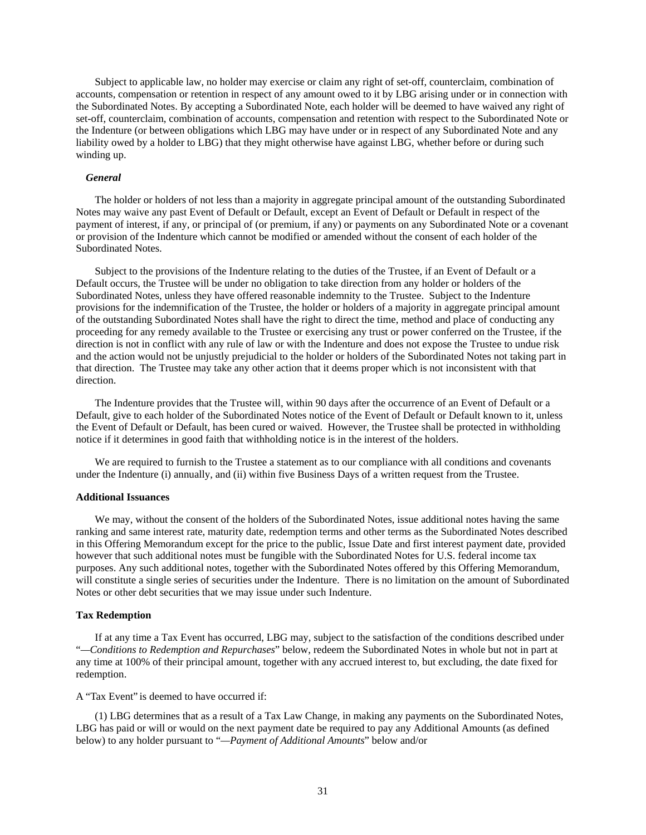Subject to applicable law, no holder may exercise or claim any right of set-off, counterclaim, combination of accounts, compensation or retention in respect of any amount owed to it by LBG arising under or in connection with the Subordinated Notes. By accepting a Subordinated Note, each holder will be deemed to have waived any right of set-off, counterclaim, combination of accounts, compensation and retention with respect to the Subordinated Note or the Indenture (or between obligations which LBG may have under or in respect of any Subordinated Note and any liability owed by a holder to LBG) that they might otherwise have against LBG, whether before or during such winding up.

#### *General*

The holder or holders of not less than a majority in aggregate principal amount of the outstanding Subordinated Notes may waive any past Event of Default or Default, except an Event of Default or Default in respect of the payment of interest, if any, or principal of (or premium, if any) or payments on any Subordinated Note or a covenant or provision of the Indenture which cannot be modified or amended without the consent of each holder of the Subordinated Notes.

Subject to the provisions of the Indenture relating to the duties of the Trustee, if an Event of Default or a Default occurs, the Trustee will be under no obligation to take direction from any holder or holders of the Subordinated Notes, unless they have offered reasonable indemnity to the Trustee. Subject to the Indenture provisions for the indemnification of the Trustee, the holder or holders of a majority in aggregate principal amount of the outstanding Subordinated Notes shall have the right to direct the time, method and place of conducting any proceeding for any remedy available to the Trustee or exercising any trust or power conferred on the Trustee, if the direction is not in conflict with any rule of law or with the Indenture and does not expose the Trustee to undue risk and the action would not be unjustly prejudicial to the holder or holders of the Subordinated Notes not taking part in that direction. The Trustee may take any other action that it deems proper which is not inconsistent with that direction.

The Indenture provides that the Trustee will, within 90 days after the occurrence of an Event of Default or a Default, give to each holder of the Subordinated Notes notice of the Event of Default or Default known to it, unless the Event of Default or Default, has been cured or waived. However, the Trustee shall be protected in withholding notice if it determines in good faith that withholding notice is in the interest of the holders.

We are required to furnish to the Trustee a statement as to our compliance with all conditions and covenants under the Indenture (i) annually, and (ii) within five Business Days of a written request from the Trustee.

#### **Additional Issuances**

We may, without the consent of the holders of the Subordinated Notes, issue additional notes having the same ranking and same interest rate, maturity date, redemption terms and other terms as the Subordinated Notes described in this Offering Memorandum except for the price to the public, Issue Date and first interest payment date, provided however that such additional notes must be fungible with the Subordinated Notes for U.S. federal income tax purposes. Any such additional notes, together with the Subordinated Notes offered by this Offering Memorandum, will constitute a single series of securities under the Indenture. There is no limitation on the amount of Subordinated Notes or other debt securities that we may issue under such Indenture.

## **Tax Redemption**

If at any time a Tax Event has occurred, LBG may, subject to the satisfaction of the conditions described under "*—Conditions to Redemption and Repurchases*" below, redeem the Subordinated Notes in whole but not in part at any time at 100% of their principal amount, together with any accrued interest to, but excluding, the date fixed for redemption.

## A "Tax Event" is deemed to have occurred if:

(1) LBG determines that as a result of a Tax Law Change, in making any payments on the Subordinated Notes, LBG has paid or will or would on the next payment date be required to pay any Additional Amounts (as defined below) to any holder pursuant to "*—Payment of Additional Amounts*" below and/or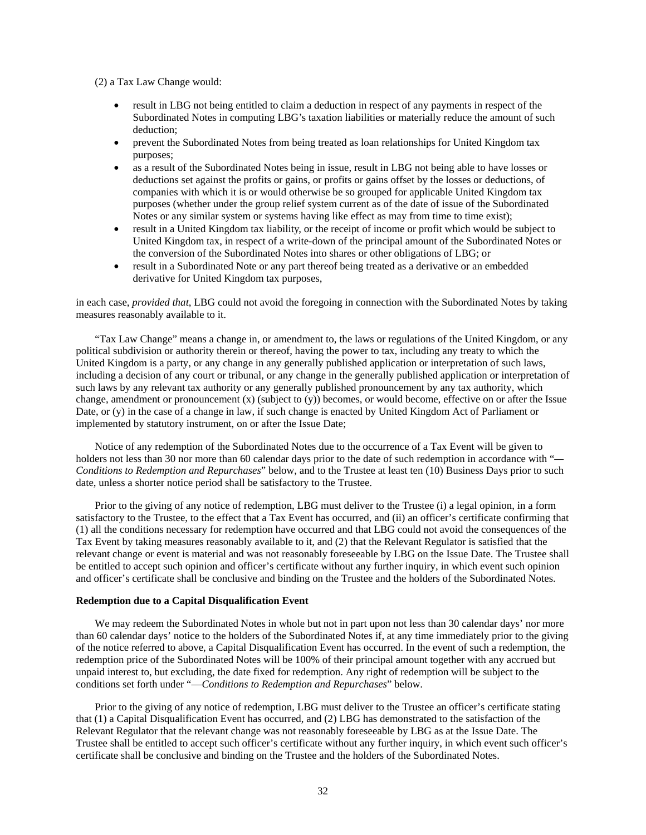(2) a Tax Law Change would:

- result in LBG not being entitled to claim a deduction in respect of any payments in respect of the Subordinated Notes in computing LBG's taxation liabilities or materially reduce the amount of such deduction;
- prevent the Subordinated Notes from being treated as loan relationships for United Kingdom tax purposes;
- as a result of the Subordinated Notes being in issue, result in LBG not being able to have losses or deductions set against the profits or gains, or profits or gains offset by the losses or deductions, of companies with which it is or would otherwise be so grouped for applicable United Kingdom tax purposes (whether under the group relief system current as of the date of issue of the Subordinated Notes or any similar system or systems having like effect as may from time to time exist);
- result in a United Kingdom tax liability, or the receipt of income or profit which would be subject to United Kingdom tax, in respect of a write-down of the principal amount of the Subordinated Notes or the conversion of the Subordinated Notes into shares or other obligations of LBG; or
- result in a Subordinated Note or any part thereof being treated as a derivative or an embedded derivative for United Kingdom tax purposes,

in each case, *provided that*, LBG could not avoid the foregoing in connection with the Subordinated Notes by taking measures reasonably available to it.

"Tax Law Change" means a change in, or amendment to, the laws or regulations of the United Kingdom, or any political subdivision or authority therein or thereof, having the power to tax, including any treaty to which the United Kingdom is a party, or any change in any generally published application or interpretation of such laws, including a decision of any court or tribunal, or any change in the generally published application or interpretation of such laws by any relevant tax authority or any generally published pronouncement by any tax authority, which change, amendment or pronouncement (x) (subject to (y)) becomes, or would become, effective on or after the Issue Date, or (y) in the case of a change in law, if such change is enacted by United Kingdom Act of Parliament or implemented by statutory instrument, on or after the Issue Date;

Notice of any redemption of the Subordinated Notes due to the occurrence of a Tax Event will be given to holders not less than 30 nor more than 60 calendar days prior to the date of such redemption in accordance with "*— Conditions to Redemption and Repurchases*" below, and to the Trustee at least ten (10) Business Days prior to such date, unless a shorter notice period shall be satisfactory to the Trustee.

Prior to the giving of any notice of redemption, LBG must deliver to the Trustee (i) a legal opinion, in a form satisfactory to the Trustee, to the effect that a Tax Event has occurred, and (ii) an officer's certificate confirming that (1) all the conditions necessary for redemption have occurred and that LBG could not avoid the consequences of the Tax Event by taking measures reasonably available to it, and (2) that the Relevant Regulator is satisfied that the relevant change or event is material and was not reasonably foreseeable by LBG on the Issue Date. The Trustee shall be entitled to accept such opinion and officer's certificate without any further inquiry, in which event such opinion and officer's certificate shall be conclusive and binding on the Trustee and the holders of the Subordinated Notes.

## **Redemption due to a Capital Disqualification Event**

We may redeem the Subordinated Notes in whole but not in part upon not less than 30 calendar days' nor more than 60 calendar days' notice to the holders of the Subordinated Notes if, at any time immediately prior to the giving of the notice referred to above, a Capital Disqualification Event has occurred. In the event of such a redemption, the redemption price of the Subordinated Notes will be 100% of their principal amount together with any accrued but unpaid interest to, but excluding, the date fixed for redemption. Any right of redemption will be subject to the conditions set forth under "—*Conditions to Redemption and Repurchases*" below.

Prior to the giving of any notice of redemption, LBG must deliver to the Trustee an officer's certificate stating that (1) a Capital Disqualification Event has occurred, and (2) LBG has demonstrated to the satisfaction of the Relevant Regulator that the relevant change was not reasonably foreseeable by LBG as at the Issue Date. The Trustee shall be entitled to accept such officer's certificate without any further inquiry, in which event such officer's certificate shall be conclusive and binding on the Trustee and the holders of the Subordinated Notes.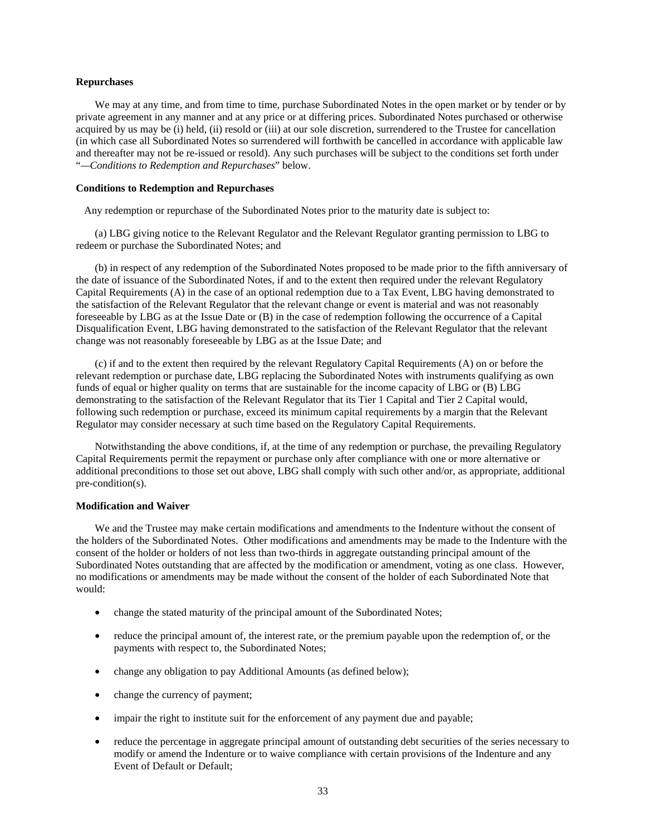### **Repurchases**

We may at any time, and from time to time, purchase Subordinated Notes in the open market or by tender or by private agreement in any manner and at any price or at differing prices. Subordinated Notes purchased or otherwise acquired by us may be (i) held, (ii) resold or (iii) at our sole discretion, surrendered to the Trustee for cancellation (in which case all Subordinated Notes so surrendered will forthwith be cancelled in accordance with applicable law and thereafter may not be re-issued or resold). Any such purchases will be subject to the conditions set forth under "*—Conditions to Redemption and Repurchases*" below.

## **Conditions to Redemption and Repurchases**

Any redemption or repurchase of the Subordinated Notes prior to the maturity date is subject to:

(a) LBG giving notice to the Relevant Regulator and the Relevant Regulator granting permission to LBG to redeem or purchase the Subordinated Notes; and

(b) in respect of any redemption of the Subordinated Notes proposed to be made prior to the fifth anniversary of the date of issuance of the Subordinated Notes, if and to the extent then required under the relevant Regulatory Capital Requirements (A) in the case of an optional redemption due to a Tax Event, LBG having demonstrated to the satisfaction of the Relevant Regulator that the relevant change or event is material and was not reasonably foreseeable by LBG as at the Issue Date or (B) in the case of redemption following the occurrence of a Capital Disqualification Event, LBG having demonstrated to the satisfaction of the Relevant Regulator that the relevant change was not reasonably foreseeable by LBG as at the Issue Date; and

(c) if and to the extent then required by the relevant Regulatory Capital Requirements (A) on or before the relevant redemption or purchase date, LBG replacing the Subordinated Notes with instruments qualifying as own funds of equal or higher quality on terms that are sustainable for the income capacity of LBG or (B) LBG demonstrating to the satisfaction of the Relevant Regulator that its Tier 1 Capital and Tier 2 Capital would, following such redemption or purchase, exceed its minimum capital requirements by a margin that the Relevant Regulator may consider necessary at such time based on the Regulatory Capital Requirements.

Notwithstanding the above conditions, if, at the time of any redemption or purchase, the prevailing Regulatory Capital Requirements permit the repayment or purchase only after compliance with one or more alternative or additional preconditions to those set out above, LBG shall comply with such other and/or, as appropriate, additional pre-condition(s).

# **Modification and Waiver**

We and the Trustee may make certain modifications and amendments to the Indenture without the consent of the holders of the Subordinated Notes. Other modifications and amendments may be made to the Indenture with the consent of the holder or holders of not less than two-thirds in aggregate outstanding principal amount of the Subordinated Notes outstanding that are affected by the modification or amendment, voting as one class. However, no modifications or amendments may be made without the consent of the holder of each Subordinated Note that would:

- change the stated maturity of the principal amount of the Subordinated Notes;
- reduce the principal amount of, the interest rate, or the premium payable upon the redemption of, or the payments with respect to, the Subordinated Notes;
- change any obligation to pay Additional Amounts (as defined below);
- change the currency of payment;
- impair the right to institute suit for the enforcement of any payment due and payable;
- reduce the percentage in aggregate principal amount of outstanding debt securities of the series necessary to modify or amend the Indenture or to waive compliance with certain provisions of the Indenture and any Event of Default or Default;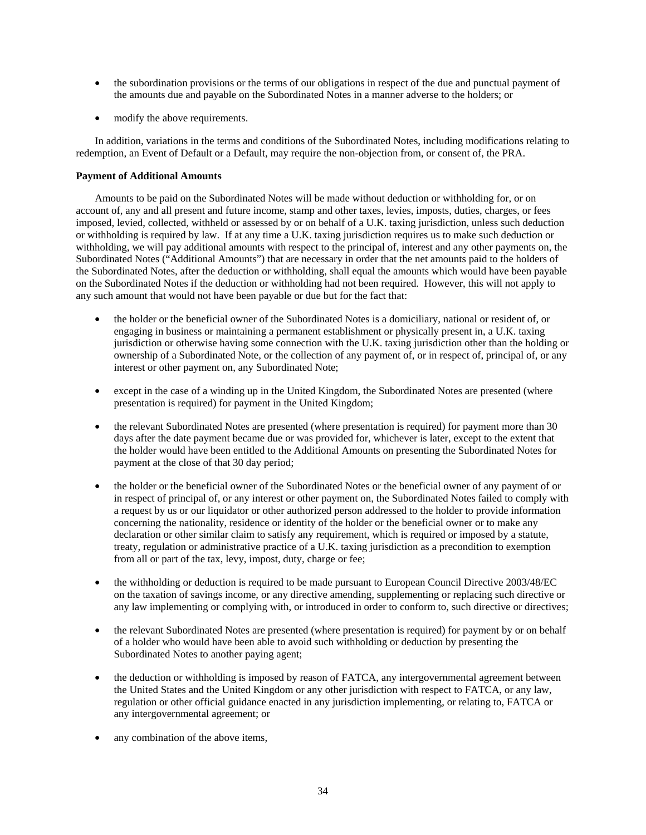- the subordination provisions or the terms of our obligations in respect of the due and punctual payment of the amounts due and payable on the Subordinated Notes in a manner adverse to the holders; or
- modify the above requirements.

In addition, variations in the terms and conditions of the Subordinated Notes, including modifications relating to redemption, an Event of Default or a Default, may require the non-objection from, or consent of, the PRA.

# **Payment of Additional Amounts**

Amounts to be paid on the Subordinated Notes will be made without deduction or withholding for, or on account of, any and all present and future income, stamp and other taxes, levies, imposts, duties, charges, or fees imposed, levied, collected, withheld or assessed by or on behalf of a U.K. taxing jurisdiction, unless such deduction or withholding is required by law. If at any time a U.K. taxing jurisdiction requires us to make such deduction or withholding, we will pay additional amounts with respect to the principal of, interest and any other payments on, the Subordinated Notes ("Additional Amounts") that are necessary in order that the net amounts paid to the holders of the Subordinated Notes, after the deduction or withholding, shall equal the amounts which would have been payable on the Subordinated Notes if the deduction or withholding had not been required. However, this will not apply to any such amount that would not have been payable or due but for the fact that:

- the holder or the beneficial owner of the Subordinated Notes is a domiciliary, national or resident of, or engaging in business or maintaining a permanent establishment or physically present in, a U.K. taxing jurisdiction or otherwise having some connection with the U.K. taxing jurisdiction other than the holding or ownership of a Subordinated Note, or the collection of any payment of, or in respect of, principal of, or any interest or other payment on, any Subordinated Note;
- except in the case of a winding up in the United Kingdom, the Subordinated Notes are presented (where presentation is required) for payment in the United Kingdom;
- the relevant Subordinated Notes are presented (where presentation is required) for payment more than 30 days after the date payment became due or was provided for, whichever is later, except to the extent that the holder would have been entitled to the Additional Amounts on presenting the Subordinated Notes for payment at the close of that 30 day period;
- the holder or the beneficial owner of the Subordinated Notes or the beneficial owner of any payment of or in respect of principal of, or any interest or other payment on, the Subordinated Notes failed to comply with a request by us or our liquidator or other authorized person addressed to the holder to provide information concerning the nationality, residence or identity of the holder or the beneficial owner or to make any declaration or other similar claim to satisfy any requirement, which is required or imposed by a statute, treaty, regulation or administrative practice of a U.K. taxing jurisdiction as a precondition to exemption from all or part of the tax, levy, impost, duty, charge or fee;
- the withholding or deduction is required to be made pursuant to European Council Directive 2003/48/EC on the taxation of savings income, or any directive amending, supplementing or replacing such directive or any law implementing or complying with, or introduced in order to conform to, such directive or directives;
- the relevant Subordinated Notes are presented (where presentation is required) for payment by or on behalf of a holder who would have been able to avoid such withholding or deduction by presenting the Subordinated Notes to another paying agent;
- the deduction or withholding is imposed by reason of FATCA, any intergovernmental agreement between the United States and the United Kingdom or any other jurisdiction with respect to FATCA, or any law, regulation or other official guidance enacted in any jurisdiction implementing, or relating to, FATCA or any intergovernmental agreement; or
- any combination of the above items,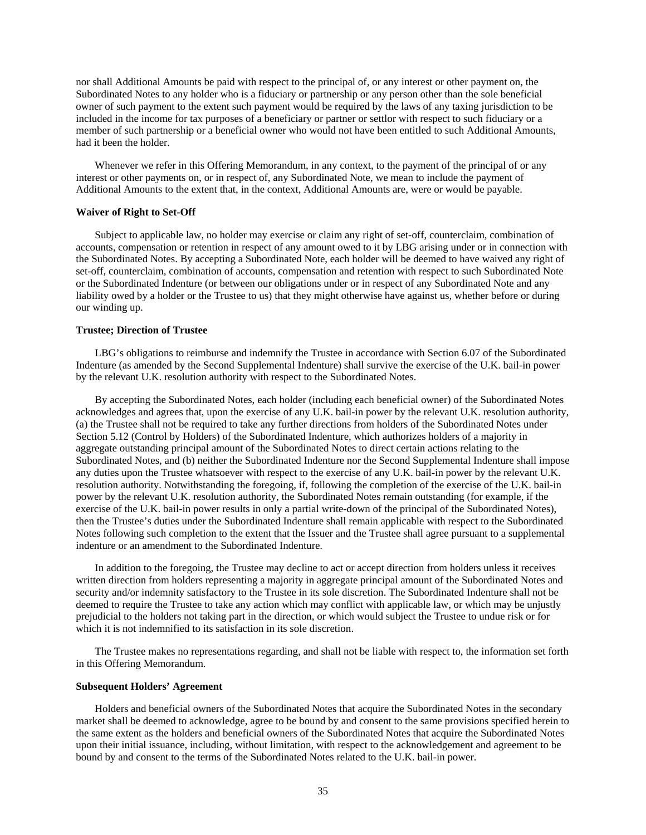nor shall Additional Amounts be paid with respect to the principal of, or any interest or other payment on, the Subordinated Notes to any holder who is a fiduciary or partnership or any person other than the sole beneficial owner of such payment to the extent such payment would be required by the laws of any taxing jurisdiction to be included in the income for tax purposes of a beneficiary or partner or settlor with respect to such fiduciary or a member of such partnership or a beneficial owner who would not have been entitled to such Additional Amounts, had it been the holder.

Whenever we refer in this Offering Memorandum, in any context, to the payment of the principal of or any interest or other payments on, or in respect of, any Subordinated Note, we mean to include the payment of Additional Amounts to the extent that, in the context, Additional Amounts are, were or would be payable.

## **Waiver of Right to Set-Off**

Subject to applicable law, no holder may exercise or claim any right of set-off, counterclaim, combination of accounts, compensation or retention in respect of any amount owed to it by LBG arising under or in connection with the Subordinated Notes. By accepting a Subordinated Note, each holder will be deemed to have waived any right of set-off, counterclaim, combination of accounts, compensation and retention with respect to such Subordinated Note or the Subordinated Indenture (or between our obligations under or in respect of any Subordinated Note and any liability owed by a holder or the Trustee to us) that they might otherwise have against us, whether before or during our winding up.

# **Trustee; Direction of Trustee**

LBG's obligations to reimburse and indemnify the Trustee in accordance with Section 6.07 of the Subordinated Indenture (as amended by the Second Supplemental Indenture) shall survive the exercise of the U.K. bail-in power by the relevant U.K. resolution authority with respect to the Subordinated Notes.

By accepting the Subordinated Notes, each holder (including each beneficial owner) of the Subordinated Notes acknowledges and agrees that, upon the exercise of any U.K. bail-in power by the relevant U.K. resolution authority, (a) the Trustee shall not be required to take any further directions from holders of the Subordinated Notes under Section 5.12 (Control by Holders) of the Subordinated Indenture, which authorizes holders of a majority in aggregate outstanding principal amount of the Subordinated Notes to direct certain actions relating to the Subordinated Notes, and (b) neither the Subordinated Indenture nor the Second Supplemental Indenture shall impose any duties upon the Trustee whatsoever with respect to the exercise of any U.K. bail-in power by the relevant U.K. resolution authority. Notwithstanding the foregoing, if, following the completion of the exercise of the U.K. bail-in power by the relevant U.K. resolution authority, the Subordinated Notes remain outstanding (for example, if the exercise of the U.K. bail-in power results in only a partial write-down of the principal of the Subordinated Notes), then the Trustee's duties under the Subordinated Indenture shall remain applicable with respect to the Subordinated Notes following such completion to the extent that the Issuer and the Trustee shall agree pursuant to a supplemental indenture or an amendment to the Subordinated Indenture.

In addition to the foregoing, the Trustee may decline to act or accept direction from holders unless it receives written direction from holders representing a majority in aggregate principal amount of the Subordinated Notes and security and/or indemnity satisfactory to the Trustee in its sole discretion. The Subordinated Indenture shall not be deemed to require the Trustee to take any action which may conflict with applicable law, or which may be unjustly prejudicial to the holders not taking part in the direction, or which would subject the Trustee to undue risk or for which it is not indemnified to its satisfaction in its sole discretion.

The Trustee makes no representations regarding, and shall not be liable with respect to, the information set forth in this Offering Memorandum.

## **Subsequent Holders' Agreement**

Holders and beneficial owners of the Subordinated Notes that acquire the Subordinated Notes in the secondary market shall be deemed to acknowledge, agree to be bound by and consent to the same provisions specified herein to the same extent as the holders and beneficial owners of the Subordinated Notes that acquire the Subordinated Notes upon their initial issuance, including, without limitation, with respect to the acknowledgement and agreement to be bound by and consent to the terms of the Subordinated Notes related to the U.K. bail-in power.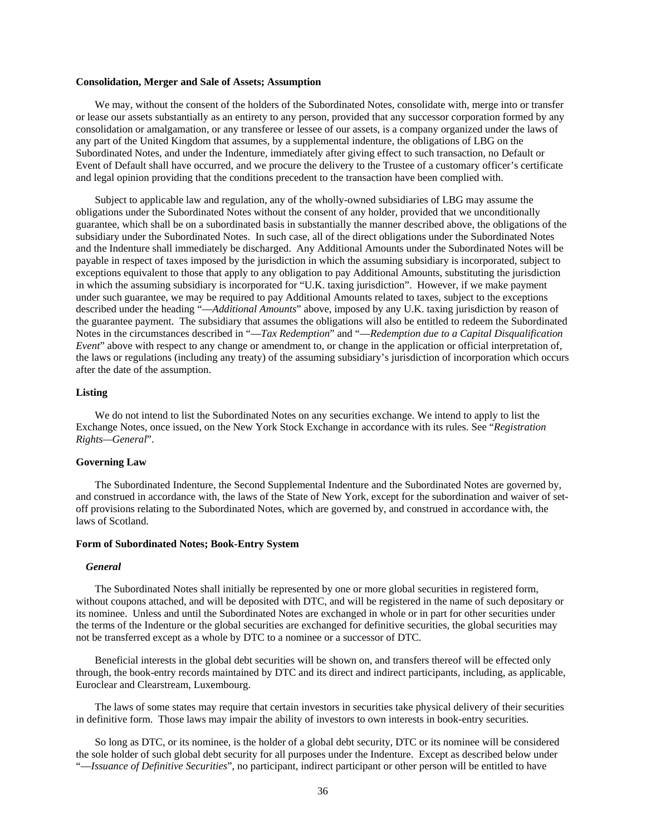#### **Consolidation, Merger and Sale of Assets; Assumption**

We may, without the consent of the holders of the Subordinated Notes, consolidate with, merge into or transfer or lease our assets substantially as an entirety to any person, provided that any successor corporation formed by any consolidation or amalgamation, or any transferee or lessee of our assets, is a company organized under the laws of any part of the United Kingdom that assumes, by a supplemental indenture, the obligations of LBG on the Subordinated Notes, and under the Indenture, immediately after giving effect to such transaction, no Default or Event of Default shall have occurred, and we procure the delivery to the Trustee of a customary officer's certificate and legal opinion providing that the conditions precedent to the transaction have been complied with.

Subject to applicable law and regulation, any of the wholly-owned subsidiaries of LBG may assume the obligations under the Subordinated Notes without the consent of any holder, provided that we unconditionally guarantee, which shall be on a subordinated basis in substantially the manner described above, the obligations of the subsidiary under the Subordinated Notes. In such case, all of the direct obligations under the Subordinated Notes and the Indenture shall immediately be discharged. Any Additional Amounts under the Subordinated Notes will be payable in respect of taxes imposed by the jurisdiction in which the assuming subsidiary is incorporated, subject to exceptions equivalent to those that apply to any obligation to pay Additional Amounts, substituting the jurisdiction in which the assuming subsidiary is incorporated for "U.K. taxing jurisdiction". However, if we make payment under such guarantee, we may be required to pay Additional Amounts related to taxes, subject to the exceptions described under the heading "—*Additional Amounts*" above, imposed by any U.K. taxing jurisdiction by reason of the guarantee payment. The subsidiary that assumes the obligations will also be entitled to redeem the Subordinated Notes in the circumstances described in "—*Tax Redemption*" and "—*Redemption due to a Capital Disqualification Event*" above with respect to any change or amendment to, or change in the application or official interpretation of, the laws or regulations (including any treaty) of the assuming subsidiary's jurisdiction of incorporation which occurs after the date of the assumption.

### **Listing**

We do not intend to list the Subordinated Notes on any securities exchange. We intend to apply to list the Exchange Notes, once issued, on the New York Stock Exchange in accordance with its rules. See "*Registration Rights—General*".

## **Governing Law**

The Subordinated Indenture, the Second Supplemental Indenture and the Subordinated Notes are governed by, and construed in accordance with, the laws of the State of New York, except for the subordination and waiver of setoff provisions relating to the Subordinated Notes, which are governed by, and construed in accordance with, the laws of Scotland.

#### **Form of Subordinated Notes; Book-Entry System**

#### *General*

The Subordinated Notes shall initially be represented by one or more global securities in registered form, without coupons attached, and will be deposited with DTC, and will be registered in the name of such depositary or its nominee. Unless and until the Subordinated Notes are exchanged in whole or in part for other securities under the terms of the Indenture or the global securities are exchanged for definitive securities, the global securities may not be transferred except as a whole by DTC to a nominee or a successor of DTC.

Beneficial interests in the global debt securities will be shown on, and transfers thereof will be effected only through, the book-entry records maintained by DTC and its direct and indirect participants, including, as applicable, Euroclear and Clearstream, Luxembourg.

The laws of some states may require that certain investors in securities take physical delivery of their securities in definitive form. Those laws may impair the ability of investors to own interests in book-entry securities.

So long as DTC, or its nominee, is the holder of a global debt security, DTC or its nominee will be considered the sole holder of such global debt security for all purposes under the Indenture. Except as described below under "—*Issuance of Definitive Securities*", no participant, indirect participant or other person will be entitled to have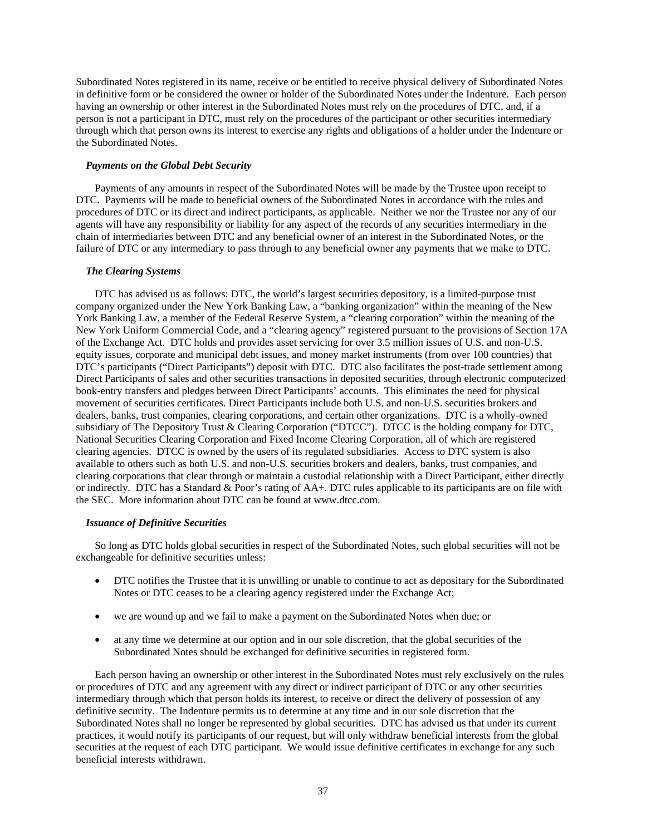Subordinated Notes registered in its name, receive or be entitled to receive physical delivery of Subordinated Notes in definitive form or be considered the owner or holder of the Subordinated Notes under the Indenture. Each person having an ownership or other interest in the Subordinated Notes must rely on the procedures of DTC, and, if a person is not a participant in DTC, must rely on the procedures of the participant or other securities intermediary through which that person owns its interest to exercise any rights and obligations of a holder under the Indenture or the Subordinated Notes.

## *Payments on the Global Debt Security*

Payments of any amounts in respect of the Subordinated Notes will be made by the Trustee upon receipt to DTC. Payments will be made to beneficial owners of the Subordinated Notes in accordance with the rules and procedures of DTC or its direct and indirect participants, as applicable. Neither we nor the Trustee nor any of our agents will have any responsibility or liability for any aspect of the records of any securities intermediary in the chain of intermediaries between DTC and any beneficial owner of an interest in the Subordinated Notes, or the failure of DTC or any intermediary to pass through to any beneficial owner any payments that we make to DTC.

## *The Clearing Systems*

DTC has advised us as follows: DTC, the world's largest securities depository, is a limited-purpose trust company organized under the New York Banking Law, a "banking organization" within the meaning of the New York Banking Law, a member of the Federal Reserve System, a "clearing corporation" within the meaning of the New York Uniform Commercial Code, and a "clearing agency" registered pursuant to the provisions of Section 17A of the Exchange Act. DTC holds and provides asset servicing for over 3.5 million issues of U.S. and non-U.S. equity issues, corporate and municipal debt issues, and money market instruments (from over 100 countries) that DTC's participants ("Direct Participants") deposit with DTC. DTC also facilitates the post-trade settlement among Direct Participants of sales and other securities transactions in deposited securities, through electronic computerized book-entry transfers and pledges between Direct Participants' accounts. This eliminates the need for physical movement of securities certificates. Direct Participants include both U.S. and non-U.S. securities brokers and dealers, banks, trust companies, clearing corporations, and certain other organizations. DTC is a wholly-owned subsidiary of The Depository Trust & Clearing Corporation ("DTCC"). DTCC is the holding company for DTC, National Securities Clearing Corporation and Fixed Income Clearing Corporation, all of which are registered clearing agencies. DTCC is owned by the users of its regulated subsidiaries. Access to DTC system is also available to others such as both U.S. and non-U.S. securities brokers and dealers, banks, trust companies, and clearing corporations that clear through or maintain a custodial relationship with a Direct Participant, either directly or indirectly. DTC has a Standard & Poor's rating of AA+. DTC rules applicable to its participants are on file with the SEC. More information about DTC can be found at www.dtcc.com.

## *Issuance of Definitive Securities*

So long as DTC holds global securities in respect of the Subordinated Notes, such global securities will not be exchangeable for definitive securities unless:

- DTC notifies the Trustee that it is unwilling or unable to continue to act as depositary for the Subordinated Notes or DTC ceases to be a clearing agency registered under the Exchange Act;
- we are wound up and we fail to make a payment on the Subordinated Notes when due; or
- at any time we determine at our option and in our sole discretion, that the global securities of the Subordinated Notes should be exchanged for definitive securities in registered form.

Each person having an ownership or other interest in the Subordinated Notes must rely exclusively on the rules or procedures of DTC and any agreement with any direct or indirect participant of DTC or any other securities intermediary through which that person holds its interest, to receive or direct the delivery of possession of any definitive security. The Indenture permits us to determine at any time and in our sole discretion that the Subordinated Notes shall no longer be represented by global securities. DTC has advised us that under its current practices, it would notify its participants of our request, but will only withdraw beneficial interests from the global securities at the request of each DTC participant. We would issue definitive certificates in exchange for any such beneficial interests withdrawn.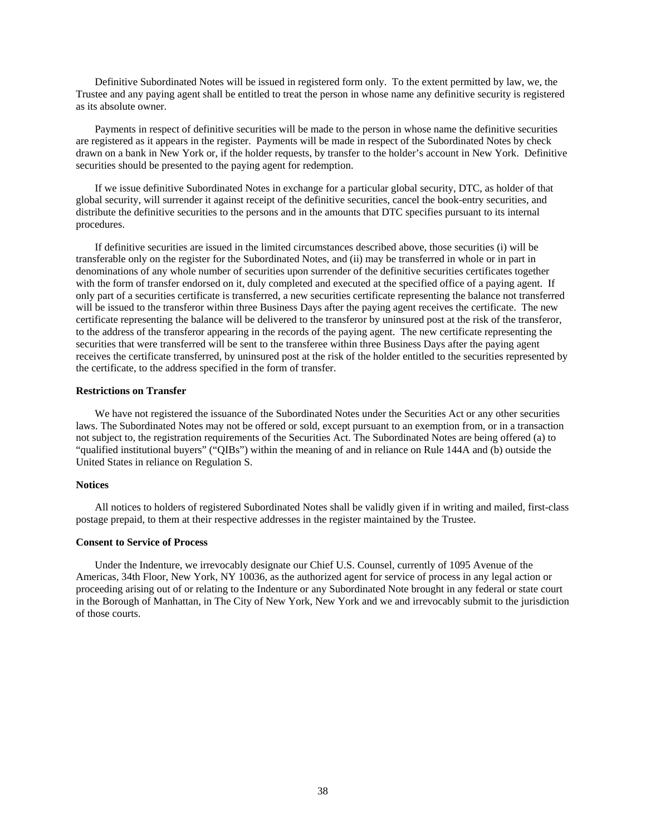Definitive Subordinated Notes will be issued in registered form only. To the extent permitted by law, we, the Trustee and any paying agent shall be entitled to treat the person in whose name any definitive security is registered as its absolute owner.

Payments in respect of definitive securities will be made to the person in whose name the definitive securities are registered as it appears in the register. Payments will be made in respect of the Subordinated Notes by check drawn on a bank in New York or, if the holder requests, by transfer to the holder's account in New York. Definitive securities should be presented to the paying agent for redemption.

If we issue definitive Subordinated Notes in exchange for a particular global security, DTC, as holder of that global security, will surrender it against receipt of the definitive securities, cancel the book-entry securities, and distribute the definitive securities to the persons and in the amounts that DTC specifies pursuant to its internal procedures.

If definitive securities are issued in the limited circumstances described above, those securities (i) will be transferable only on the register for the Subordinated Notes, and (ii) may be transferred in whole or in part in denominations of any whole number of securities upon surrender of the definitive securities certificates together with the form of transfer endorsed on it, duly completed and executed at the specified office of a paying agent. If only part of a securities certificate is transferred, a new securities certificate representing the balance not transferred will be issued to the transferor within three Business Days after the paying agent receives the certificate. The new certificate representing the balance will be delivered to the transferor by uninsured post at the risk of the transferor, to the address of the transferor appearing in the records of the paying agent. The new certificate representing the securities that were transferred will be sent to the transferee within three Business Days after the paying agent receives the certificate transferred, by uninsured post at the risk of the holder entitled to the securities represented by the certificate, to the address specified in the form of transfer.

## **Restrictions on Transfer**

We have not registered the issuance of the Subordinated Notes under the Securities Act or any other securities laws. The Subordinated Notes may not be offered or sold, except pursuant to an exemption from, or in a transaction not subject to, the registration requirements of the Securities Act. The Subordinated Notes are being offered (a) to "qualified institutional buyers" ("QIBs") within the meaning of and in reliance on Rule 144A and (b) outside the United States in reliance on Regulation S.

## **Notices**

All notices to holders of registered Subordinated Notes shall be validly given if in writing and mailed, first-class postage prepaid, to them at their respective addresses in the register maintained by the Trustee.

### **Consent to Service of Process**

Under the Indenture, we irrevocably designate our Chief U.S. Counsel, currently of 1095 Avenue of the Americas, 34th Floor, New York, NY 10036, as the authorized agent for service of process in any legal action or proceeding arising out of or relating to the Indenture or any Subordinated Note brought in any federal or state court in the Borough of Manhattan, in The City of New York, New York and we and irrevocably submit to the jurisdiction of those courts.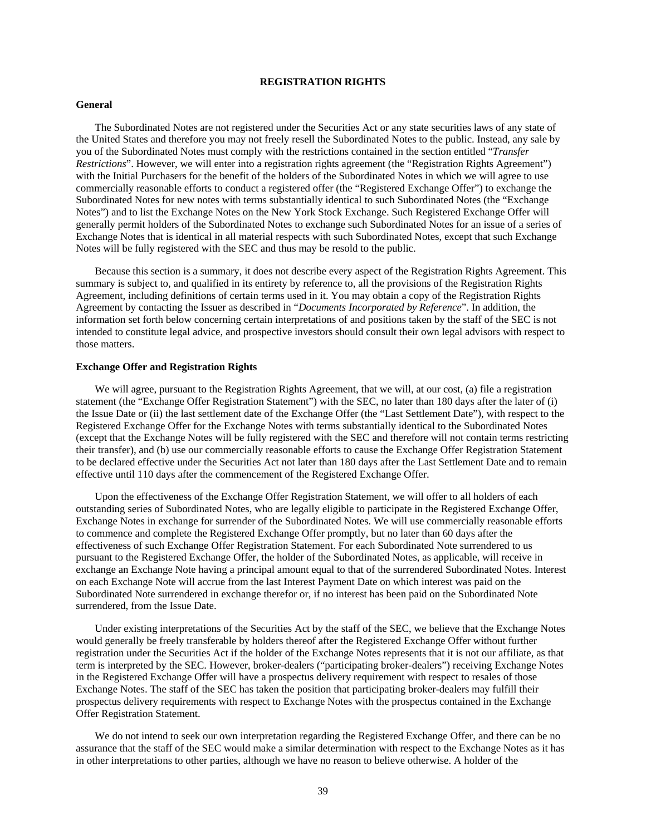# **REGISTRATION RIGHTS**

## **General**

The Subordinated Notes are not registered under the Securities Act or any state securities laws of any state of the United States and therefore you may not freely resell the Subordinated Notes to the public. Instead, any sale by you of the Subordinated Notes must comply with the restrictions contained in the section entitled "*Transfer Restrictions*". However, we will enter into a registration rights agreement (the "Registration Rights Agreement") with the Initial Purchasers for the benefit of the holders of the Subordinated Notes in which we will agree to use commercially reasonable efforts to conduct a registered offer (the "Registered Exchange Offer") to exchange the Subordinated Notes for new notes with terms substantially identical to such Subordinated Notes (the "Exchange Notes") and to list the Exchange Notes on the New York Stock Exchange. Such Registered Exchange Offer will generally permit holders of the Subordinated Notes to exchange such Subordinated Notes for an issue of a series of Exchange Notes that is identical in all material respects with such Subordinated Notes, except that such Exchange Notes will be fully registered with the SEC and thus may be resold to the public.

Because this section is a summary, it does not describe every aspect of the Registration Rights Agreement. This summary is subject to, and qualified in its entirety by reference to, all the provisions of the Registration Rights Agreement, including definitions of certain terms used in it. You may obtain a copy of the Registration Rights Agreement by contacting the Issuer as described in "*Documents Incorporated by Reference*". In addition, the information set forth below concerning certain interpretations of and positions taken by the staff of the SEC is not intended to constitute legal advice, and prospective investors should consult their own legal advisors with respect to those matters.

### **Exchange Offer and Registration Rights**

We will agree, pursuant to the Registration Rights Agreement, that we will, at our cost, (a) file a registration statement (the "Exchange Offer Registration Statement") with the SEC, no later than 180 days after the later of (i) the Issue Date or (ii) the last settlement date of the Exchange Offer (the "Last Settlement Date"), with respect to the Registered Exchange Offer for the Exchange Notes with terms substantially identical to the Subordinated Notes (except that the Exchange Notes will be fully registered with the SEC and therefore will not contain terms restricting their transfer), and (b) use our commercially reasonable efforts to cause the Exchange Offer Registration Statement to be declared effective under the Securities Act not later than 180 days after the Last Settlement Date and to remain effective until 110 days after the commencement of the Registered Exchange Offer.

Upon the effectiveness of the Exchange Offer Registration Statement, we will offer to all holders of each outstanding series of Subordinated Notes, who are legally eligible to participate in the Registered Exchange Offer, Exchange Notes in exchange for surrender of the Subordinated Notes. We will use commercially reasonable efforts to commence and complete the Registered Exchange Offer promptly, but no later than 60 days after the effectiveness of such Exchange Offer Registration Statement. For each Subordinated Note surrendered to us pursuant to the Registered Exchange Offer, the holder of the Subordinated Notes, as applicable, will receive in exchange an Exchange Note having a principal amount equal to that of the surrendered Subordinated Notes. Interest on each Exchange Note will accrue from the last Interest Payment Date on which interest was paid on the Subordinated Note surrendered in exchange therefor or, if no interest has been paid on the Subordinated Note surrendered, from the Issue Date.

Under existing interpretations of the Securities Act by the staff of the SEC, we believe that the Exchange Notes would generally be freely transferable by holders thereof after the Registered Exchange Offer without further registration under the Securities Act if the holder of the Exchange Notes represents that it is not our affiliate, as that term is interpreted by the SEC. However, broker-dealers ("participating broker-dealers") receiving Exchange Notes in the Registered Exchange Offer will have a prospectus delivery requirement with respect to resales of those Exchange Notes. The staff of the SEC has taken the position that participating broker-dealers may fulfill their prospectus delivery requirements with respect to Exchange Notes with the prospectus contained in the Exchange Offer Registration Statement.

We do not intend to seek our own interpretation regarding the Registered Exchange Offer, and there can be no assurance that the staff of the SEC would make a similar determination with respect to the Exchange Notes as it has in other interpretations to other parties, although we have no reason to believe otherwise. A holder of the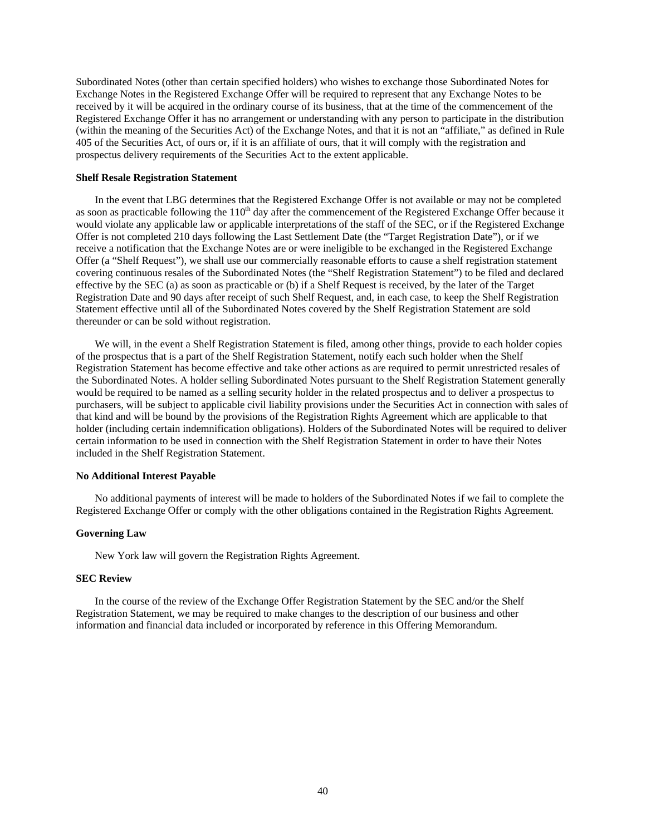Subordinated Notes (other than certain specified holders) who wishes to exchange those Subordinated Notes for Exchange Notes in the Registered Exchange Offer will be required to represent that any Exchange Notes to be received by it will be acquired in the ordinary course of its business, that at the time of the commencement of the Registered Exchange Offer it has no arrangement or understanding with any person to participate in the distribution (within the meaning of the Securities Act) of the Exchange Notes, and that it is not an "affiliate," as defined in Rule 405 of the Securities Act, of ours or, if it is an affiliate of ours, that it will comply with the registration and prospectus delivery requirements of the Securities Act to the extent applicable.

#### **Shelf Resale Registration Statement**

In the event that LBG determines that the Registered Exchange Offer is not available or may not be completed as soon as practicable following the  $110<sup>th</sup>$  day after the commencement of the Registered Exchange Offer because it would violate any applicable law or applicable interpretations of the staff of the SEC, or if the Registered Exchange Offer is not completed 210 days following the Last Settlement Date (the "Target Registration Date"), or if we receive a notification that the Exchange Notes are or were ineligible to be exchanged in the Registered Exchange Offer (a "Shelf Request"), we shall use our commercially reasonable efforts to cause a shelf registration statement covering continuous resales of the Subordinated Notes (the "Shelf Registration Statement") to be filed and declared effective by the SEC (a) as soon as practicable or (b) if a Shelf Request is received, by the later of the Target Registration Date and 90 days after receipt of such Shelf Request, and, in each case, to keep the Shelf Registration Statement effective until all of the Subordinated Notes covered by the Shelf Registration Statement are sold thereunder or can be sold without registration.

We will, in the event a Shelf Registration Statement is filed, among other things, provide to each holder copies of the prospectus that is a part of the Shelf Registration Statement, notify each such holder when the Shelf Registration Statement has become effective and take other actions as are required to permit unrestricted resales of the Subordinated Notes. A holder selling Subordinated Notes pursuant to the Shelf Registration Statement generally would be required to be named as a selling security holder in the related prospectus and to deliver a prospectus to purchasers, will be subject to applicable civil liability provisions under the Securities Act in connection with sales of that kind and will be bound by the provisions of the Registration Rights Agreement which are applicable to that holder (including certain indemnification obligations). Holders of the Subordinated Notes will be required to deliver certain information to be used in connection with the Shelf Registration Statement in order to have their Notes included in the Shelf Registration Statement.

### **No Additional Interest Payable**

No additional payments of interest will be made to holders of the Subordinated Notes if we fail to complete the Registered Exchange Offer or comply with the other obligations contained in the Registration Rights Agreement.

## **Governing Law**

New York law will govern the Registration Rights Agreement.

# **SEC Review**

In the course of the review of the Exchange Offer Registration Statement by the SEC and/or the Shelf Registration Statement, we may be required to make changes to the description of our business and other information and financial data included or incorporated by reference in this Offering Memorandum.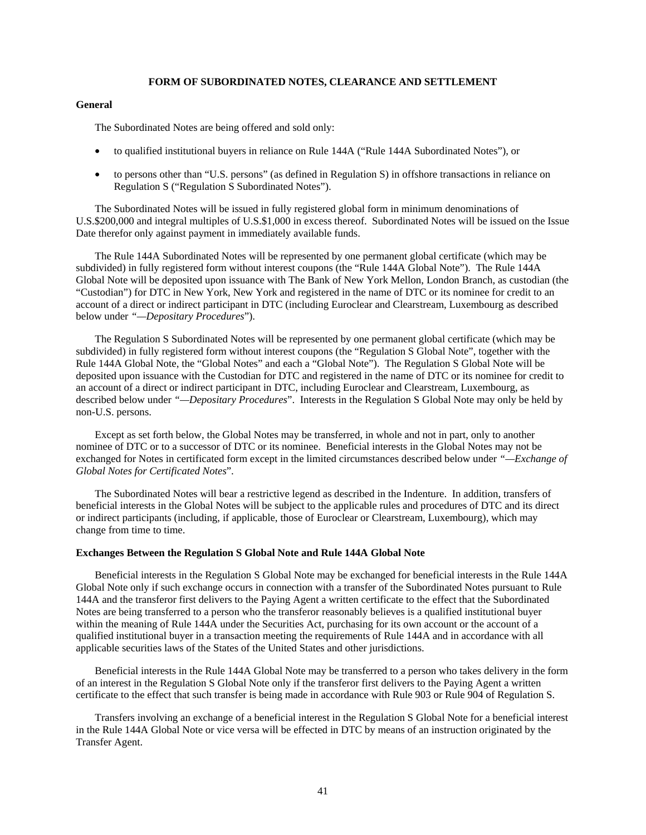## **FORM OF SUBORDINATED NOTES, CLEARANCE AND SETTLEMENT**

## **General**

The Subordinated Notes are being offered and sold only:

- to qualified institutional buyers in reliance on Rule 144A ("Rule 144A Subordinated Notes"), or
- to persons other than "U.S. persons" (as defined in Regulation S) in offshore transactions in reliance on Regulation S ("Regulation S Subordinated Notes").

The Subordinated Notes will be issued in fully registered global form in minimum denominations of U.S.\$200,000 and integral multiples of U.S.\$1,000 in excess thereof. Subordinated Notes will be issued on the Issue Date therefor only against payment in immediately available funds.

The Rule 144A Subordinated Notes will be represented by one permanent global certificate (which may be subdivided) in fully registered form without interest coupons (the "Rule 144A Global Note"). The Rule 144A Global Note will be deposited upon issuance with The Bank of New York Mellon, London Branch, as custodian (the "Custodian") for DTC in New York, New York and registered in the name of DTC or its nominee for credit to an account of a direct or indirect participant in DTC (including Euroclear and Clearstream, Luxembourg as described below under *"—Depositary Procedures*").

The Regulation S Subordinated Notes will be represented by one permanent global certificate (which may be subdivided) in fully registered form without interest coupons (the "Regulation S Global Note", together with the Rule 144A Global Note, the "Global Notes" and each a "Global Note"). The Regulation S Global Note will be deposited upon issuance with the Custodian for DTC and registered in the name of DTC or its nominee for credit to an account of a direct or indirect participant in DTC, including Euroclear and Clearstream, Luxembourg, as described below under *"—Depositary Procedures*". Interests in the Regulation S Global Note may only be held by non-U.S. persons.

Except as set forth below, the Global Notes may be transferred, in whole and not in part, only to another nominee of DTC or to a successor of DTC or its nominee. Beneficial interests in the Global Notes may not be exchanged for Notes in certificated form except in the limited circumstances described below under *"—Exchange of Global Notes for Certificated Notes*".

The Subordinated Notes will bear a restrictive legend as described in the Indenture. In addition, transfers of beneficial interests in the Global Notes will be subject to the applicable rules and procedures of DTC and its direct or indirect participants (including, if applicable, those of Euroclear or Clearstream, Luxembourg), which may change from time to time.

#### **Exchanges Between the Regulation S Global Note and Rule 144A Global Note**

Beneficial interests in the Regulation S Global Note may be exchanged for beneficial interests in the Rule 144A Global Note only if such exchange occurs in connection with a transfer of the Subordinated Notes pursuant to Rule 144A and the transferor first delivers to the Paying Agent a written certificate to the effect that the Subordinated Notes are being transferred to a person who the transferor reasonably believes is a qualified institutional buyer within the meaning of Rule 144A under the Securities Act, purchasing for its own account or the account of a qualified institutional buyer in a transaction meeting the requirements of Rule 144A and in accordance with all applicable securities laws of the States of the United States and other jurisdictions.

Beneficial interests in the Rule 144A Global Note may be transferred to a person who takes delivery in the form of an interest in the Regulation S Global Note only if the transferor first delivers to the Paying Agent a written certificate to the effect that such transfer is being made in accordance with Rule 903 or Rule 904 of Regulation S.

Transfers involving an exchange of a beneficial interest in the Regulation S Global Note for a beneficial interest in the Rule 144A Global Note or vice versa will be effected in DTC by means of an instruction originated by the Transfer Agent.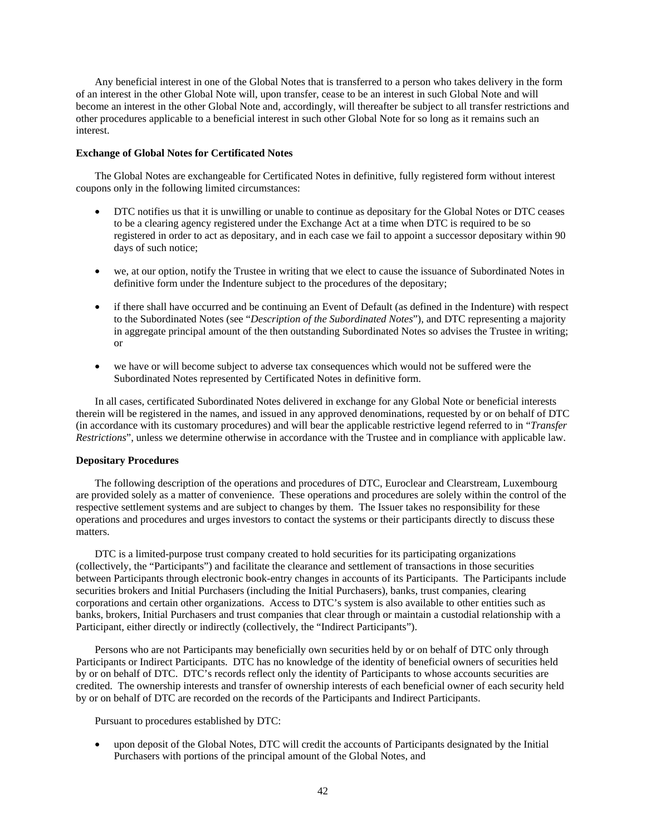Any beneficial interest in one of the Global Notes that is transferred to a person who takes delivery in the form of an interest in the other Global Note will, upon transfer, cease to be an interest in such Global Note and will become an interest in the other Global Note and, accordingly, will thereafter be subject to all transfer restrictions and other procedures applicable to a beneficial interest in such other Global Note for so long as it remains such an interest.

## **Exchange of Global Notes for Certificated Notes**

The Global Notes are exchangeable for Certificated Notes in definitive, fully registered form without interest coupons only in the following limited circumstances:

- DTC notifies us that it is unwilling or unable to continue as depositary for the Global Notes or DTC ceases to be a clearing agency registered under the Exchange Act at a time when DTC is required to be so registered in order to act as depositary, and in each case we fail to appoint a successor depositary within 90 days of such notice;
- we, at our option, notify the Trustee in writing that we elect to cause the issuance of Subordinated Notes in definitive form under the Indenture subject to the procedures of the depositary;
- if there shall have occurred and be continuing an Event of Default (as defined in the Indenture) with respect to the Subordinated Notes (see "*Description of the Subordinated Notes*"), and DTC representing a majority in aggregate principal amount of the then outstanding Subordinated Notes so advises the Trustee in writing; or
- we have or will become subject to adverse tax consequences which would not be suffered were the Subordinated Notes represented by Certificated Notes in definitive form.

In all cases, certificated Subordinated Notes delivered in exchange for any Global Note or beneficial interests therein will be registered in the names, and issued in any approved denominations, requested by or on behalf of DTC (in accordance with its customary procedures) and will bear the applicable restrictive legend referred to in "*Transfer Restrictions*", unless we determine otherwise in accordance with the Trustee and in compliance with applicable law.

#### **Depositary Procedures**

The following description of the operations and procedures of DTC, Euroclear and Clearstream, Luxembourg are provided solely as a matter of convenience. These operations and procedures are solely within the control of the respective settlement systems and are subject to changes by them. The Issuer takes no responsibility for these operations and procedures and urges investors to contact the systems or their participants directly to discuss these matters.

DTC is a limited-purpose trust company created to hold securities for its participating organizations (collectively, the "Participants") and facilitate the clearance and settlement of transactions in those securities between Participants through electronic book-entry changes in accounts of its Participants. The Participants include securities brokers and Initial Purchasers (including the Initial Purchasers), banks, trust companies, clearing corporations and certain other organizations. Access to DTC's system is also available to other entities such as banks, brokers, Initial Purchasers and trust companies that clear through or maintain a custodial relationship with a Participant, either directly or indirectly (collectively, the "Indirect Participants").

Persons who are not Participants may beneficially own securities held by or on behalf of DTC only through Participants or Indirect Participants. DTC has no knowledge of the identity of beneficial owners of securities held by or on behalf of DTC. DTC's records reflect only the identity of Participants to whose accounts securities are credited. The ownership interests and transfer of ownership interests of each beneficial owner of each security held by or on behalf of DTC are recorded on the records of the Participants and Indirect Participants.

Pursuant to procedures established by DTC:

• upon deposit of the Global Notes, DTC will credit the accounts of Participants designated by the Initial Purchasers with portions of the principal amount of the Global Notes, and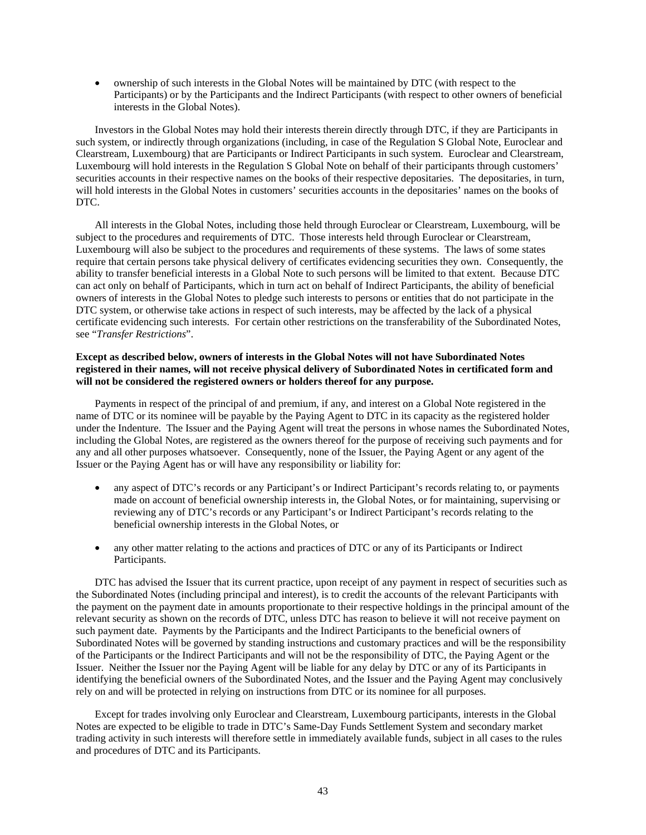• ownership of such interests in the Global Notes will be maintained by DTC (with respect to the Participants) or by the Participants and the Indirect Participants (with respect to other owners of beneficial interests in the Global Notes).

Investors in the Global Notes may hold their interests therein directly through DTC, if they are Participants in such system, or indirectly through organizations (including, in case of the Regulation S Global Note, Euroclear and Clearstream, Luxembourg) that are Participants or Indirect Participants in such system. Euroclear and Clearstream, Luxembourg will hold interests in the Regulation S Global Note on behalf of their participants through customers' securities accounts in their respective names on the books of their respective depositaries. The depositaries, in turn, will hold interests in the Global Notes in customers' securities accounts in the depositaries' names on the books of DTC.

All interests in the Global Notes, including those held through Euroclear or Clearstream, Luxembourg, will be subject to the procedures and requirements of DTC. Those interests held through Euroclear or Clearstream, Luxembourg will also be subject to the procedures and requirements of these systems. The laws of some states require that certain persons take physical delivery of certificates evidencing securities they own. Consequently, the ability to transfer beneficial interests in a Global Note to such persons will be limited to that extent. Because DTC can act only on behalf of Participants, which in turn act on behalf of Indirect Participants, the ability of beneficial owners of interests in the Global Notes to pledge such interests to persons or entities that do not participate in the DTC system, or otherwise take actions in respect of such interests, may be affected by the lack of a physical certificate evidencing such interests. For certain other restrictions on the transferability of the Subordinated Notes, see "*Transfer Restrictions*".

# **Except as described below, owners of interests in the Global Notes will not have Subordinated Notes registered in their names, will not receive physical delivery of Subordinated Notes in certificated form and will not be considered the registered owners or holders thereof for any purpose.**

Payments in respect of the principal of and premium, if any, and interest on a Global Note registered in the name of DTC or its nominee will be payable by the Paying Agent to DTC in its capacity as the registered holder under the Indenture. The Issuer and the Paying Agent will treat the persons in whose names the Subordinated Notes, including the Global Notes, are registered as the owners thereof for the purpose of receiving such payments and for any and all other purposes whatsoever. Consequently, none of the Issuer, the Paying Agent or any agent of the Issuer or the Paying Agent has or will have any responsibility or liability for:

- any aspect of DTC's records or any Participant's or Indirect Participant's records relating to, or payments made on account of beneficial ownership interests in, the Global Notes, or for maintaining, supervising or reviewing any of DTC's records or any Participant's or Indirect Participant's records relating to the beneficial ownership interests in the Global Notes, or
- any other matter relating to the actions and practices of DTC or any of its Participants or Indirect Participants.

DTC has advised the Issuer that its current practice, upon receipt of any payment in respect of securities such as the Subordinated Notes (including principal and interest), is to credit the accounts of the relevant Participants with the payment on the payment date in amounts proportionate to their respective holdings in the principal amount of the relevant security as shown on the records of DTC, unless DTC has reason to believe it will not receive payment on such payment date. Payments by the Participants and the Indirect Participants to the beneficial owners of Subordinated Notes will be governed by standing instructions and customary practices and will be the responsibility of the Participants or the Indirect Participants and will not be the responsibility of DTC, the Paying Agent or the Issuer. Neither the Issuer nor the Paying Agent will be liable for any delay by DTC or any of its Participants in identifying the beneficial owners of the Subordinated Notes, and the Issuer and the Paying Agent may conclusively rely on and will be protected in relying on instructions from DTC or its nominee for all purposes.

Except for trades involving only Euroclear and Clearstream, Luxembourg participants, interests in the Global Notes are expected to be eligible to trade in DTC's Same-Day Funds Settlement System and secondary market trading activity in such interests will therefore settle in immediately available funds, subject in all cases to the rules and procedures of DTC and its Participants.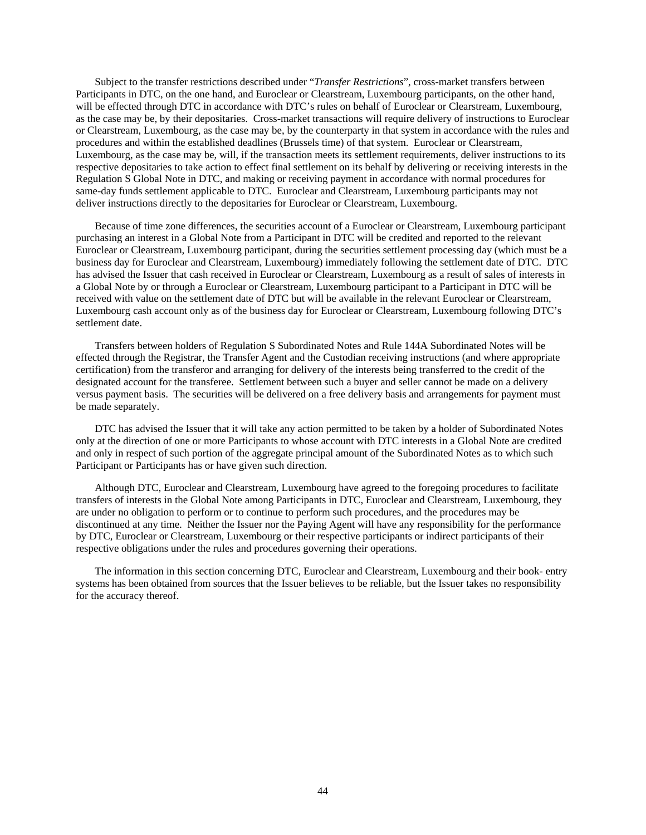Subject to the transfer restrictions described under "*Transfer Restrictions*", cross-market transfers between Participants in DTC, on the one hand, and Euroclear or Clearstream, Luxembourg participants, on the other hand, will be effected through DTC in accordance with DTC's rules on behalf of Euroclear or Clearstream, Luxembourg, as the case may be, by their depositaries. Cross-market transactions will require delivery of instructions to Euroclear or Clearstream, Luxembourg, as the case may be, by the counterparty in that system in accordance with the rules and procedures and within the established deadlines (Brussels time) of that system. Euroclear or Clearstream, Luxembourg, as the case may be, will, if the transaction meets its settlement requirements, deliver instructions to its respective depositaries to take action to effect final settlement on its behalf by delivering or receiving interests in the Regulation S Global Note in DTC, and making or receiving payment in accordance with normal procedures for same-day funds settlement applicable to DTC. Euroclear and Clearstream, Luxembourg participants may not deliver instructions directly to the depositaries for Euroclear or Clearstream, Luxembourg.

Because of time zone differences, the securities account of a Euroclear or Clearstream, Luxembourg participant purchasing an interest in a Global Note from a Participant in DTC will be credited and reported to the relevant Euroclear or Clearstream, Luxembourg participant, during the securities settlement processing day (which must be a business day for Euroclear and Clearstream, Luxembourg) immediately following the settlement date of DTC. DTC has advised the Issuer that cash received in Euroclear or Clearstream, Luxembourg as a result of sales of interests in a Global Note by or through a Euroclear or Clearstream, Luxembourg participant to a Participant in DTC will be received with value on the settlement date of DTC but will be available in the relevant Euroclear or Clearstream, Luxembourg cash account only as of the business day for Euroclear or Clearstream, Luxembourg following DTC's settlement date.

Transfers between holders of Regulation S Subordinated Notes and Rule 144A Subordinated Notes will be effected through the Registrar, the Transfer Agent and the Custodian receiving instructions (and where appropriate certification) from the transferor and arranging for delivery of the interests being transferred to the credit of the designated account for the transferee. Settlement between such a buyer and seller cannot be made on a delivery versus payment basis. The securities will be delivered on a free delivery basis and arrangements for payment must be made separately.

DTC has advised the Issuer that it will take any action permitted to be taken by a holder of Subordinated Notes only at the direction of one or more Participants to whose account with DTC interests in a Global Note are credited and only in respect of such portion of the aggregate principal amount of the Subordinated Notes as to which such Participant or Participants has or have given such direction.

Although DTC, Euroclear and Clearstream, Luxembourg have agreed to the foregoing procedures to facilitate transfers of interests in the Global Note among Participants in DTC, Euroclear and Clearstream, Luxembourg, they are under no obligation to perform or to continue to perform such procedures, and the procedures may be discontinued at any time. Neither the Issuer nor the Paying Agent will have any responsibility for the performance by DTC, Euroclear or Clearstream, Luxembourg or their respective participants or indirect participants of their respective obligations under the rules and procedures governing their operations.

The information in this section concerning DTC, Euroclear and Clearstream, Luxembourg and their book- entry systems has been obtained from sources that the Issuer believes to be reliable, but the Issuer takes no responsibility for the accuracy thereof.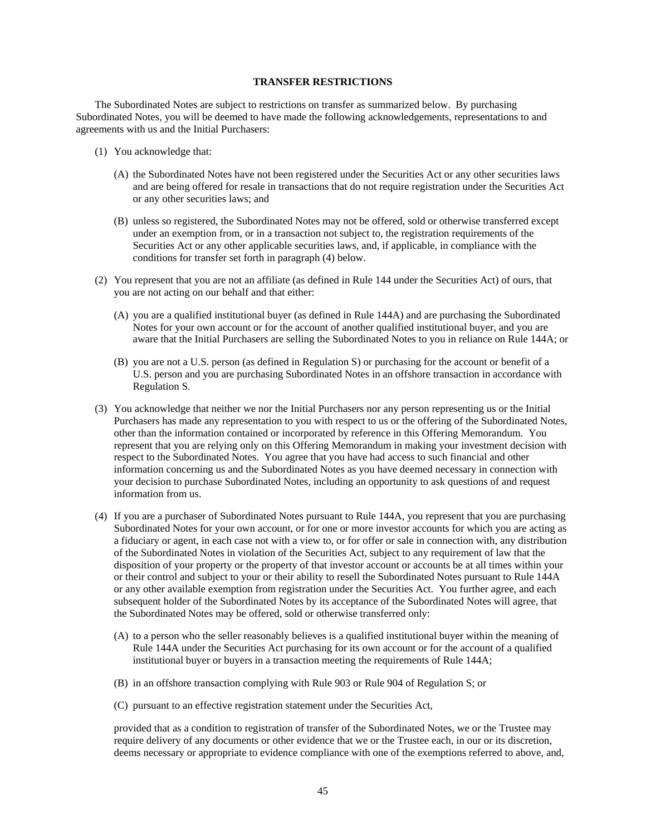# **TRANSFER RESTRICTIONS**

The Subordinated Notes are subject to restrictions on transfer as summarized below. By purchasing Subordinated Notes, you will be deemed to have made the following acknowledgements, representations to and agreements with us and the Initial Purchasers:

- (1) You acknowledge that:
	- (A) the Subordinated Notes have not been registered under the Securities Act or any other securities laws and are being offered for resale in transactions that do not require registration under the Securities Act or any other securities laws; and
	- (B) unless so registered, the Subordinated Notes may not be offered, sold or otherwise transferred except under an exemption from, or in a transaction not subject to, the registration requirements of the Securities Act or any other applicable securities laws, and, if applicable, in compliance with the conditions for transfer set forth in paragraph (4) below.
- (2) You represent that you are not an affiliate (as defined in Rule 144 under the Securities Act) of ours, that you are not acting on our behalf and that either:
	- (A) you are a qualified institutional buyer (as defined in Rule 144A) and are purchasing the Subordinated Notes for your own account or for the account of another qualified institutional buyer, and you are aware that the Initial Purchasers are selling the Subordinated Notes to you in reliance on Rule 144A; or
	- (B) you are not a U.S. person (as defined in Regulation S) or purchasing for the account or benefit of a U.S. person and you are purchasing Subordinated Notes in an offshore transaction in accordance with Regulation S.
- (3) You acknowledge that neither we nor the Initial Purchasers nor any person representing us or the Initial Purchasers has made any representation to you with respect to us or the offering of the Subordinated Notes, other than the information contained or incorporated by reference in this Offering Memorandum. You represent that you are relying only on this Offering Memorandum in making your investment decision with respect to the Subordinated Notes. You agree that you have had access to such financial and other information concerning us and the Subordinated Notes as you have deemed necessary in connection with your decision to purchase Subordinated Notes, including an opportunity to ask questions of and request information from us.
- (4) If you are a purchaser of Subordinated Notes pursuant to Rule 144A, you represent that you are purchasing Subordinated Notes for your own account, or for one or more investor accounts for which you are acting as a fiduciary or agent, in each case not with a view to, or for offer or sale in connection with, any distribution of the Subordinated Notes in violation of the Securities Act, subject to any requirement of law that the disposition of your property or the property of that investor account or accounts be at all times within your or their control and subject to your or their ability to resell the Subordinated Notes pursuant to Rule 144A or any other available exemption from registration under the Securities Act. You further agree, and each subsequent holder of the Subordinated Notes by its acceptance of the Subordinated Notes will agree, that the Subordinated Notes may be offered, sold or otherwise transferred only:
	- (A) to a person who the seller reasonably believes is a qualified institutional buyer within the meaning of Rule 144A under the Securities Act purchasing for its own account or for the account of a qualified institutional buyer or buyers in a transaction meeting the requirements of Rule 144A;
	- (B) in an offshore transaction complying with Rule 903 or Rule 904 of Regulation S; or
	- (C) pursuant to an effective registration statement under the Securities Act,

provided that as a condition to registration of transfer of the Subordinated Notes, we or the Trustee may require delivery of any documents or other evidence that we or the Trustee each, in our or its discretion, deems necessary or appropriate to evidence compliance with one of the exemptions referred to above, and,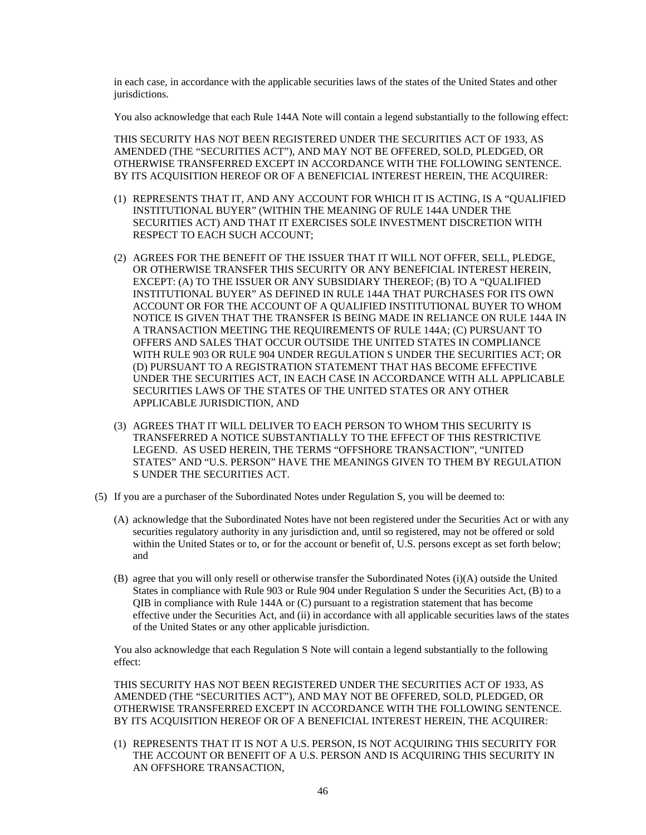in each case, in accordance with the applicable securities laws of the states of the United States and other jurisdictions.

You also acknowledge that each Rule 144A Note will contain a legend substantially to the following effect:

THIS SECURITY HAS NOT BEEN REGISTERED UNDER THE SECURITIES ACT OF 1933, AS AMENDED (THE "SECURITIES ACT"), AND MAY NOT BE OFFERED, SOLD, PLEDGED, OR OTHERWISE TRANSFERRED EXCEPT IN ACCORDANCE WITH THE FOLLOWING SENTENCE. BY ITS ACQUISITION HEREOF OR OF A BENEFICIAL INTEREST HEREIN, THE ACQUIRER:

- (1) REPRESENTS THAT IT, AND ANY ACCOUNT FOR WHICH IT IS ACTING, IS A "QUALIFIED INSTITUTIONAL BUYER" (WITHIN THE MEANING OF RULE 144A UNDER THE SECURITIES ACT) AND THAT IT EXERCISES SOLE INVESTMENT DISCRETION WITH RESPECT TO EACH SUCH ACCOUNT;
- (2) AGREES FOR THE BENEFIT OF THE ISSUER THAT IT WILL NOT OFFER, SELL, PLEDGE, OR OTHERWISE TRANSFER THIS SECURITY OR ANY BENEFICIAL INTEREST HEREIN, EXCEPT: (A) TO THE ISSUER OR ANY SUBSIDIARY THEREOF; (B) TO A "QUALIFIED INSTITUTIONAL BUYER" AS DEFINED IN RULE 144A THAT PURCHASES FOR ITS OWN ACCOUNT OR FOR THE ACCOUNT OF A QUALIFIED INSTITUTIONAL BUYER TO WHOM NOTICE IS GIVEN THAT THE TRANSFER IS BEING MADE IN RELIANCE ON RULE 144A IN A TRANSACTION MEETING THE REQUIREMENTS OF RULE 144A; (C) PURSUANT TO OFFERS AND SALES THAT OCCUR OUTSIDE THE UNITED STATES IN COMPLIANCE WITH RULE 903 OR RULE 904 UNDER REGULATION S UNDER THE SECURITIES ACT; OR (D) PURSUANT TO A REGISTRATION STATEMENT THAT HAS BECOME EFFECTIVE UNDER THE SECURITIES ACT, IN EACH CASE IN ACCORDANCE WITH ALL APPLICABLE SECURITIES LAWS OF THE STATES OF THE UNITED STATES OR ANY OTHER APPLICABLE JURISDICTION, AND
- (3) AGREES THAT IT WILL DELIVER TO EACH PERSON TO WHOM THIS SECURITY IS TRANSFERRED A NOTICE SUBSTANTIALLY TO THE EFFECT OF THIS RESTRICTIVE LEGEND. AS USED HEREIN, THE TERMS "OFFSHORE TRANSACTION", "UNITED STATES" AND "U.S. PERSON" HAVE THE MEANINGS GIVEN TO THEM BY REGULATION S UNDER THE SECURITIES ACT.
- (5) If you are a purchaser of the Subordinated Notes under Regulation S, you will be deemed to:
	- (A) acknowledge that the Subordinated Notes have not been registered under the Securities Act or with any securities regulatory authority in any jurisdiction and, until so registered, may not be offered or sold within the United States or to, or for the account or benefit of, U.S. persons except as set forth below; and
	- (B) agree that you will only resell or otherwise transfer the Subordinated Notes (i)(A) outside the United States in compliance with Rule 903 or Rule 904 under Regulation S under the Securities Act, (B) to a QIB in compliance with Rule 144A or (C) pursuant to a registration statement that has become effective under the Securities Act, and (ii) in accordance with all applicable securities laws of the states of the United States or any other applicable jurisdiction.

You also acknowledge that each Regulation S Note will contain a legend substantially to the following effect:

THIS SECURITY HAS NOT BEEN REGISTERED UNDER THE SECURITIES ACT OF 1933, AS AMENDED (THE "SECURITIES ACT"), AND MAY NOT BE OFFERED, SOLD, PLEDGED, OR OTHERWISE TRANSFERRED EXCEPT IN ACCORDANCE WITH THE FOLLOWING SENTENCE. BY ITS ACQUISITION HEREOF OR OF A BENEFICIAL INTEREST HEREIN, THE ACQUIRER:

(1) REPRESENTS THAT IT IS NOT A U.S. PERSON, IS NOT ACQUIRING THIS SECURITY FOR THE ACCOUNT OR BENEFIT OF A U.S. PERSON AND IS ACQUIRING THIS SECURITY IN AN OFFSHORE TRANSACTION,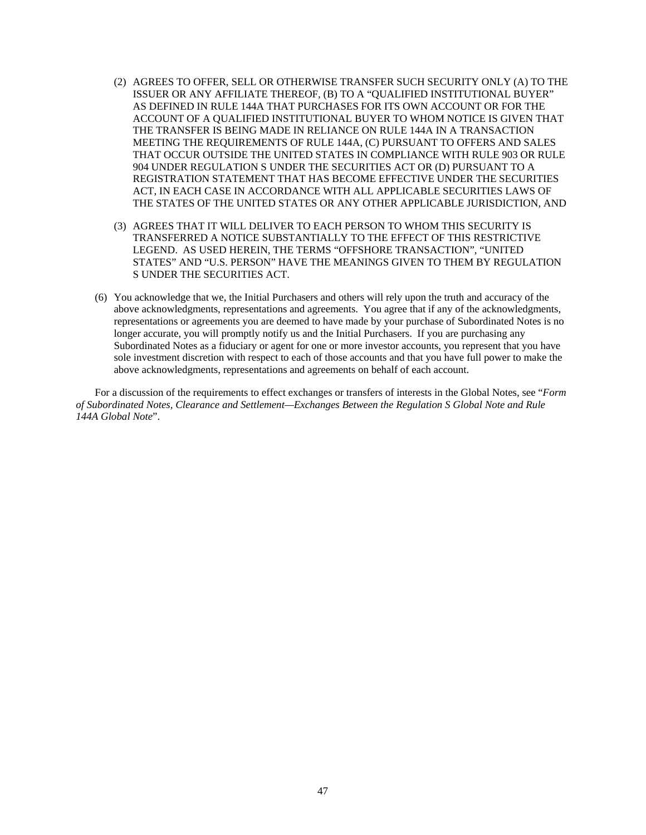- (2) AGREES TO OFFER, SELL OR OTHERWISE TRANSFER SUCH SECURITY ONLY (A) TO THE ISSUER OR ANY AFFILIATE THEREOF, (B) TO A "QUALIFIED INSTITUTIONAL BUYER" AS DEFINED IN RULE 144A THAT PURCHASES FOR ITS OWN ACCOUNT OR FOR THE ACCOUNT OF A QUALIFIED INSTITUTIONAL BUYER TO WHOM NOTICE IS GIVEN THAT THE TRANSFER IS BEING MADE IN RELIANCE ON RULE 144A IN A TRANSACTION MEETING THE REQUIREMENTS OF RULE 144A, (C) PURSUANT TO OFFERS AND SALES THAT OCCUR OUTSIDE THE UNITED STATES IN COMPLIANCE WITH RULE 903 OR RULE 904 UNDER REGULATION S UNDER THE SECURITIES ACT OR (D) PURSUANT TO A REGISTRATION STATEMENT THAT HAS BECOME EFFECTIVE UNDER THE SECURITIES ACT, IN EACH CASE IN ACCORDANCE WITH ALL APPLICABLE SECURITIES LAWS OF THE STATES OF THE UNITED STATES OR ANY OTHER APPLICABLE JURISDICTION, AND
- (3) AGREES THAT IT WILL DELIVER TO EACH PERSON TO WHOM THIS SECURITY IS TRANSFERRED A NOTICE SUBSTANTIALLY TO THE EFFECT OF THIS RESTRICTIVE LEGEND. AS USED HEREIN, THE TERMS "OFFSHORE TRANSACTION", "UNITED STATES" AND "U.S. PERSON" HAVE THE MEANINGS GIVEN TO THEM BY REGULATION S UNDER THE SECURITIES ACT.
- (6) You acknowledge that we, the Initial Purchasers and others will rely upon the truth and accuracy of the above acknowledgments, representations and agreements. You agree that if any of the acknowledgments, representations or agreements you are deemed to have made by your purchase of Subordinated Notes is no longer accurate, you will promptly notify us and the Initial Purchasers. If you are purchasing any Subordinated Notes as a fiduciary or agent for one or more investor accounts, you represent that you have sole investment discretion with respect to each of those accounts and that you have full power to make the above acknowledgments, representations and agreements on behalf of each account.

For a discussion of the requirements to effect exchanges or transfers of interests in the Global Notes, see "*Form of Subordinated Notes, Clearance and Settlement—Exchanges Between the Regulation S Global Note and Rule 144A Global Note*".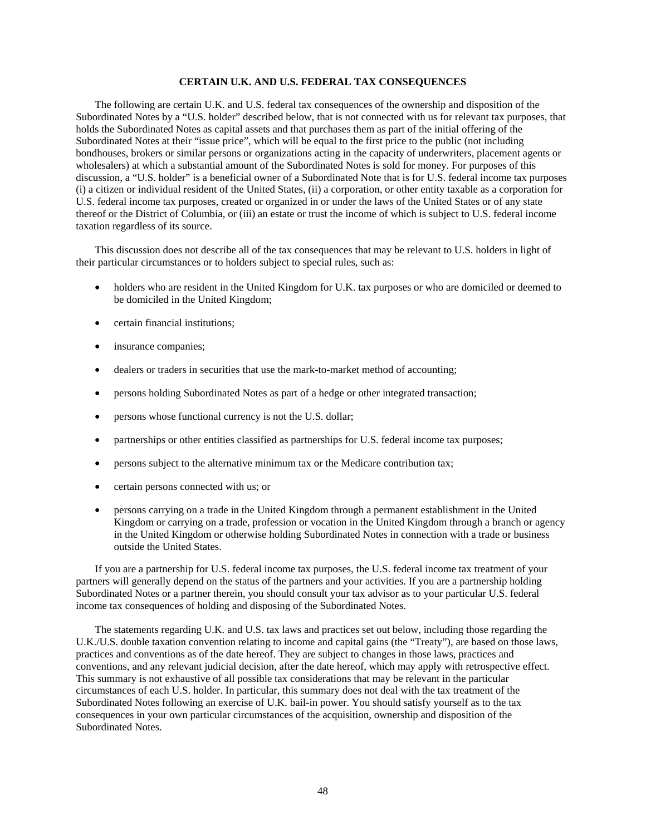# **CERTAIN U.K. AND U.S. FEDERAL TAX CONSEQUENCES**

The following are certain U.K. and U.S. federal tax consequences of the ownership and disposition of the Subordinated Notes by a "U.S. holder" described below, that is not connected with us for relevant tax purposes, that holds the Subordinated Notes as capital assets and that purchases them as part of the initial offering of the Subordinated Notes at their "issue price", which will be equal to the first price to the public (not including bondhouses, brokers or similar persons or organizations acting in the capacity of underwriters, placement agents or wholesalers) at which a substantial amount of the Subordinated Notes is sold for money. For purposes of this discussion, a "U.S. holder" is a beneficial owner of a Subordinated Note that is for U.S. federal income tax purposes (i) a citizen or individual resident of the United States, (ii) a corporation, or other entity taxable as a corporation for U.S. federal income tax purposes, created or organized in or under the laws of the United States or of any state thereof or the District of Columbia, or (iii) an estate or trust the income of which is subject to U.S. federal income taxation regardless of its source.

This discussion does not describe all of the tax consequences that may be relevant to U.S. holders in light of their particular circumstances or to holders subject to special rules, such as:

- holders who are resident in the United Kingdom for U.K. tax purposes or who are domiciled or deemed to be domiciled in the United Kingdom;
- certain financial institutions;
- insurance companies;
- dealers or traders in securities that use the mark-to-market method of accounting;
- persons holding Subordinated Notes as part of a hedge or other integrated transaction;
- persons whose functional currency is not the U.S. dollar;
- partnerships or other entities classified as partnerships for U.S. federal income tax purposes;
- persons subject to the alternative minimum tax or the Medicare contribution tax;
- certain persons connected with us; or
- persons carrying on a trade in the United Kingdom through a permanent establishment in the United Kingdom or carrying on a trade, profession or vocation in the United Kingdom through a branch or agency in the United Kingdom or otherwise holding Subordinated Notes in connection with a trade or business outside the United States.

If you are a partnership for U.S. federal income tax purposes, the U.S. federal income tax treatment of your partners will generally depend on the status of the partners and your activities. If you are a partnership holding Subordinated Notes or a partner therein, you should consult your tax advisor as to your particular U.S. federal income tax consequences of holding and disposing of the Subordinated Notes.

The statements regarding U.K. and U.S. tax laws and practices set out below, including those regarding the U.K./U.S. double taxation convention relating to income and capital gains (the "Treaty"), are based on those laws, practices and conventions as of the date hereof. They are subject to changes in those laws, practices and conventions, and any relevant judicial decision, after the date hereof, which may apply with retrospective effect. This summary is not exhaustive of all possible tax considerations that may be relevant in the particular circumstances of each U.S. holder. In particular, this summary does not deal with the tax treatment of the Subordinated Notes following an exercise of U.K. bail-in power. You should satisfy yourself as to the tax consequences in your own particular circumstances of the acquisition, ownership and disposition of the Subordinated Notes.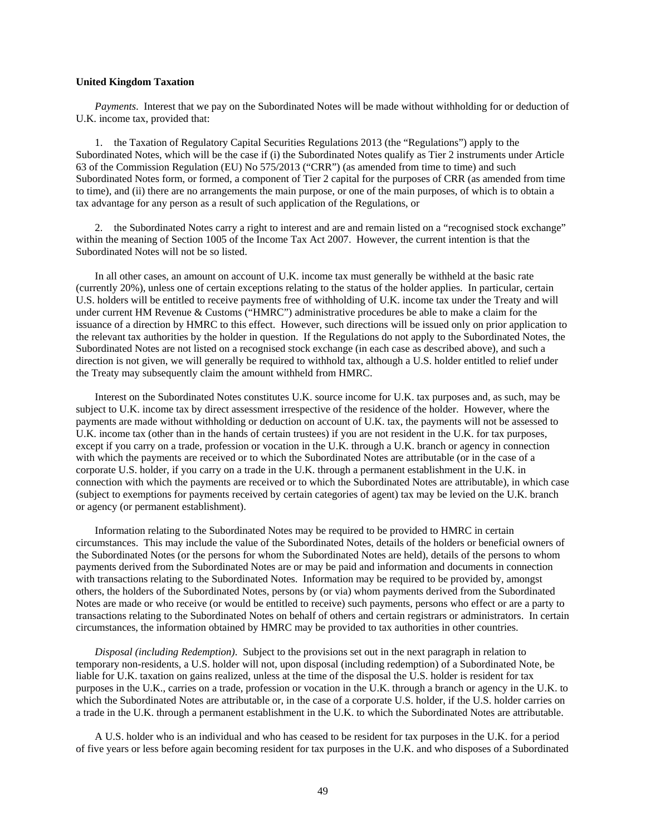## **United Kingdom Taxation**

*Payments*. Interest that we pay on the Subordinated Notes will be made without withholding for or deduction of U.K. income tax, provided that:

1. the Taxation of Regulatory Capital Securities Regulations 2013 (the "Regulations") apply to the Subordinated Notes, which will be the case if (i) the Subordinated Notes qualify as Tier 2 instruments under Article 63 of the Commission Regulation (EU) No 575/2013 ("CRR") (as amended from time to time) and such Subordinated Notes form, or formed, a component of Tier 2 capital for the purposes of CRR (as amended from time to time), and (ii) there are no arrangements the main purpose, or one of the main purposes, of which is to obtain a tax advantage for any person as a result of such application of the Regulations, or

2. the Subordinated Notes carry a right to interest and are and remain listed on a "recognised stock exchange" within the meaning of Section 1005 of the Income Tax Act 2007. However, the current intention is that the Subordinated Notes will not be so listed.

In all other cases, an amount on account of U.K. income tax must generally be withheld at the basic rate (currently 20%), unless one of certain exceptions relating to the status of the holder applies. In particular, certain U.S. holders will be entitled to receive payments free of withholding of U.K. income tax under the Treaty and will under current HM Revenue & Customs ("HMRC") administrative procedures be able to make a claim for the issuance of a direction by HMRC to this effect. However, such directions will be issued only on prior application to the relevant tax authorities by the holder in question. If the Regulations do not apply to the Subordinated Notes, the Subordinated Notes are not listed on a recognised stock exchange (in each case as described above), and such a direction is not given, we will generally be required to withhold tax, although a U.S. holder entitled to relief under the Treaty may subsequently claim the amount withheld from HMRC.

Interest on the Subordinated Notes constitutes U.K. source income for U.K. tax purposes and, as such, may be subject to U.K. income tax by direct assessment irrespective of the residence of the holder. However, where the payments are made without withholding or deduction on account of U.K. tax, the payments will not be assessed to U.K. income tax (other than in the hands of certain trustees) if you are not resident in the U.K. for tax purposes, except if you carry on a trade, profession or vocation in the U.K. through a U.K. branch or agency in connection with which the payments are received or to which the Subordinated Notes are attributable (or in the case of a corporate U.S. holder, if you carry on a trade in the U.K. through a permanent establishment in the U.K. in connection with which the payments are received or to which the Subordinated Notes are attributable), in which case (subject to exemptions for payments received by certain categories of agent) tax may be levied on the U.K. branch or agency (or permanent establishment).

Information relating to the Subordinated Notes may be required to be provided to HMRC in certain circumstances. This may include the value of the Subordinated Notes, details of the holders or beneficial owners of the Subordinated Notes (or the persons for whom the Subordinated Notes are held), details of the persons to whom payments derived from the Subordinated Notes are or may be paid and information and documents in connection with transactions relating to the Subordinated Notes. Information may be required to be provided by, amongst others, the holders of the Subordinated Notes, persons by (or via) whom payments derived from the Subordinated Notes are made or who receive (or would be entitled to receive) such payments, persons who effect or are a party to transactions relating to the Subordinated Notes on behalf of others and certain registrars or administrators. In certain circumstances, the information obtained by HMRC may be provided to tax authorities in other countries.

*Disposal (including Redemption)*. Subject to the provisions set out in the next paragraph in relation to temporary non-residents, a U.S. holder will not, upon disposal (including redemption) of a Subordinated Note, be liable for U.K. taxation on gains realized, unless at the time of the disposal the U.S. holder is resident for tax purposes in the U.K., carries on a trade, profession or vocation in the U.K. through a branch or agency in the U.K. to which the Subordinated Notes are attributable or, in the case of a corporate U.S. holder, if the U.S. holder carries on a trade in the U.K. through a permanent establishment in the U.K. to which the Subordinated Notes are attributable.

A U.S. holder who is an individual and who has ceased to be resident for tax purposes in the U.K. for a period of five years or less before again becoming resident for tax purposes in the U.K. and who disposes of a Subordinated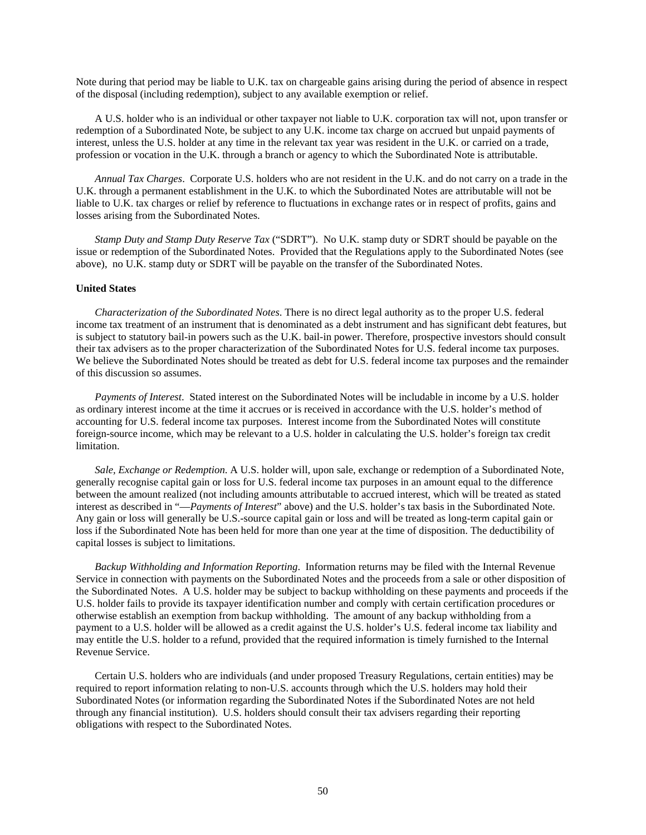Note during that period may be liable to U.K. tax on chargeable gains arising during the period of absence in respect of the disposal (including redemption), subject to any available exemption or relief.

A U.S. holder who is an individual or other taxpayer not liable to U.K. corporation tax will not, upon transfer or redemption of a Subordinated Note, be subject to any U.K. income tax charge on accrued but unpaid payments of interest, unless the U.S. holder at any time in the relevant tax year was resident in the U.K. or carried on a trade, profession or vocation in the U.K. through a branch or agency to which the Subordinated Note is attributable.

*Annual Tax Charges*. Corporate U.S. holders who are not resident in the U.K. and do not carry on a trade in the U.K. through a permanent establishment in the U.K. to which the Subordinated Notes are attributable will not be liable to U.K. tax charges or relief by reference to fluctuations in exchange rates or in respect of profits, gains and losses arising from the Subordinated Notes.

*Stamp Duty and Stamp Duty Reserve Tax* ("SDRT"). No U.K. stamp duty or SDRT should be payable on the issue or redemption of the Subordinated Notes. Provided that the Regulations apply to the Subordinated Notes (see above), no U.K. stamp duty or SDRT will be payable on the transfer of the Subordinated Notes.

#### **United States**

*Characterization of the Subordinated Notes*. There is no direct legal authority as to the proper U.S. federal income tax treatment of an instrument that is denominated as a debt instrument and has significant debt features, but is subject to statutory bail-in powers such as the U.K. bail-in power. Therefore, prospective investors should consult their tax advisers as to the proper characterization of the Subordinated Notes for U.S. federal income tax purposes. We believe the Subordinated Notes should be treated as debt for U.S. federal income tax purposes and the remainder of this discussion so assumes.

*Payments of Interest*. Stated interest on the Subordinated Notes will be includable in income by a U.S. holder as ordinary interest income at the time it accrues or is received in accordance with the U.S. holder's method of accounting for U.S. federal income tax purposes. Interest income from the Subordinated Notes will constitute foreign-source income, which may be relevant to a U.S. holder in calculating the U.S. holder's foreign tax credit limitation.

*Sale, Exchange or Redemption*. A U.S. holder will, upon sale, exchange or redemption of a Subordinated Note, generally recognise capital gain or loss for U.S. federal income tax purposes in an amount equal to the difference between the amount realized (not including amounts attributable to accrued interest, which will be treated as stated interest as described in "—*Payments of Interest*" above) and the U.S. holder's tax basis in the Subordinated Note. Any gain or loss will generally be U.S.-source capital gain or loss and will be treated as long-term capital gain or loss if the Subordinated Note has been held for more than one year at the time of disposition. The deductibility of capital losses is subject to limitations.

*Backup Withholding and Information Reporting*. Information returns may be filed with the Internal Revenue Service in connection with payments on the Subordinated Notes and the proceeds from a sale or other disposition of the Subordinated Notes. A U.S. holder may be subject to backup withholding on these payments and proceeds if the U.S. holder fails to provide its taxpayer identification number and comply with certain certification procedures or otherwise establish an exemption from backup withholding. The amount of any backup withholding from a payment to a U.S. holder will be allowed as a credit against the U.S. holder's U.S. federal income tax liability and may entitle the U.S. holder to a refund, provided that the required information is timely furnished to the Internal Revenue Service.

Certain U.S. holders who are individuals (and under proposed Treasury Regulations, certain entities) may be required to report information relating to non-U.S. accounts through which the U.S. holders may hold their Subordinated Notes (or information regarding the Subordinated Notes if the Subordinated Notes are not held through any financial institution). U.S. holders should consult their tax advisers regarding their reporting obligations with respect to the Subordinated Notes.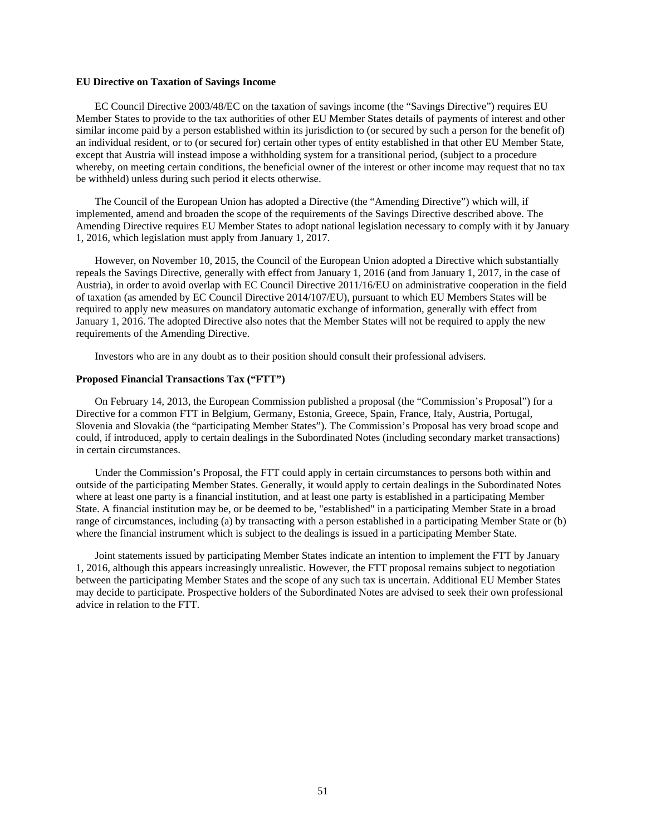## **EU Directive on Taxation of Savings Income**

EC Council Directive 2003/48/EC on the taxation of savings income (the "Savings Directive") requires EU Member States to provide to the tax authorities of other EU Member States details of payments of interest and other similar income paid by a person established within its jurisdiction to (or secured by such a person for the benefit of) an individual resident, or to (or secured for) certain other types of entity established in that other EU Member State, except that Austria will instead impose a withholding system for a transitional period, (subject to a procedure whereby, on meeting certain conditions, the beneficial owner of the interest or other income may request that no tax be withheld) unless during such period it elects otherwise.

The Council of the European Union has adopted a Directive (the "Amending Directive") which will, if implemented, amend and broaden the scope of the requirements of the Savings Directive described above. The Amending Directive requires EU Member States to adopt national legislation necessary to comply with it by January 1, 2016, which legislation must apply from January 1, 2017.

However, on November 10, 2015, the Council of the European Union adopted a Directive which substantially repeals the Savings Directive, generally with effect from January 1, 2016 (and from January 1, 2017, in the case of Austria), in order to avoid overlap with EC Council Directive 2011/16/EU on administrative cooperation in the field of taxation (as amended by EC Council Directive 2014/107/EU), pursuant to which EU Members States will be required to apply new measures on mandatory automatic exchange of information, generally with effect from January 1, 2016. The adopted Directive also notes that the Member States will not be required to apply the new requirements of the Amending Directive.

Investors who are in any doubt as to their position should consult their professional advisers.

## **Proposed Financial Transactions Tax ("FTT")**

On February 14, 2013, the European Commission published a proposal (the "Commission's Proposal") for a Directive for a common FTT in Belgium, Germany, Estonia, Greece, Spain, France, Italy, Austria, Portugal, Slovenia and Slovakia (the "participating Member States"). The Commission's Proposal has very broad scope and could, if introduced, apply to certain dealings in the Subordinated Notes (including secondary market transactions) in certain circumstances.

Under the Commission's Proposal, the FTT could apply in certain circumstances to persons both within and outside of the participating Member States. Generally, it would apply to certain dealings in the Subordinated Notes where at least one party is a financial institution, and at least one party is established in a participating Member State. A financial institution may be, or be deemed to be, "established" in a participating Member State in a broad range of circumstances, including (a) by transacting with a person established in a participating Member State or (b) where the financial instrument which is subject to the dealings is issued in a participating Member State.

Joint statements issued by participating Member States indicate an intention to implement the FTT by January 1, 2016, although this appears increasingly unrealistic. However, the FTT proposal remains subject to negotiation between the participating Member States and the scope of any such tax is uncertain. Additional EU Member States may decide to participate. Prospective holders of the Subordinated Notes are advised to seek their own professional advice in relation to the FTT.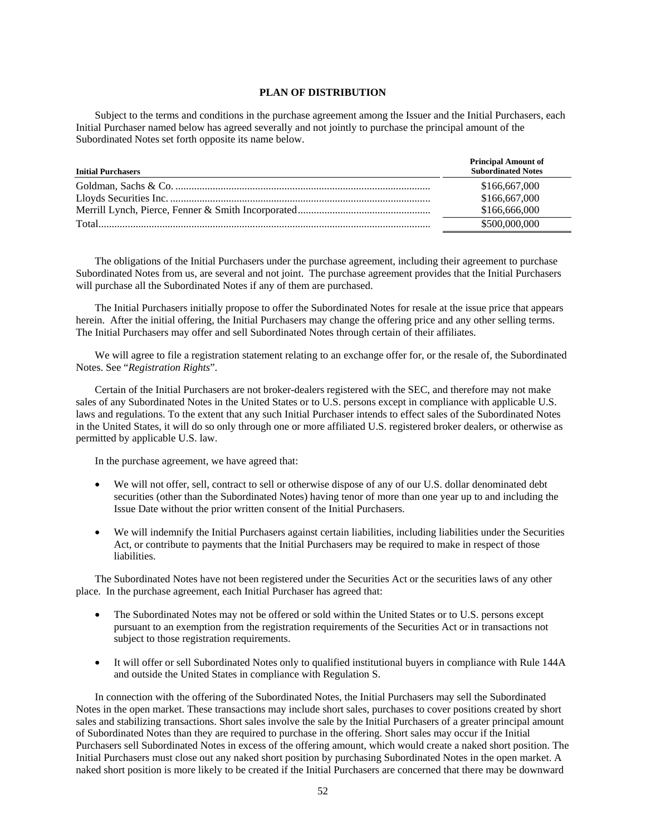# **PLAN OF DISTRIBUTION**

Subject to the terms and conditions in the purchase agreement among the Issuer and the Initial Purchasers, each Initial Purchaser named below has agreed severally and not jointly to purchase the principal amount of the Subordinated Notes set forth opposite its name below.

| <b>Initial Purchasers</b> | <b>Principal Amount of</b><br><b>Subordinated Notes</b> |
|---------------------------|---------------------------------------------------------|
|                           | \$166,667,000                                           |
|                           | \$166,667,000                                           |
|                           | \$166,666,000                                           |
|                           | \$500,000,000                                           |

The obligations of the Initial Purchasers under the purchase agreement, including their agreement to purchase Subordinated Notes from us, are several and not joint. The purchase agreement provides that the Initial Purchasers will purchase all the Subordinated Notes if any of them are purchased.

The Initial Purchasers initially propose to offer the Subordinated Notes for resale at the issue price that appears herein. After the initial offering, the Initial Purchasers may change the offering price and any other selling terms. The Initial Purchasers may offer and sell Subordinated Notes through certain of their affiliates.

We will agree to file a registration statement relating to an exchange offer for, or the resale of, the Subordinated Notes. See "*Registration Rights*".

Certain of the Initial Purchasers are not broker-dealers registered with the SEC, and therefore may not make sales of any Subordinated Notes in the United States or to U.S. persons except in compliance with applicable U.S. laws and regulations. To the extent that any such Initial Purchaser intends to effect sales of the Subordinated Notes in the United States, it will do so only through one or more affiliated U.S. registered broker dealers, or otherwise as permitted by applicable U.S. law.

In the purchase agreement, we have agreed that:

- We will not offer, sell, contract to sell or otherwise dispose of any of our U.S. dollar denominated debt securities (other than the Subordinated Notes) having tenor of more than one year up to and including the Issue Date without the prior written consent of the Initial Purchasers.
- We will indemnify the Initial Purchasers against certain liabilities, including liabilities under the Securities Act, or contribute to payments that the Initial Purchasers may be required to make in respect of those liabilities.

The Subordinated Notes have not been registered under the Securities Act or the securities laws of any other place. In the purchase agreement, each Initial Purchaser has agreed that:

- The Subordinated Notes may not be offered or sold within the United States or to U.S. persons except pursuant to an exemption from the registration requirements of the Securities Act or in transactions not subject to those registration requirements.
- It will offer or sell Subordinated Notes only to qualified institutional buyers in compliance with Rule 144A and outside the United States in compliance with Regulation S.

In connection with the offering of the Subordinated Notes, the Initial Purchasers may sell the Subordinated Notes in the open market. These transactions may include short sales, purchases to cover positions created by short sales and stabilizing transactions. Short sales involve the sale by the Initial Purchasers of a greater principal amount of Subordinated Notes than they are required to purchase in the offering. Short sales may occur if the Initial Purchasers sell Subordinated Notes in excess of the offering amount, which would create a naked short position. The Initial Purchasers must close out any naked short position by purchasing Subordinated Notes in the open market. A naked short position is more likely to be created if the Initial Purchasers are concerned that there may be downward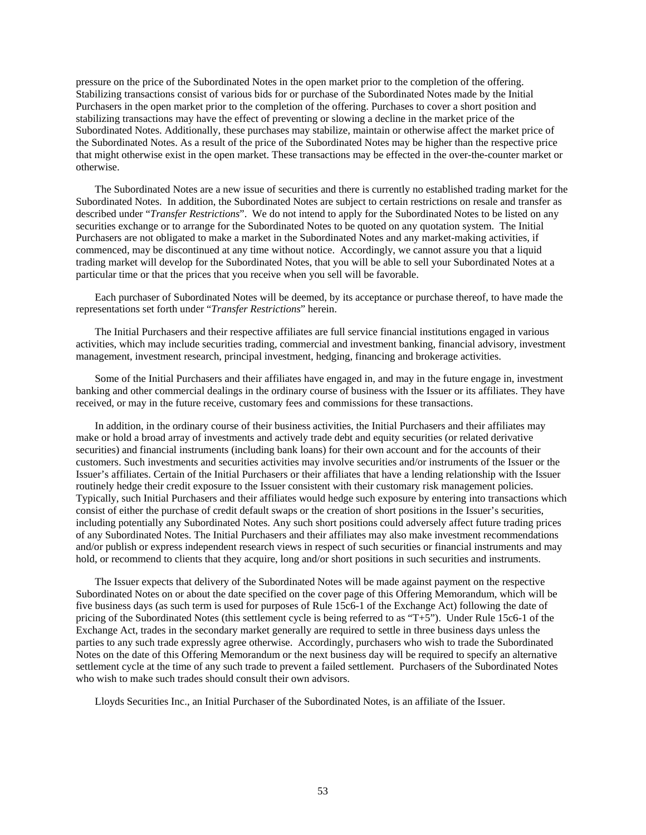pressure on the price of the Subordinated Notes in the open market prior to the completion of the offering. Stabilizing transactions consist of various bids for or purchase of the Subordinated Notes made by the Initial Purchasers in the open market prior to the completion of the offering. Purchases to cover a short position and stabilizing transactions may have the effect of preventing or slowing a decline in the market price of the Subordinated Notes. Additionally, these purchases may stabilize, maintain or otherwise affect the market price of the Subordinated Notes. As a result of the price of the Subordinated Notes may be higher than the respective price that might otherwise exist in the open market. These transactions may be effected in the over-the-counter market or otherwise.

The Subordinated Notes are a new issue of securities and there is currently no established trading market for the Subordinated Notes. In addition, the Subordinated Notes are subject to certain restrictions on resale and transfer as described under "*Transfer Restrictions*". We do not intend to apply for the Subordinated Notes to be listed on any securities exchange or to arrange for the Subordinated Notes to be quoted on any quotation system. The Initial Purchasers are not obligated to make a market in the Subordinated Notes and any market-making activities, if commenced, may be discontinued at any time without notice. Accordingly, we cannot assure you that a liquid trading market will develop for the Subordinated Notes, that you will be able to sell your Subordinated Notes at a particular time or that the prices that you receive when you sell will be favorable.

Each purchaser of Subordinated Notes will be deemed, by its acceptance or purchase thereof, to have made the representations set forth under "*Transfer Restrictions*" herein.

The Initial Purchasers and their respective affiliates are full service financial institutions engaged in various activities, which may include securities trading, commercial and investment banking, financial advisory, investment management, investment research, principal investment, hedging, financing and brokerage activities.

Some of the Initial Purchasers and their affiliates have engaged in, and may in the future engage in, investment banking and other commercial dealings in the ordinary course of business with the Issuer or its affiliates. They have received, or may in the future receive, customary fees and commissions for these transactions.

In addition, in the ordinary course of their business activities, the Initial Purchasers and their affiliates may make or hold a broad array of investments and actively trade debt and equity securities (or related derivative securities) and financial instruments (including bank loans) for their own account and for the accounts of their customers. Such investments and securities activities may involve securities and/or instruments of the Issuer or the Issuer's affiliates. Certain of the Initial Purchasers or their affiliates that have a lending relationship with the Issuer routinely hedge their credit exposure to the Issuer consistent with their customary risk management policies. Typically, such Initial Purchasers and their affiliates would hedge such exposure by entering into transactions which consist of either the purchase of credit default swaps or the creation of short positions in the Issuer's securities, including potentially any Subordinated Notes. Any such short positions could adversely affect future trading prices of any Subordinated Notes. The Initial Purchasers and their affiliates may also make investment recommendations and/or publish or express independent research views in respect of such securities or financial instruments and may hold, or recommend to clients that they acquire, long and/or short positions in such securities and instruments.

The Issuer expects that delivery of the Subordinated Notes will be made against payment on the respective Subordinated Notes on or about the date specified on the cover page of this Offering Memorandum, which will be five business days (as such term is used for purposes of Rule 15c6-1 of the Exchange Act) following the date of pricing of the Subordinated Notes (this settlement cycle is being referred to as "T+5"). Under Rule 15c6-1 of the Exchange Act, trades in the secondary market generally are required to settle in three business days unless the parties to any such trade expressly agree otherwise. Accordingly, purchasers who wish to trade the Subordinated Notes on the date of this Offering Memorandum or the next business day will be required to specify an alternative settlement cycle at the time of any such trade to prevent a failed settlement. Purchasers of the Subordinated Notes who wish to make such trades should consult their own advisors.

Lloyds Securities Inc., an Initial Purchaser of the Subordinated Notes, is an affiliate of the Issuer.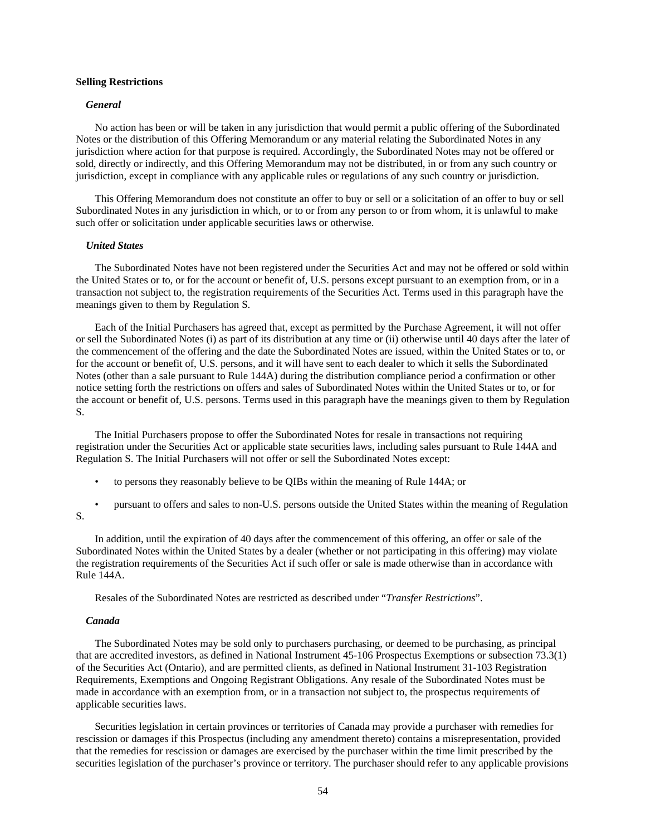#### **Selling Restrictions**

#### *General*

No action has been or will be taken in any jurisdiction that would permit a public offering of the Subordinated Notes or the distribution of this Offering Memorandum or any material relating the Subordinated Notes in any jurisdiction where action for that purpose is required. Accordingly, the Subordinated Notes may not be offered or sold, directly or indirectly, and this Offering Memorandum may not be distributed, in or from any such country or jurisdiction, except in compliance with any applicable rules or regulations of any such country or jurisdiction.

This Offering Memorandum does not constitute an offer to buy or sell or a solicitation of an offer to buy or sell Subordinated Notes in any jurisdiction in which, or to or from any person to or from whom, it is unlawful to make such offer or solicitation under applicable securities laws or otherwise.

#### *United States*

The Subordinated Notes have not been registered under the Securities Act and may not be offered or sold within the United States or to, or for the account or benefit of, U.S. persons except pursuant to an exemption from, or in a transaction not subject to, the registration requirements of the Securities Act. Terms used in this paragraph have the meanings given to them by Regulation S.

Each of the Initial Purchasers has agreed that, except as permitted by the Purchase Agreement, it will not offer or sell the Subordinated Notes (i) as part of its distribution at any time or (ii) otherwise until 40 days after the later of the commencement of the offering and the date the Subordinated Notes are issued, within the United States or to, or for the account or benefit of, U.S. persons, and it will have sent to each dealer to which it sells the Subordinated Notes (other than a sale pursuant to Rule 144A) during the distribution compliance period a confirmation or other notice setting forth the restrictions on offers and sales of Subordinated Notes within the United States or to, or for the account or benefit of, U.S. persons. Terms used in this paragraph have the meanings given to them by Regulation S.

The Initial Purchasers propose to offer the Subordinated Notes for resale in transactions not requiring registration under the Securities Act or applicable state securities laws, including sales pursuant to Rule 144A and Regulation S. The Initial Purchasers will not offer or sell the Subordinated Notes except:

- to persons they reasonably believe to be QIBs within the meaning of Rule 144A; or
- pursuant to offers and sales to non-U.S. persons outside the United States within the meaning of Regulation S.

In addition, until the expiration of 40 days after the commencement of this offering, an offer or sale of the Subordinated Notes within the United States by a dealer (whether or not participating in this offering) may violate the registration requirements of the Securities Act if such offer or sale is made otherwise than in accordance with Rule 144A.

Resales of the Subordinated Notes are restricted as described under "*Transfer Restrictions*".

#### *Canada*

The Subordinated Notes may be sold only to purchasers purchasing, or deemed to be purchasing, as principal that are accredited investors, as defined in National Instrument 45-106 Prospectus Exemptions or subsection 73.3(1) of the Securities Act (Ontario), and are permitted clients, as defined in National Instrument 31-103 Registration Requirements, Exemptions and Ongoing Registrant Obligations. Any resale of the Subordinated Notes must be made in accordance with an exemption from, or in a transaction not subject to, the prospectus requirements of applicable securities laws.

Securities legislation in certain provinces or territories of Canada may provide a purchaser with remedies for rescission or damages if this Prospectus (including any amendment thereto) contains a misrepresentation, provided that the remedies for rescission or damages are exercised by the purchaser within the time limit prescribed by the securities legislation of the purchaser's province or territory. The purchaser should refer to any applicable provisions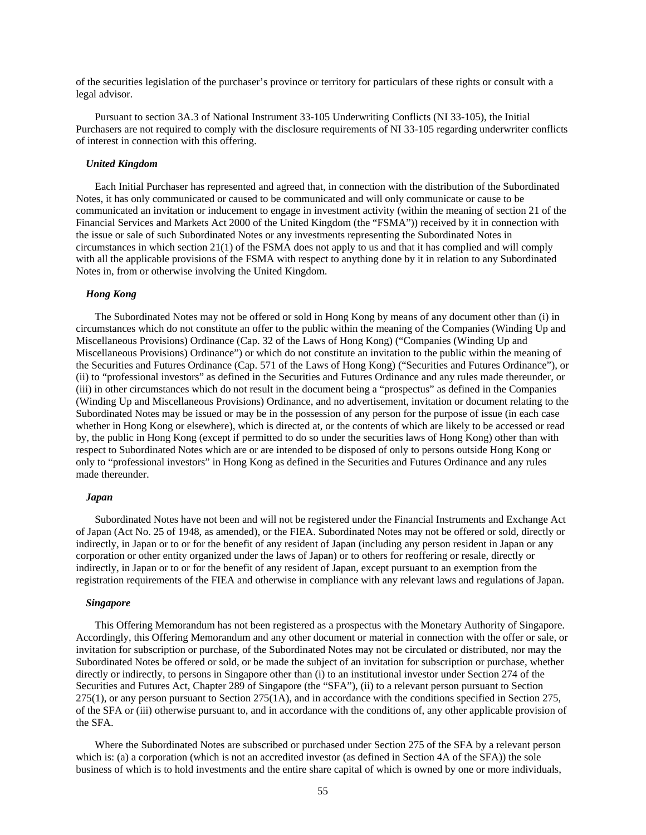of the securities legislation of the purchaser's province or territory for particulars of these rights or consult with a legal advisor.

Pursuant to section 3A.3 of National Instrument 33-105 Underwriting Conflicts (NI 33-105), the Initial Purchasers are not required to comply with the disclosure requirements of NI 33-105 regarding underwriter conflicts of interest in connection with this offering.

#### *United Kingdom*

Each Initial Purchaser has represented and agreed that, in connection with the distribution of the Subordinated Notes, it has only communicated or caused to be communicated and will only communicate or cause to be communicated an invitation or inducement to engage in investment activity (within the meaning of section 21 of the Financial Services and Markets Act 2000 of the United Kingdom (the "FSMA")) received by it in connection with the issue or sale of such Subordinated Notes or any investments representing the Subordinated Notes in circumstances in which section 21(1) of the FSMA does not apply to us and that it has complied and will comply with all the applicable provisions of the FSMA with respect to anything done by it in relation to any Subordinated Notes in, from or otherwise involving the United Kingdom.

### *Hong Kong*

The Subordinated Notes may not be offered or sold in Hong Kong by means of any document other than (i) in circumstances which do not constitute an offer to the public within the meaning of the Companies (Winding Up and Miscellaneous Provisions) Ordinance (Cap. 32 of the Laws of Hong Kong) ("Companies (Winding Up and Miscellaneous Provisions) Ordinance") or which do not constitute an invitation to the public within the meaning of the Securities and Futures Ordinance (Cap. 571 of the Laws of Hong Kong) ("Securities and Futures Ordinance"), or (ii) to "professional investors" as defined in the Securities and Futures Ordinance and any rules made thereunder, or (iii) in other circumstances which do not result in the document being a "prospectus" as defined in the Companies (Winding Up and Miscellaneous Provisions) Ordinance, and no advertisement, invitation or document relating to the Subordinated Notes may be issued or may be in the possession of any person for the purpose of issue (in each case whether in Hong Kong or elsewhere), which is directed at, or the contents of which are likely to be accessed or read by, the public in Hong Kong (except if permitted to do so under the securities laws of Hong Kong) other than with respect to Subordinated Notes which are or are intended to be disposed of only to persons outside Hong Kong or only to "professional investors" in Hong Kong as defined in the Securities and Futures Ordinance and any rules made thereunder.

#### *Japan*

Subordinated Notes have not been and will not be registered under the Financial Instruments and Exchange Act of Japan (Act No. 25 of 1948, as amended), or the FIEA. Subordinated Notes may not be offered or sold, directly or indirectly, in Japan or to or for the benefit of any resident of Japan (including any person resident in Japan or any corporation or other entity organized under the laws of Japan) or to others for reoffering or resale, directly or indirectly, in Japan or to or for the benefit of any resident of Japan, except pursuant to an exemption from the registration requirements of the FIEA and otherwise in compliance with any relevant laws and regulations of Japan.

#### *Singapore*

This Offering Memorandum has not been registered as a prospectus with the Monetary Authority of Singapore. Accordingly, this Offering Memorandum and any other document or material in connection with the offer or sale, or invitation for subscription or purchase, of the Subordinated Notes may not be circulated or distributed, nor may the Subordinated Notes be offered or sold, or be made the subject of an invitation for subscription or purchase, whether directly or indirectly, to persons in Singapore other than (i) to an institutional investor under Section 274 of the Securities and Futures Act, Chapter 289 of Singapore (the "SFA"), (ii) to a relevant person pursuant to Section 275(1), or any person pursuant to Section 275(1A), and in accordance with the conditions specified in Section 275, of the SFA or (iii) otherwise pursuant to, and in accordance with the conditions of, any other applicable provision of the SFA.

Where the Subordinated Notes are subscribed or purchased under Section 275 of the SFA by a relevant person which is: (a) a corporation (which is not an accredited investor (as defined in Section 4A of the SFA)) the sole business of which is to hold investments and the entire share capital of which is owned by one or more individuals,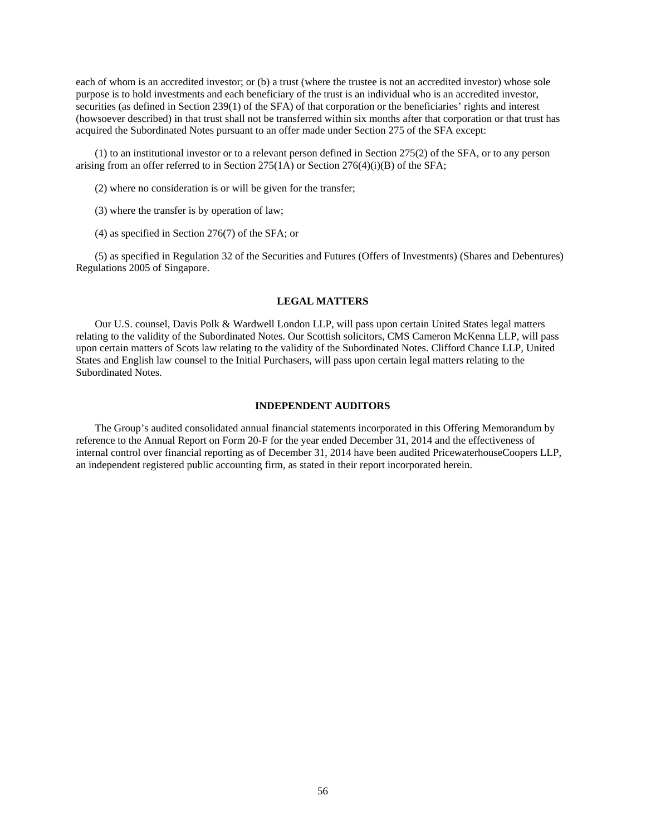each of whom is an accredited investor; or (b) a trust (where the trustee is not an accredited investor) whose sole purpose is to hold investments and each beneficiary of the trust is an individual who is an accredited investor, securities (as defined in Section 239(1) of the SFA) of that corporation or the beneficiaries' rights and interest (howsoever described) in that trust shall not be transferred within six months after that corporation or that trust has acquired the Subordinated Notes pursuant to an offer made under Section 275 of the SFA except:

(1) to an institutional investor or to a relevant person defined in Section 275(2) of the SFA, or to any person arising from an offer referred to in Section 275(1A) or Section 276(4)(i)(B) of the SFA;

(2) where no consideration is or will be given for the transfer;

(3) where the transfer is by operation of law;

(4) as specified in Section 276(7) of the SFA; or

(5) as specified in Regulation 32 of the Securities and Futures (Offers of Investments) (Shares and Debentures) Regulations 2005 of Singapore.

# **LEGAL MATTERS**

Our U.S. counsel, Davis Polk & Wardwell London LLP, will pass upon certain United States legal matters relating to the validity of the Subordinated Notes. Our Scottish solicitors, CMS Cameron McKenna LLP, will pass upon certain matters of Scots law relating to the validity of the Subordinated Notes. Clifford Chance LLP, United States and English law counsel to the Initial Purchasers, will pass upon certain legal matters relating to the Subordinated Notes.

## **INDEPENDENT AUDITORS**

The Group's audited consolidated annual financial statements incorporated in this Offering Memorandum by reference to the Annual Report on Form 20-F for the year ended December 31, 2014 and the effectiveness of internal control over financial reporting as of December 31, 2014 have been audited PricewaterhouseCoopers LLP, an independent registered public accounting firm, as stated in their report incorporated herein.